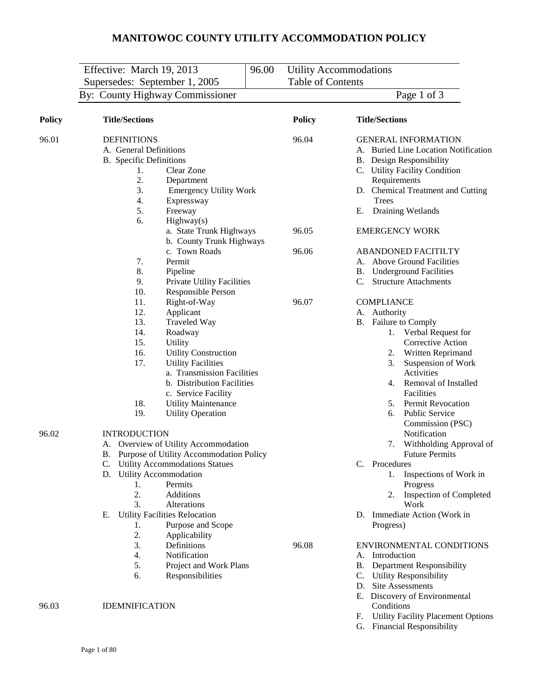|               | Effective: March 19, 2013                                                                                                                                                                                                                                                                                                                                                                                                                | 96.00 |                          | <b>Utility Accommodations</b>                                                                                                                                                                                                                                                                                                                                                                                  |
|---------------|------------------------------------------------------------------------------------------------------------------------------------------------------------------------------------------------------------------------------------------------------------------------------------------------------------------------------------------------------------------------------------------------------------------------------------------|-------|--------------------------|----------------------------------------------------------------------------------------------------------------------------------------------------------------------------------------------------------------------------------------------------------------------------------------------------------------------------------------------------------------------------------------------------------------|
|               | Supersedes: September 1, 2005                                                                                                                                                                                                                                                                                                                                                                                                            |       | <b>Table of Contents</b> |                                                                                                                                                                                                                                                                                                                                                                                                                |
|               | By: County Highway Commissioner                                                                                                                                                                                                                                                                                                                                                                                                          |       |                          | Page 1 of 3                                                                                                                                                                                                                                                                                                                                                                                                    |
| <b>Policy</b> | <b>Title/Sections</b>                                                                                                                                                                                                                                                                                                                                                                                                                    |       | <b>Policy</b>            | <b>Title/Sections</b>                                                                                                                                                                                                                                                                                                                                                                                          |
| 96.01         | <b>DEFINITIONS</b><br>A. General Definitions<br><b>B.</b> Specific Definitions<br>Clear Zone<br>1.<br>2.<br>Department<br>3.<br><b>Emergency Utility Work</b><br>Expressway<br>4.<br>5.<br>Freeway<br>6.<br>Highway(s)<br>a. State Trunk Highways<br>b. County Trunk Highways                                                                                                                                                            |       | 96.04<br>96.05           | <b>GENERAL INFORMATION</b><br>A. Buried Line Location Notification<br><b>B.</b> Design Responsibility<br>C. Utility Facility Condition<br>Requirements<br>D. Chemical Treatment and Cutting<br>Trees<br>Draining Wetlands<br>Е.<br><b>EMERGENCY WORK</b>                                                                                                                                                       |
|               | c. Town Roads<br>Permit<br>7.<br>8.<br>Pipeline<br>9.<br>Private Utility Facilities<br>10.<br>Responsible Person                                                                                                                                                                                                                                                                                                                         |       | 96.06                    | <b>ABANDONED FACITILTY</b><br>A. Above Ground Facilities<br><b>B.</b> Underground Facilities<br>C.<br><b>Structure Attachments</b>                                                                                                                                                                                                                                                                             |
|               | Right-of-Way<br>11.<br>12.<br>Applicant<br>13.<br><b>Traveled Way</b><br>14.<br>Roadway<br>15.<br>Utility<br>16.<br><b>Utility Construction</b><br>17.<br><b>Utility Facilities</b><br>a. Transmission Facilities<br>b. Distribution Facilities<br>c. Service Facility<br>18.<br><b>Utility Maintenance</b><br>19.<br><b>Utility Operation</b>                                                                                           |       | 96.07                    | <b>COMPLIANCE</b><br>A. Authority<br>B. Failure to Comply<br>Verbal Request for<br>1.<br>Corrective Action<br>Written Reprimand<br>2.<br>3.<br>Suspension of Work<br>Activities<br>Removal of Installed<br>4.<br>Facilities<br><b>Permit Revocation</b><br>5.<br><b>Public Service</b><br>6.<br>Commission (PSC)                                                                                               |
| 96.02         | <b>INTRODUCTION</b><br>A. Overview of Utility Accommodation<br>B. Purpose of Utility Accommodation Policy<br>C. Utility Accommodations Statues<br>D. Utility Accommodation<br>Permits<br>1.<br>2.<br>Additions<br>Alterations<br>3.<br><b>Utility Facilities Relocation</b><br>Е.<br>Purpose and Scope<br>1.<br>2.<br>Applicability<br>Definitions<br>3.<br>Notification<br>4.<br>Project and Work Plans<br>5.<br>Responsibilities<br>6. |       | 96.08                    | Notification<br>Withholding Approval of<br>7.<br><b>Future Permits</b><br>C. Procedures<br>Inspections of Work in<br>1.<br>Progress<br><b>Inspection of Completed</b><br>2.<br>Work<br>D. Immediate Action (Work in<br>Progress)<br>ENVIRONMENTAL CONDITIONS<br>Introduction<br>A.<br><b>B.</b> Department Responsibility<br>C. Utility Responsibility<br>D. Site Assessments<br>E. Discovery of Environmental |
| 96.03         | <b>IDEMNIFICATION</b>                                                                                                                                                                                                                                                                                                                                                                                                                    |       |                          | Conditions                                                                                                                                                                                                                                                                                                                                                                                                     |

- F. Utility Facility Placement Options
- G. Financial Responsibility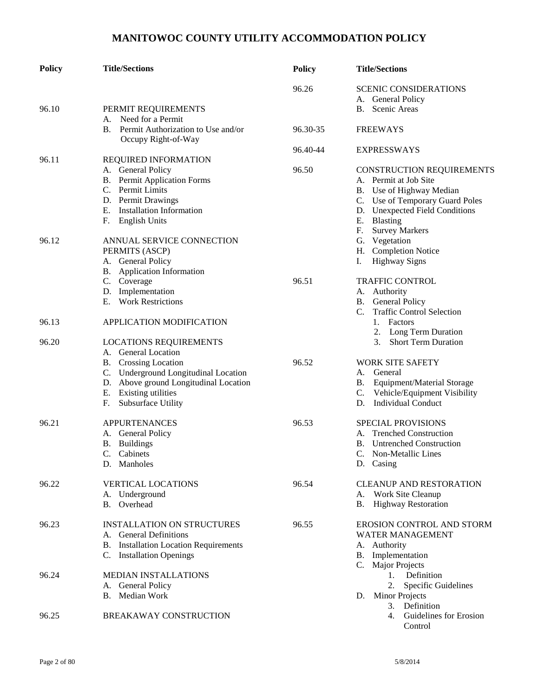| <b>Policy</b> | <b>Title/Sections</b>                                        | <b>Policy</b> | <b>Title/Sections</b>                              |
|---------------|--------------------------------------------------------------|---------------|----------------------------------------------------|
|               |                                                              | 96.26         | <b>SCENIC CONSIDERATIONS</b><br>A. General Policy  |
|               |                                                              |               | B. Scenic Areas                                    |
| 96.10         | PERMIT REQUIREMENTS<br>A. Need for a Permit                  |               |                                                    |
|               |                                                              |               |                                                    |
|               | B. Permit Authorization to Use and/or<br>Occupy Right-of-Way | 96.30-35      | <b>FREEWAYS</b>                                    |
| 96.11         |                                                              | 96.40-44      | <b>EXPRESSWAYS</b>                                 |
|               | REQUIRED INFORMATION                                         |               |                                                    |
|               | A. General Policy                                            | 96.50         | CONSTRUCTION REQUIREMENTS<br>A. Permit at Job Site |
|               | <b>B.</b> Permit Application Forms                           |               |                                                    |
|               | C. Permit Limits                                             |               | B. Use of Highway Median                           |
|               | D. Permit Drawings                                           |               | C. Use of Temporary Guard Poles                    |
|               | Installation Information<br>Е.                               |               | D. Unexpected Field Conditions                     |
|               | <b>English Units</b><br>F.                                   |               | Е.<br><b>Blasting</b>                              |
|               |                                                              |               | F.<br><b>Survey Markers</b>                        |
| 96.12         | ANNUAL SERVICE CONNECTION                                    |               | G. Vegetation                                      |
|               | PERMITS (ASCP)                                               |               | H. Completion Notice                               |
|               | A. General Policy                                            |               | I.<br><b>Highway Signs</b>                         |
|               | B. Application Information                                   |               |                                                    |
|               | C. Coverage                                                  | 96.51         | <b>TRAFFIC CONTROL</b>                             |
|               | D. Implementation                                            |               | A. Authority                                       |
|               | <b>Work Restrictions</b><br>E.                               |               | General Policy<br>B.                               |
|               |                                                              |               | <b>Traffic Control Selection</b><br>$C_{\cdot}$    |
| 96.13         | <b>APPLICATION MODIFICATION</b>                              |               | Factors<br>1.                                      |
|               |                                                              |               | <b>Long Term Duration</b><br>2.                    |
| 96.20         | <b>LOCATIONS REQUIREMENTS</b>                                |               | <b>Short Term Duration</b><br>3.                   |
|               | A. General Location                                          |               |                                                    |
|               | <b>B.</b> Crossing Location                                  | 96.52         | <b>WORK SITE SAFETY</b>                            |
|               | C. Underground Longitudinal Location                         |               | General<br>А.                                      |
|               | D. Above ground Longitudinal Location                        |               | B. Equipment/Material Storage                      |
|               | E. Existing utilities                                        |               | $\mathbb{C}$ .<br>Vehicle/Equipment Visibility     |
|               | Subsurface Utility<br>F.                                     |               | <b>Individual Conduct</b><br>D.                    |
| 96.21         | <b>APPURTENANCES</b>                                         | 96.53         | <b>SPECIAL PROVISIONS</b>                          |
|               | A. General Policy                                            |               | <b>Trenched Construction</b><br>A.                 |
|               | <b>B.</b> Buildings                                          |               | <b>Untrenched Construction</b><br>В.               |
|               | $\mathbf{C}$ .<br>Cabinets                                   |               | C. Non-Metallic Lines                              |
|               | D. Manholes                                                  |               | D. Casing                                          |
| 96.22         | <b>VERTICAL LOCATIONS</b>                                    | 96.54         | <b>CLEANUP AND RESTORATION</b>                     |
|               | A. Underground                                               |               | Work Site Cleanup<br>A.                            |
|               | B. Overhead                                                  |               | <b>Highway Restoration</b><br>В.                   |
| 96.23         | <b>INSTALLATION ON STRUCTURES</b>                            | 96.55         | EROSION CONTROL AND STORM                          |
|               | A. General Definitions                                       |               | <b>WATER MANAGEMENT</b>                            |
|               | <b>B.</b> Installation Location Requirements                 |               | A. Authority                                       |
|               | C. Installation Openings                                     |               | Implementation<br>В.                               |
|               |                                                              |               | C. Major Projects                                  |
| 96.24         | <b>MEDIAN INSTALLATIONS</b>                                  |               | Definition<br>1.                                   |
|               | A. General Policy                                            |               | 2.<br><b>Specific Guidelines</b>                   |
|               | B. Median Work                                               |               | <b>Minor Projects</b><br>D.                        |
|               |                                                              |               | 3. Definition                                      |
| 96.25         | <b>BREAKAWAY CONSTRUCTION</b>                                |               | 4. Guidelines for Erosion                          |
|               |                                                              |               | Control                                            |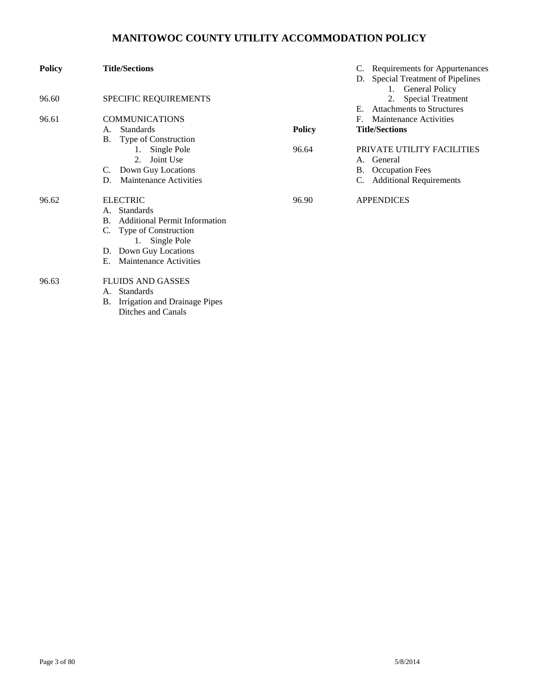| <b>Policy</b> | <b>Title/Sections</b>                                     |               | Requirements for Appurtenances<br><b>Special Treatment of Pipelines</b><br>1. General Policy |
|---------------|-----------------------------------------------------------|---------------|----------------------------------------------------------------------------------------------|
| 96.60         | SPECIFIC REQUIREMENTS                                     |               | <b>Special Treatment</b><br>2.                                                               |
|               |                                                           |               | <b>Attachments to Structures</b><br>E.                                                       |
| 96.61         | <b>COMMUNICATIONS</b>                                     |               | Maintenance Activities<br>F.                                                                 |
|               | <b>Standards</b><br>A.                                    | <b>Policy</b> | <b>Title/Sections</b>                                                                        |
|               | Type of Construction<br><b>B.</b>                         |               |                                                                                              |
|               | 1. Single Pole                                            | 96.64         | PRIVATE UTILITY FACILITIES                                                                   |
|               | Joint Use<br>$2^{1}$                                      |               | General<br>А.                                                                                |
|               | Down Guy Locations<br>C.                                  |               | <b>Occupation Fees</b><br>В.                                                                 |
|               | <b>Maintenance Activities</b><br>D.                       |               | <b>Additional Requirements</b>                                                               |
| 96.62         | <b>ELECTRIC</b>                                           | 96.90         | <b>APPENDICES</b>                                                                            |
|               | <b>Standards</b><br>A.                                    |               |                                                                                              |
|               | <b>Additional Permit Information</b><br>B.                |               |                                                                                              |
|               | Type of Construction                                      |               |                                                                                              |
|               | 1. Single Pole                                            |               |                                                                                              |
|               | D. Down Guy Locations                                     |               |                                                                                              |
|               | Maintenance Activities<br>Е.                              |               |                                                                                              |
| 96.63         | <b>FLUIDS AND GASSES</b>                                  |               |                                                                                              |
|               | <b>Standards</b><br>А.                                    |               |                                                                                              |
|               | Irrigation and Drainage Pipes<br>В.<br>Ditches and Canals |               |                                                                                              |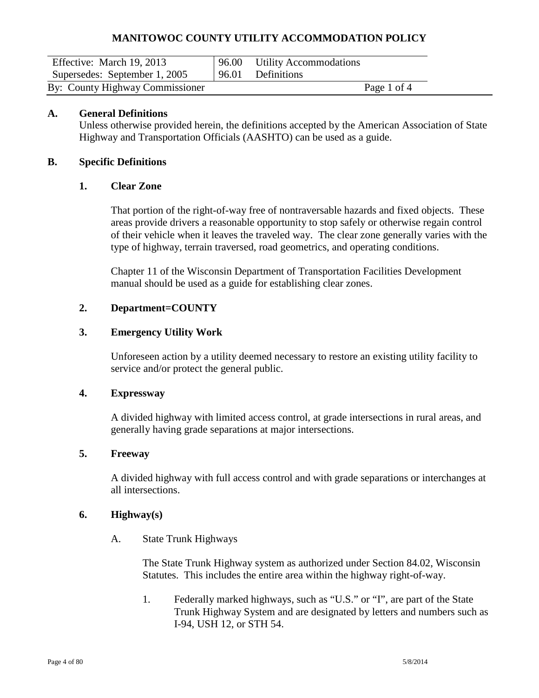| Effective: March 19, 2013       |       | 96.00 Utility Accommodations |  |
|---------------------------------|-------|------------------------------|--|
| Supersedes: September 1, 2005   | 96.01 | Definitions                  |  |
| By: County Highway Commissioner |       | Page 1 of 4                  |  |

#### **A. General Definitions**

Unless otherwise provided herein, the definitions accepted by the American Association of State Highway and Transportation Officials (AASHTO) can be used as a guide.

#### **B. Specific Definitions**

#### **1. Clear Zone**

That portion of the right-of-way free of nontraversable hazards and fixed objects. These areas provide drivers a reasonable opportunity to stop safely or otherwise regain control of their vehicle when it leaves the traveled way. The clear zone generally varies with the type of highway, terrain traversed, road geometrics, and operating conditions.

Chapter 11 of the Wisconsin Department of Transportation Facilities Development manual should be used as a guide for establishing clear zones.

#### **2. Department=COUNTY**

#### **3. Emergency Utility Work**

Unforeseen action by a utility deemed necessary to restore an existing utility facility to service and/or protect the general public.

#### **4. Expressway**

A divided highway with limited access control, at grade intersections in rural areas, and generally having grade separations at major intersections.

#### **5. Freeway**

A divided highway with full access control and with grade separations or interchanges at all intersections.

#### **6. Highway(s)**

A. State Trunk Highways

The State Trunk Highway system as authorized under Section 84.02, Wisconsin Statutes. This includes the entire area within the highway right-of-way.

1. Federally marked highways, such as "U.S." or "I", are part of the State Trunk Highway System and are designated by letters and numbers such as I-94, USH 12, or STH 54.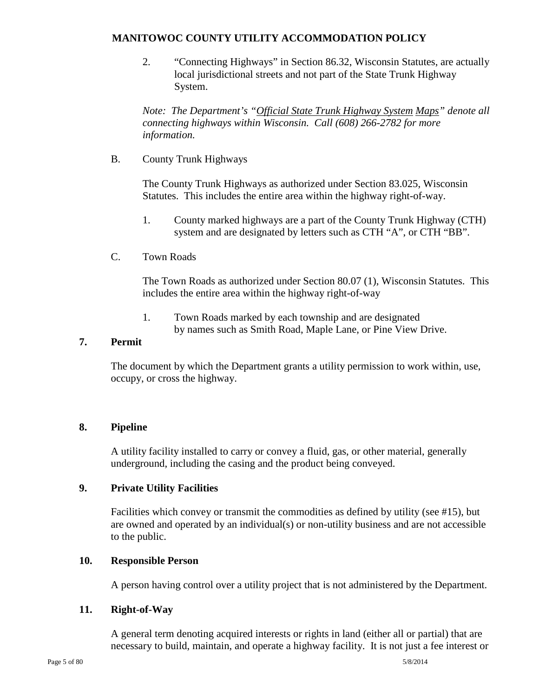2. "Connecting Highways" in Section 86.32, Wisconsin Statutes, are actually local jurisdictional streets and not part of the State Trunk Highway System.

*Note: The Department's "Official State Trunk Highway System Maps" denote all connecting highways within Wisconsin. Call (608) 266-2782 for more information.*

B. County Trunk Highways

The County Trunk Highways as authorized under Section 83.025, Wisconsin Statutes. This includes the entire area within the highway right-of-way.

- 1. County marked highways are a part of the County Trunk Highway (CTH) system and are designated by letters such as CTH "A", or CTH "BB".
- C. Town Roads

The Town Roads as authorized under Section 80.07 (1), Wisconsin Statutes. This includes the entire area within the highway right-of-way

 1. Town Roads marked by each township and are designated by names such as Smith Road, Maple Lane, or Pine View Drive.

### **7. Permit**

The document by which the Department grants a utility permission to work within, use, occupy, or cross the highway.

#### **8. Pipeline**

A utility facility installed to carry or convey a fluid, gas, or other material, generally underground, including the casing and the product being conveyed.

#### **9. Private Utility Facilities**

Facilities which convey or transmit the commodities as defined by utility (see #15), but are owned and operated by an individual(s) or non-utility business and are not accessible to the public.

#### **10. Responsible Person**

A person having control over a utility project that is not administered by the Department.

#### **11. Right-of-Way**

A general term denoting acquired interests or rights in land (either all or partial) that are necessary to build, maintain, and operate a highway facility. It is not just a fee interest or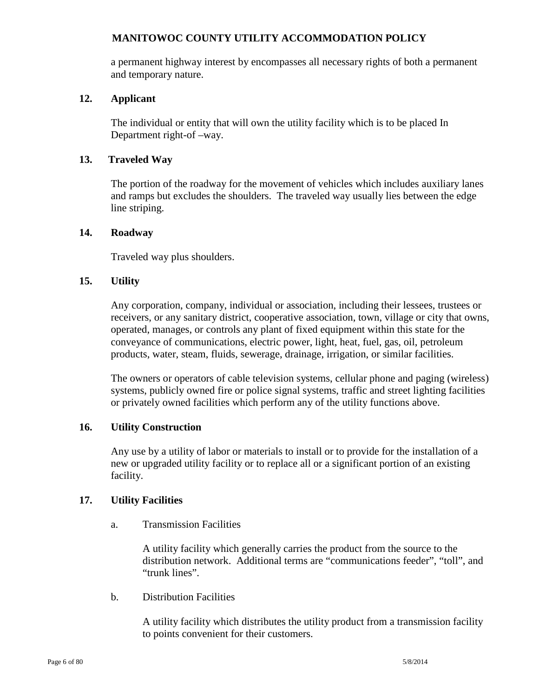a permanent highway interest by encompasses all necessary rights of both a permanent and temporary nature.

#### **12. Applicant**

The individual or entity that will own the utility facility which is to be placed In Department right-of –way.

### **13. Traveled Way**

The portion of the roadway for the movement of vehicles which includes auxiliary lanes and ramps but excludes the shoulders. The traveled way usually lies between the edge line striping.

#### **14. Roadway**

Traveled way plus shoulders.

### **15. Utility**

Any corporation, company, individual or association, including their lessees, trustees or receivers, or any sanitary district, cooperative association, town, village or city that owns, operated, manages, or controls any plant of fixed equipment within this state for the conveyance of communications, electric power, light, heat, fuel, gas, oil, petroleum products, water, steam, fluids, sewerage, drainage, irrigation, or similar facilities.

The owners or operators of cable television systems, cellular phone and paging (wireless) systems, publicly owned fire or police signal systems, traffic and street lighting facilities or privately owned facilities which perform any of the utility functions above.

#### **16. Utility Construction**

Any use by a utility of labor or materials to install or to provide for the installation of a new or upgraded utility facility or to replace all or a significant portion of an existing facility.

#### **17. Utility Facilities**

a. Transmission Facilities

A utility facility which generally carries the product from the source to the distribution network. Additional terms are "communications feeder", "toll", and "trunk lines".

b. Distribution Facilities

A utility facility which distributes the utility product from a transmission facility to points convenient for their customers.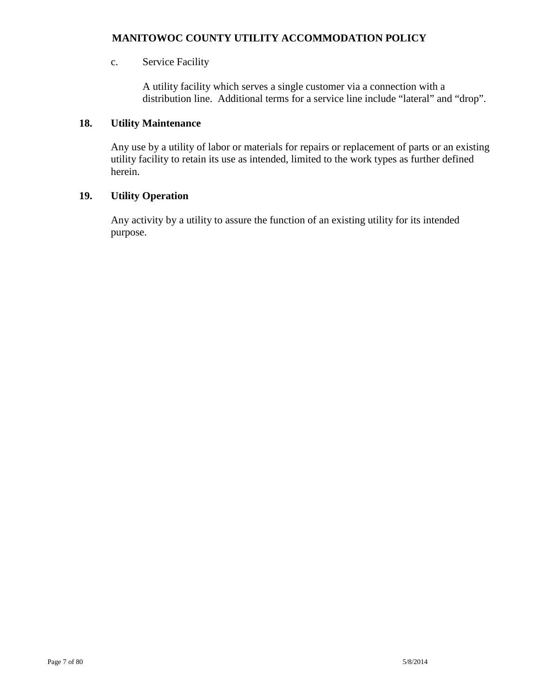### c. Service Facility

A utility facility which serves a single customer via a connection with a distribution line. Additional terms for a service line include "lateral" and "drop".

### **18. Utility Maintenance**

Any use by a utility of labor or materials for repairs or replacement of parts or an existing utility facility to retain its use as intended, limited to the work types as further defined herein.

### **19. Utility Operation**

Any activity by a utility to assure the function of an existing utility for its intended purpose.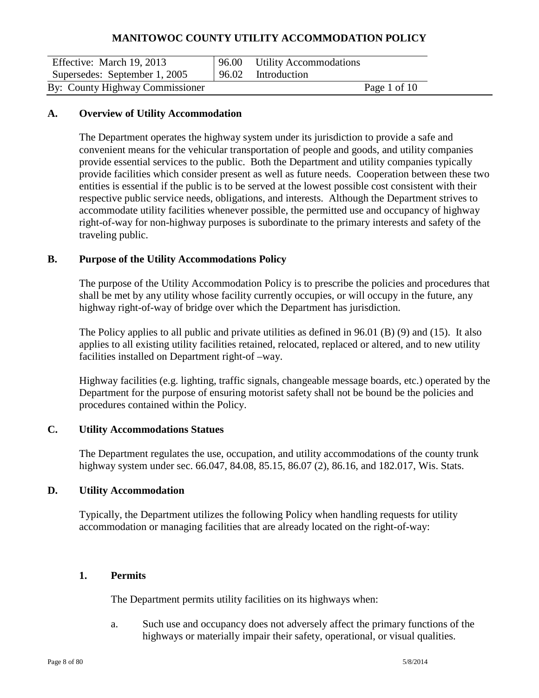| Effective: March 19, 2013       | 96.00 Utility Accommodations |  |
|---------------------------------|------------------------------|--|
| Supersedes: September 1, 2005   | 96.02 Introduction           |  |
| By: County Highway Commissioner | Page 1 of 10                 |  |

#### **A. Overview of Utility Accommodation**

The Department operates the highway system under its jurisdiction to provide a safe and convenient means for the vehicular transportation of people and goods, and utility companies provide essential services to the public. Both the Department and utility companies typically provide facilities which consider present as well as future needs. Cooperation between these two entities is essential if the public is to be served at the lowest possible cost consistent with their respective public service needs, obligations, and interests. Although the Department strives to accommodate utility facilities whenever possible, the permitted use and occupancy of highway right-of-way for non-highway purposes is subordinate to the primary interests and safety of the traveling public.

#### **B. Purpose of the Utility Accommodations Policy**

The purpose of the Utility Accommodation Policy is to prescribe the policies and procedures that shall be met by any utility whose facility currently occupies, or will occupy in the future, any highway right-of-way of bridge over which the Department has jurisdiction.

The Policy applies to all public and private utilities as defined in 96.01 (B) (9) and (15). It also applies to all existing utility facilities retained, relocated, replaced or altered, and to new utility facilities installed on Department right-of –way.

Highway facilities (e.g. lighting, traffic signals, changeable message boards, etc.) operated by the Department for the purpose of ensuring motorist safety shall not be bound be the policies and procedures contained within the Policy.

#### **C. Utility Accommodations Statues**

The Department regulates the use, occupation, and utility accommodations of the county trunk highway system under sec. 66.047, 84.08, 85.15, 86.07 (2), 86.16, and 182.017, Wis. Stats.

#### **D. Utility Accommodation**

Typically, the Department utilizes the following Policy when handling requests for utility accommodation or managing facilities that are already located on the right-of-way:

#### **1. Permits**

The Department permits utility facilities on its highways when:

a. Such use and occupancy does not adversely affect the primary functions of the highways or materially impair their safety, operational, or visual qualities.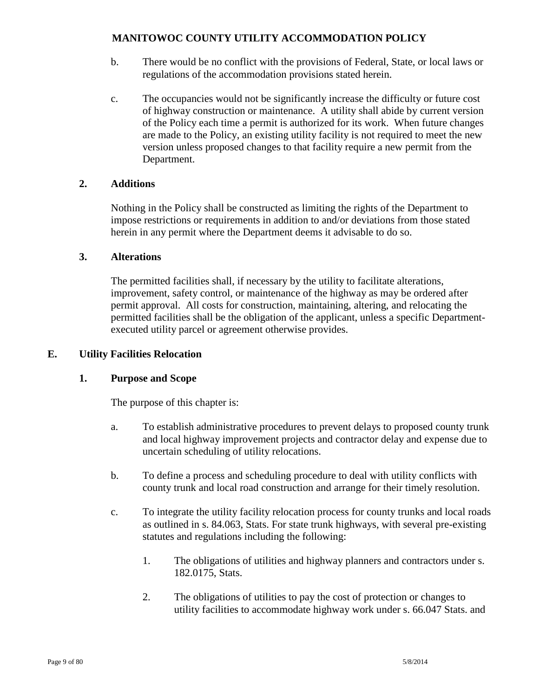- b. There would be no conflict with the provisions of Federal, State, or local laws or regulations of the accommodation provisions stated herein.
- c. The occupancies would not be significantly increase the difficulty or future cost of highway construction or maintenance. A utility shall abide by current version of the Policy each time a permit is authorized for its work. When future changes are made to the Policy, an existing utility facility is not required to meet the new version unless proposed changes to that facility require a new permit from the Department.

### **2. Additions**

Nothing in the Policy shall be constructed as limiting the rights of the Department to impose restrictions or requirements in addition to and/or deviations from those stated herein in any permit where the Department deems it advisable to do so.

### **3. Alterations**

The permitted facilities shall, if necessary by the utility to facilitate alterations, improvement, safety control, or maintenance of the highway as may be ordered after permit approval. All costs for construction, maintaining, altering, and relocating the permitted facilities shall be the obligation of the applicant, unless a specific Departmentexecuted utility parcel or agreement otherwise provides.

### **E. Utility Facilities Relocation**

#### **1. Purpose and Scope**

The purpose of this chapter is:

- a. To establish administrative procedures to prevent delays to proposed county trunk and local highway improvement projects and contractor delay and expense due to uncertain scheduling of utility relocations.
- b. To define a process and scheduling procedure to deal with utility conflicts with county trunk and local road construction and arrange for their timely resolution.
- c. To integrate the utility facility relocation process for county trunks and local roads as outlined in s. 84.063, Stats. For state trunk highways, with several pre-existing statutes and regulations including the following:
	- 1. The obligations of utilities and highway planners and contractors under s. 182.0175, Stats.
	- 2. The obligations of utilities to pay the cost of protection or changes to utility facilities to accommodate highway work under s. 66.047 Stats. and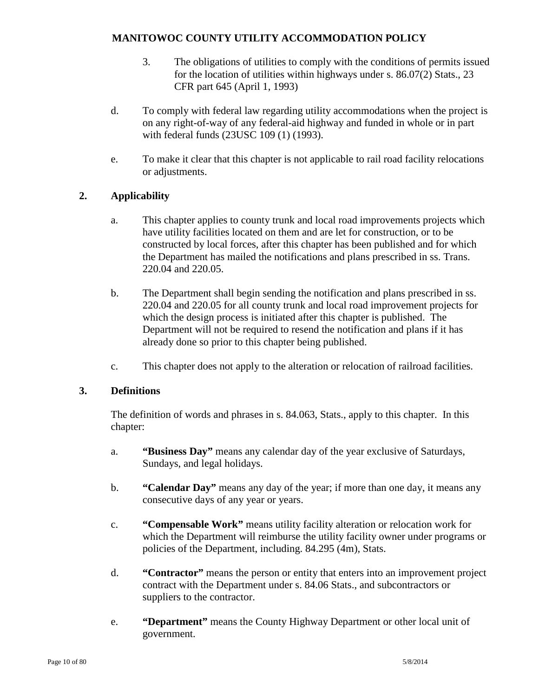- 3. The obligations of utilities to comply with the conditions of permits issued for the location of utilities within highways under s. 86.07(2) Stats., 23 CFR part 645 (April 1, 1993)
- d. To comply with federal law regarding utility accommodations when the project is on any right-of-way of any federal-aid highway and funded in whole or in part with federal funds (23USC 109 (1) (1993).
- e. To make it clear that this chapter is not applicable to rail road facility relocations or adjustments.

### **2. Applicability**

- a. This chapter applies to county trunk and local road improvements projects which have utility facilities located on them and are let for construction, or to be constructed by local forces, after this chapter has been published and for which the Department has mailed the notifications and plans prescribed in ss. Trans. 220.04 and 220.05.
- b. The Department shall begin sending the notification and plans prescribed in ss. 220.04 and 220.05 for all county trunk and local road improvement projects for which the design process is initiated after this chapter is published. The Department will not be required to resend the notification and plans if it has already done so prior to this chapter being published.
- c. This chapter does not apply to the alteration or relocation of railroad facilities.

# **3. Definitions**

The definition of words and phrases in s. 84.063, Stats., apply to this chapter. In this chapter:

- a. **"Business Day"** means any calendar day of the year exclusive of Saturdays, Sundays, and legal holidays.
- b. **"Calendar Day"** means any day of the year; if more than one day, it means any consecutive days of any year or years.
- c. **"Compensable Work"** means utility facility alteration or relocation work for which the Department will reimburse the utility facility owner under programs or policies of the Department, including. 84.295 (4m), Stats.
- d. **"Contractor"** means the person or entity that enters into an improvement project contract with the Department under s. 84.06 Stats., and subcontractors or suppliers to the contractor.
- e. **"Department"** means the County Highway Department or other local unit of government.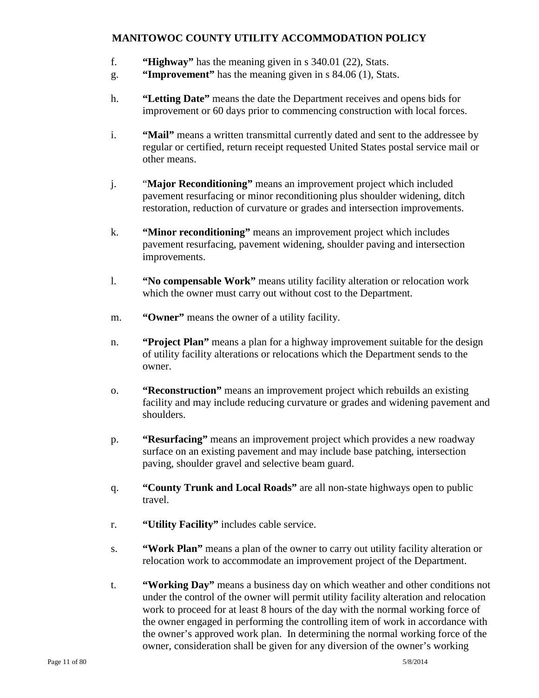- f. **"Highway"** has the meaning given in s 340.01 (22), Stats.
- g. **"Improvement"** has the meaning given in s 84.06 (1), Stats.
- h. **"Letting Date"** means the date the Department receives and opens bids for improvement or 60 days prior to commencing construction with local forces.
- i. **"Mail"** means a written transmittal currently dated and sent to the addressee by regular or certified, return receipt requested United States postal service mail or other means.
- j. "**Major Reconditioning"** means an improvement project which included pavement resurfacing or minor reconditioning plus shoulder widening, ditch restoration, reduction of curvature or grades and intersection improvements.
- k. **"Minor reconditioning"** means an improvement project which includes pavement resurfacing, pavement widening, shoulder paving and intersection improvements.
- l. **"No compensable Work"** means utility facility alteration or relocation work which the owner must carry out without cost to the Department.
- m. **"Owner"** means the owner of a utility facility.
- n. **"Project Plan"** means a plan for a highway improvement suitable for the design of utility facility alterations or relocations which the Department sends to the owner.
- o. **"Reconstruction"** means an improvement project which rebuilds an existing facility and may include reducing curvature or grades and widening pavement and shoulders.
- p. **"Resurfacing"** means an improvement project which provides a new roadway surface on an existing pavement and may include base patching, intersection paving, shoulder gravel and selective beam guard.
- q. **"County Trunk and Local Roads"** are all non-state highways open to public travel.
- r. **"Utility Facility"** includes cable service.
- s. **"Work Plan"** means a plan of the owner to carry out utility facility alteration or relocation work to accommodate an improvement project of the Department.
- t. **"Working Day"** means a business day on which weather and other conditions not under the control of the owner will permit utility facility alteration and relocation work to proceed for at least 8 hours of the day with the normal working force of the owner engaged in performing the controlling item of work in accordance with the owner's approved work plan. In determining the normal working force of the owner, consideration shall be given for any diversion of the owner's working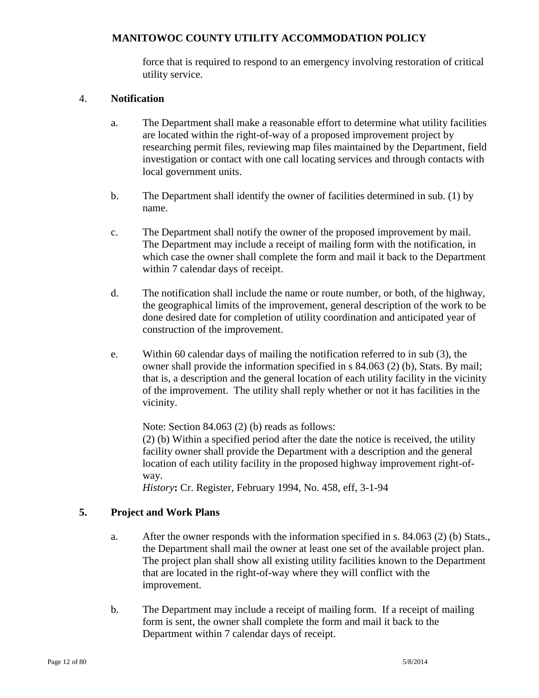force that is required to respond to an emergency involving restoration of critical utility service.

#### 4. **Notification**

- a. The Department shall make a reasonable effort to determine what utility facilities are located within the right-of-way of a proposed improvement project by researching permit files, reviewing map files maintained by the Department, field investigation or contact with one call locating services and through contacts with local government units.
- b. The Department shall identify the owner of facilities determined in sub. (1) by name.
- c. The Department shall notify the owner of the proposed improvement by mail. The Department may include a receipt of mailing form with the notification, in which case the owner shall complete the form and mail it back to the Department within 7 calendar days of receipt.
- d. The notification shall include the name or route number, or both, of the highway, the geographical limits of the improvement, general description of the work to be done desired date for completion of utility coordination and anticipated year of construction of the improvement.
- e. Within 60 calendar days of mailing the notification referred to in sub (3), the owner shall provide the information specified in s 84.063 (2) (b), Stats. By mail; that is, a description and the general location of each utility facility in the vicinity of the improvement. The utility shall reply whether or not it has facilities in the vicinity.

Note: Section 84.063 (2) (b) reads as follows: (2) (b) Within a specified period after the date the notice is received, the utility facility owner shall provide the Department with a description and the general location of each utility facility in the proposed highway improvement right-ofway.

*History***:** Cr. Register, February 1994, No. 458, eff, 3-1-94

#### **5. Project and Work Plans**

- a. After the owner responds with the information specified in s. 84.063 (2) (b) Stats., the Department shall mail the owner at least one set of the available project plan. The project plan shall show all existing utility facilities known to the Department that are located in the right-of-way where they will conflict with the improvement.
- b. The Department may include a receipt of mailing form. If a receipt of mailing form is sent, the owner shall complete the form and mail it back to the Department within 7 calendar days of receipt.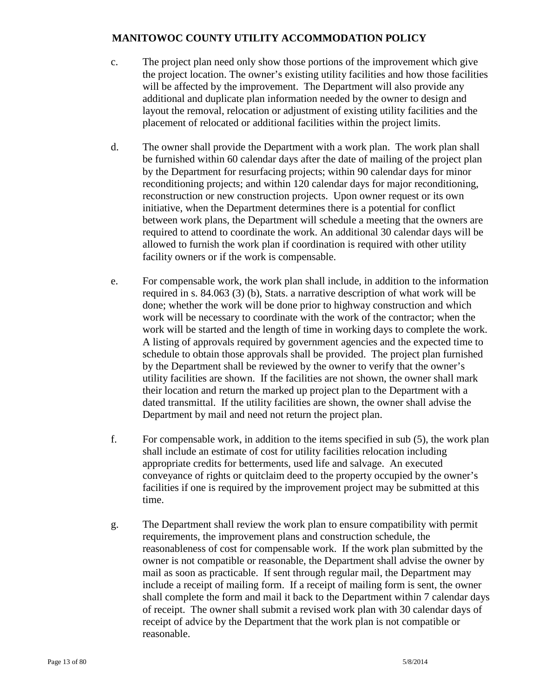- c. The project plan need only show those portions of the improvement which give the project location. The owner's existing utility facilities and how those facilities will be affected by the improvement. The Department will also provide any additional and duplicate plan information needed by the owner to design and layout the removal, relocation or adjustment of existing utility facilities and the placement of relocated or additional facilities within the project limits.
- d. The owner shall provide the Department with a work plan. The work plan shall be furnished within 60 calendar days after the date of mailing of the project plan by the Department for resurfacing projects; within 90 calendar days for minor reconditioning projects; and within 120 calendar days for major reconditioning, reconstruction or new construction projects. Upon owner request or its own initiative, when the Department determines there is a potential for conflict between work plans, the Department will schedule a meeting that the owners are required to attend to coordinate the work. An additional 30 calendar days will be allowed to furnish the work plan if coordination is required with other utility facility owners or if the work is compensable.
- e. For compensable work, the work plan shall include, in addition to the information required in s. 84.063 (3) (b), Stats. a narrative description of what work will be done; whether the work will be done prior to highway construction and which work will be necessary to coordinate with the work of the contractor; when the work will be started and the length of time in working days to complete the work. A listing of approvals required by government agencies and the expected time to schedule to obtain those approvals shall be provided. The project plan furnished by the Department shall be reviewed by the owner to verify that the owner's utility facilities are shown. If the facilities are not shown, the owner shall mark their location and return the marked up project plan to the Department with a dated transmittal. If the utility facilities are shown, the owner shall advise the Department by mail and need not return the project plan.
- f. For compensable work, in addition to the items specified in sub (5), the work plan shall include an estimate of cost for utility facilities relocation including appropriate credits for betterments, used life and salvage. An executed conveyance of rights or quitclaim deed to the property occupied by the owner's facilities if one is required by the improvement project may be submitted at this time.
- g. The Department shall review the work plan to ensure compatibility with permit requirements, the improvement plans and construction schedule, the reasonableness of cost for compensable work. If the work plan submitted by the owner is not compatible or reasonable, the Department shall advise the owner by mail as soon as practicable. If sent through regular mail, the Department may include a receipt of mailing form. If a receipt of mailing form is sent, the owner shall complete the form and mail it back to the Department within 7 calendar days of receipt. The owner shall submit a revised work plan with 30 calendar days of receipt of advice by the Department that the work plan is not compatible or reasonable.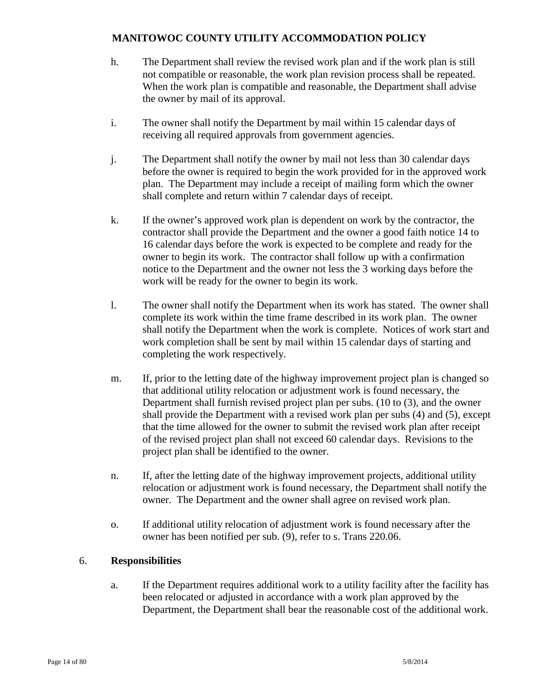- h. The Department shall review the revised work plan and if the work plan is still not compatible or reasonable, the work plan revision process shall be repeated. When the work plan is compatible and reasonable, the Department shall advise the owner by mail of its approval.
- i. The owner shall notify the Department by mail within 15 calendar days of receiving all required approvals from government agencies.
- j. The Department shall notify the owner by mail not less than 30 calendar days before the owner is required to begin the work provided for in the approved work plan. The Department may include a receipt of mailing form which the owner shall complete and return within 7 calendar days of receipt.
- k. If the owner's approved work plan is dependent on work by the contractor, the contractor shall provide the Department and the owner a good faith notice 14 to 16 calendar days before the work is expected to be complete and ready for the owner to begin its work. The contractor shall follow up with a confirmation notice to the Department and the owner not less the 3 working days before the work will be ready for the owner to begin its work.
- l. The owner shall notify the Department when its work has stated. The owner shall complete its work within the time frame described in its work plan. The owner shall notify the Department when the work is complete. Notices of work start and work completion shall be sent by mail within 15 calendar days of starting and completing the work respectively.
- m. If, prior to the letting date of the highway improvement project plan is changed so that additional utility relocation or adjustment work is found necessary, the Department shall furnish revised project plan per subs. (10 to (3), and the owner shall provide the Department with a revised work plan per subs (4) and (5), except that the time allowed for the owner to submit the revised work plan after receipt of the revised project plan shall not exceed 60 calendar days. Revisions to the project plan shall be identified to the owner.
- n. If, after the letting date of the highway improvement projects, additional utility relocation or adjustment work is found necessary, the Department shall notify the owner. The Department and the owner shall agree on revised work plan.
- o. If additional utility relocation of adjustment work is found necessary after the owner has been notified per sub. (9), refer to s. Trans 220.06.

# 6. **Responsibilities**

a. If the Department requires additional work to a utility facility after the facility has been relocated or adjusted in accordance with a work plan approved by the Department, the Department shall bear the reasonable cost of the additional work.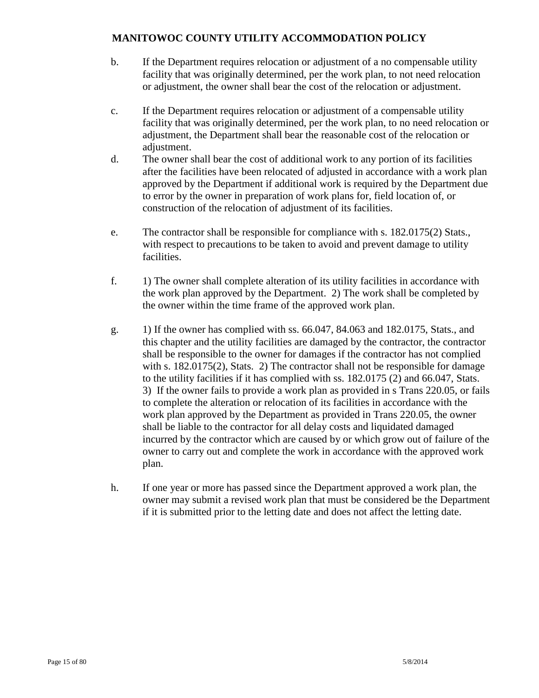- b. If the Department requires relocation or adjustment of a no compensable utility facility that was originally determined, per the work plan, to not need relocation or adjustment, the owner shall bear the cost of the relocation or adjustment.
- c. If the Department requires relocation or adjustment of a compensable utility facility that was originally determined, per the work plan, to no need relocation or adjustment, the Department shall bear the reasonable cost of the relocation or adjustment.
- d. The owner shall bear the cost of additional work to any portion of its facilities after the facilities have been relocated of adjusted in accordance with a work plan approved by the Department if additional work is required by the Department due to error by the owner in preparation of work plans for, field location of, or construction of the relocation of adjustment of its facilities.
- e. The contractor shall be responsible for compliance with s. 182.0175(2) Stats., with respect to precautions to be taken to avoid and prevent damage to utility facilities.
- f. 1) The owner shall complete alteration of its utility facilities in accordance with the work plan approved by the Department. 2) The work shall be completed by the owner within the time frame of the approved work plan.
- g. 1) If the owner has complied with ss. 66.047, 84.063 and 182.0175, Stats., and this chapter and the utility facilities are damaged by the contractor, the contractor shall be responsible to the owner for damages if the contractor has not complied with s. 182.0175(2), Stats. 2) The contractor shall not be responsible for damage to the utility facilities if it has complied with ss. 182.0175 (2) and 66.047, Stats. 3) If the owner fails to provide a work plan as provided in s Trans 220.05, or fails to complete the alteration or relocation of its facilities in accordance with the work plan approved by the Department as provided in Trans 220.05, the owner shall be liable to the contractor for all delay costs and liquidated damaged incurred by the contractor which are caused by or which grow out of failure of the owner to carry out and complete the work in accordance with the approved work plan.
- h. If one year or more has passed since the Department approved a work plan, the owner may submit a revised work plan that must be considered be the Department if it is submitted prior to the letting date and does not affect the letting date.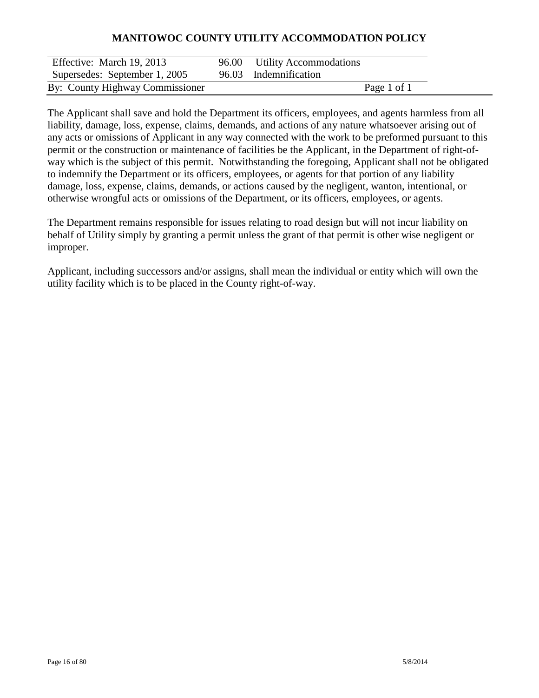| Effective: March 19, 2013       | 96.00 Utility Accommodations |             |  |
|---------------------------------|------------------------------|-------------|--|
| Supersedes: September 1, 2005   | 96.03 Indemnification        |             |  |
| By: County Highway Commissioner |                              | Page 1 of 1 |  |

The Applicant shall save and hold the Department its officers, employees, and agents harmless from all liability, damage, loss, expense, claims, demands, and actions of any nature whatsoever arising out of any acts or omissions of Applicant in any way connected with the work to be preformed pursuant to this permit or the construction or maintenance of facilities be the Applicant, in the Department of right-ofway which is the subject of this permit. Notwithstanding the foregoing, Applicant shall not be obligated to indemnify the Department or its officers, employees, or agents for that portion of any liability damage, loss, expense, claims, demands, or actions caused by the negligent, wanton, intentional, or otherwise wrongful acts or omissions of the Department, or its officers, employees, or agents.

The Department remains responsible for issues relating to road design but will not incur liability on behalf of Utility simply by granting a permit unless the grant of that permit is other wise negligent or improper.

Applicant, including successors and/or assigns, shall mean the individual or entity which will own the utility facility which is to be placed in the County right-of-way.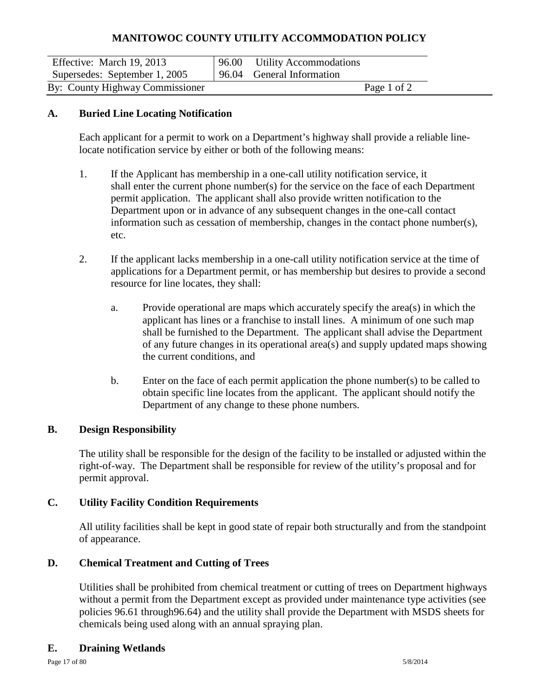| Effective: March 19, 2013       | 96.00 Utility Accommodations |             |  |
|---------------------------------|------------------------------|-------------|--|
| Supersedes: September 1, 2005   | 96.04 General Information    |             |  |
| By: County Highway Commissioner |                              | Page 1 of 2 |  |

### **A. Buried Line Locating Notification**

Each applicant for a permit to work on a Department's highway shall provide a reliable linelocate notification service by either or both of the following means:

- 1. If the Applicant has membership in a one-call utility notification service, it shall enter the current phone number(s) for the service on the face of each Department permit application. The applicant shall also provide written notification to the Department upon or in advance of any subsequent changes in the one-call contact information such as cessation of membership, changes in the contact phone number(s), etc.
- 2. If the applicant lacks membership in a one-call utility notification service at the time of applications for a Department permit, or has membership but desires to provide a second resource for line locates, they shall:
	- a. Provide operational are maps which accurately specify the area(s) in which the applicant has lines or a franchise to install lines. A minimum of one such map shall be furnished to the Department. The applicant shall advise the Department of any future changes in its operational area(s) and supply updated maps showing the current conditions, and
	- b. Enter on the face of each permit application the phone number(s) to be called to obtain specific line locates from the applicant. The applicant should notify the Department of any change to these phone numbers.

#### **B. Design Responsibility**

The utility shall be responsible for the design of the facility to be installed or adjusted within the right-of-way. The Department shall be responsible for review of the utility's proposal and for permit approval.

### **C. Utility Facility Condition Requirements**

All utility facilities shall be kept in good state of repair both structurally and from the standpoint of appearance.

### **D. Chemical Treatment and Cutting of Trees**

Utilities shall be prohibited from chemical treatment or cutting of trees on Department highways without a permit from the Department except as provided under maintenance type activities (see policies 96.61 through96.64) and the utility shall provide the Department with MSDS sheets for chemicals being used along with an annual spraying plan.

### **E. Draining Wetlands**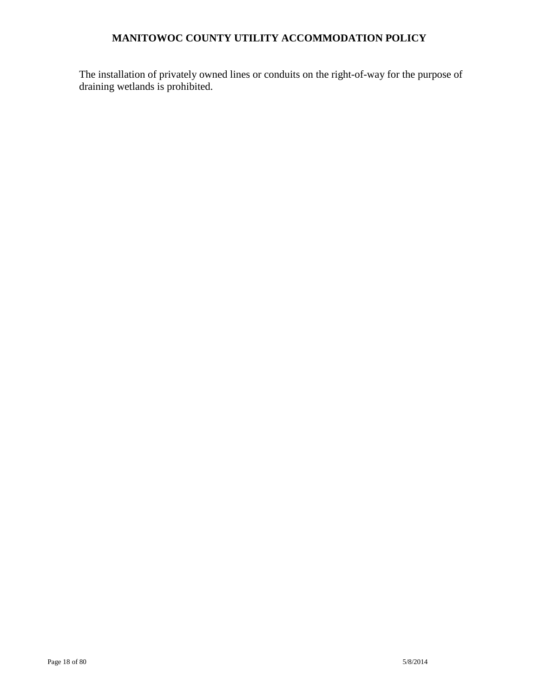The installation of privately owned lines or conduits on the right-of-way for the purpose of draining wetlands is prohibited.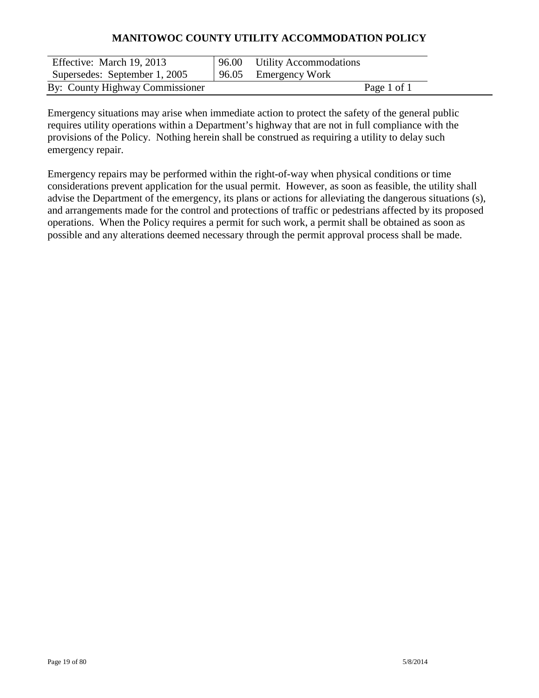| Effective: March 19, 2013       | 96.00 Utility Accommodations |
|---------------------------------|------------------------------|
| Supersedes: September 1, 2005   | 96.05 Emergency Work         |
| By: County Highway Commissioner | Page 1 of 1                  |

Emergency situations may arise when immediate action to protect the safety of the general public requires utility operations within a Department's highway that are not in full compliance with the provisions of the Policy. Nothing herein shall be construed as requiring a utility to delay such emergency repair.

Emergency repairs may be performed within the right-of-way when physical conditions or time considerations prevent application for the usual permit. However, as soon as feasible, the utility shall advise the Department of the emergency, its plans or actions for alleviating the dangerous situations (s), and arrangements made for the control and protections of traffic or pedestrians affected by its proposed operations. When the Policy requires a permit for such work, a permit shall be obtained as soon as possible and any alterations deemed necessary through the permit approval process shall be made.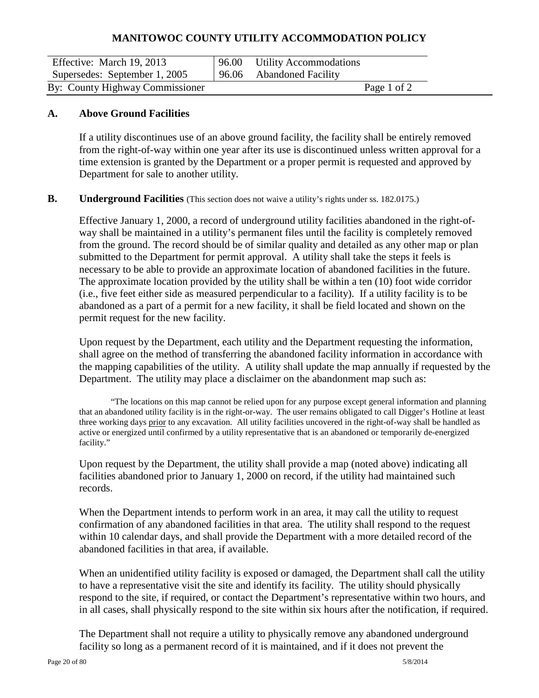| Effective: March 19, 2013       | 96.00 Utility Accommodations |             |  |
|---------------------------------|------------------------------|-------------|--|
| Supersedes: September 1, 2005   | 96.06 Abandoned Facility     |             |  |
| By: County Highway Commissioner |                              | Page 1 of 2 |  |

#### **A. Above Ground Facilities**

If a utility discontinues use of an above ground facility, the facility shall be entirely removed from the right-of-way within one year after its use is discontinued unless written approval for a time extension is granted by the Department or a proper permit is requested and approved by Department for sale to another utility.

#### **B. Underground Facilities** (This section does not waive a utility's rights under ss. 182.0175.)

Effective January 1, 2000, a record of underground utility facilities abandoned in the right-ofway shall be maintained in a utility's permanent files until the facility is completely removed from the ground. The record should be of similar quality and detailed as any other map or plan submitted to the Department for permit approval. A utility shall take the steps it feels is necessary to be able to provide an approximate location of abandoned facilities in the future. The approximate location provided by the utility shall be within a ten (10) foot wide corridor (i.e., five feet either side as measured perpendicular to a facility). If a utility facility is to be abandoned as a part of a permit for a new facility, it shall be field located and shown on the permit request for the new facility.

Upon request by the Department, each utility and the Department requesting the information, shall agree on the method of transferring the abandoned facility information in accordance with the mapping capabilities of the utility. A utility shall update the map annually if requested by the Department. The utility may place a disclaimer on the abandonment map such as:

"The locations on this map cannot be relied upon for any purpose except general information and planning that an abandoned utility facility is in the right-or-way. The user remains obligated to call Digger's Hotline at least three working days prior to any excavation. All utility facilities uncovered in the right-of-way shall be handled as active or energized until confirmed by a utility representative that is an abandoned or temporarily de-energized facility."

Upon request by the Department, the utility shall provide a map (noted above) indicating all facilities abandoned prior to January 1, 2000 on record, if the utility had maintained such records.

When the Department intends to perform work in an area, it may call the utility to request confirmation of any abandoned facilities in that area. The utility shall respond to the request within 10 calendar days, and shall provide the Department with a more detailed record of the abandoned facilities in that area, if available.

When an unidentified utility facility is exposed or damaged, the Department shall call the utility to have a representative visit the site and identify its facility. The utility should physically respond to the site, if required, or contact the Department's representative within two hours, and in all cases, shall physically respond to the site within six hours after the notification, if required.

The Department shall not require a utility to physically remove any abandoned underground facility so long as a permanent record of it is maintained, and if it does not prevent the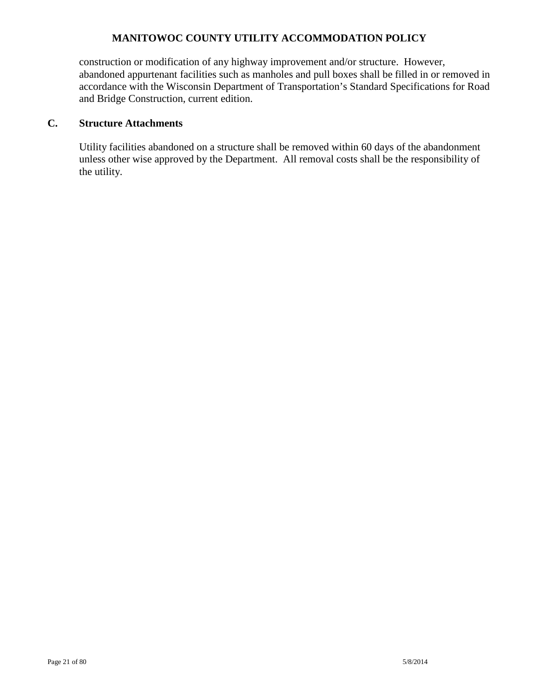construction or modification of any highway improvement and/or structure. However, abandoned appurtenant facilities such as manholes and pull boxes shall be filled in or removed in accordance with the Wisconsin Department of Transportation's Standard Specifications for Road and Bridge Construction, current edition.

### **C. Structure Attachments**

Utility facilities abandoned on a structure shall be removed within 60 days of the abandonment unless other wise approved by the Department. All removal costs shall be the responsibility of the utility.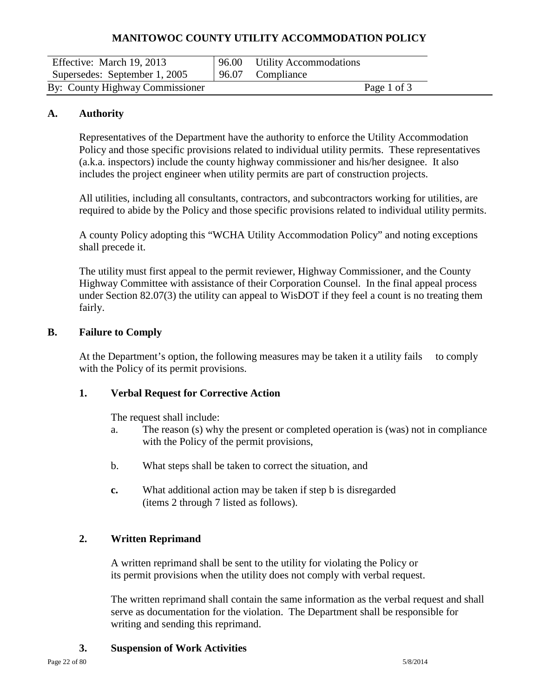| Effective: March 19, 2013       | 96.00 | <b>Utility Accommodations</b> |             |
|---------------------------------|-------|-------------------------------|-------------|
| Supersedes: September 1, 2005   | 96.07 | Compliance                    |             |
| By: County Highway Commissioner |       |                               | Page 1 of 3 |

### **A. Authority**

Representatives of the Department have the authority to enforce the Utility Accommodation Policy and those specific provisions related to individual utility permits. These representatives (a.k.a. inspectors) include the county highway commissioner and his/her designee. It also includes the project engineer when utility permits are part of construction projects.

All utilities, including all consultants, contractors, and subcontractors working for utilities, are required to abide by the Policy and those specific provisions related to individual utility permits.

A county Policy adopting this "WCHA Utility Accommodation Policy" and noting exceptions shall precede it.

The utility must first appeal to the permit reviewer, Highway Commissioner, and the County Highway Committee with assistance of their Corporation Counsel. In the final appeal process under Section 82.07(3) the utility can appeal to WisDOT if they feel a count is no treating them fairly.

### **B. Failure to Comply**

At the Department's option, the following measures may be taken it a utility fails to comply with the Policy of its permit provisions.

### **1. Verbal Request for Corrective Action**

The request shall include:

- a. The reason (s) why the present or completed operation is (was) not in compliance with the Policy of the permit provisions,
- b. What steps shall be taken to correct the situation, and
- **c.** What additional action may be taken if step b is disregarded (items 2 through 7 listed as follows).

### **2. Written Reprimand**

A written reprimand shall be sent to the utility for violating the Policy or its permit provisions when the utility does not comply with verbal request.

The written reprimand shall contain the same information as the verbal request and shall serve as documentation for the violation. The Department shall be responsible for writing and sending this reprimand.

#### **3. Suspension of Work Activities**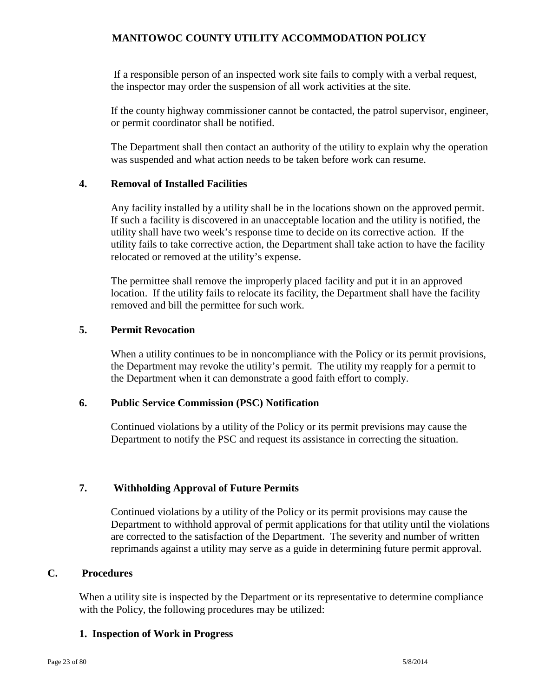If a responsible person of an inspected work site fails to comply with a verbal request, the inspector may order the suspension of all work activities at the site.

If the county highway commissioner cannot be contacted, the patrol supervisor, engineer, or permit coordinator shall be notified.

The Department shall then contact an authority of the utility to explain why the operation was suspended and what action needs to be taken before work can resume.

#### **4. Removal of Installed Facilities**

Any facility installed by a utility shall be in the locations shown on the approved permit. If such a facility is discovered in an unacceptable location and the utility is notified, the utility shall have two week's response time to decide on its corrective action. If the utility fails to take corrective action, the Department shall take action to have the facility relocated or removed at the utility's expense.

The permittee shall remove the improperly placed facility and put it in an approved location. If the utility fails to relocate its facility, the Department shall have the facility removed and bill the permittee for such work.

#### **5. Permit Revocation**

When a utility continues to be in noncompliance with the Policy or its permit provisions, the Department may revoke the utility's permit. The utility my reapply for a permit to the Department when it can demonstrate a good faith effort to comply.

#### **6. Public Service Commission (PSC) Notification**

Continued violations by a utility of the Policy or its permit previsions may cause the Department to notify the PSC and request its assistance in correcting the situation.

#### **7. Withholding Approval of Future Permits**

Continued violations by a utility of the Policy or its permit provisions may cause the Department to withhold approval of permit applications for that utility until the violations are corrected to the satisfaction of the Department. The severity and number of written reprimands against a utility may serve as a guide in determining future permit approval.

### **C. Procedures**

When a utility site is inspected by the Department or its representative to determine compliance with the Policy, the following procedures may be utilized:

#### **1. Inspection of Work in Progress**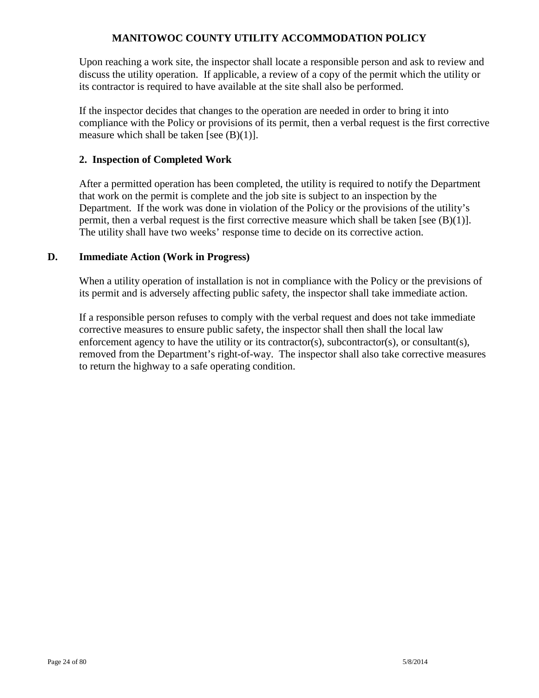Upon reaching a work site, the inspector shall locate a responsible person and ask to review and discuss the utility operation. If applicable, a review of a copy of the permit which the utility or its contractor is required to have available at the site shall also be performed.

If the inspector decides that changes to the operation are needed in order to bring it into compliance with the Policy or provisions of its permit, then a verbal request is the first corrective measure which shall be taken [see  $(B)(1)$ ].

### **2. Inspection of Completed Work**

After a permitted operation has been completed, the utility is required to notify the Department that work on the permit is complete and the job site is subject to an inspection by the Department. If the work was done in violation of the Policy or the provisions of the utility's permit, then a verbal request is the first corrective measure which shall be taken [see  $(B)(1)$ ]. The utility shall have two weeks' response time to decide on its corrective action.

### **D. Immediate Action (Work in Progress)**

When a utility operation of installation is not in compliance with the Policy or the previsions of its permit and is adversely affecting public safety, the inspector shall take immediate action.

If a responsible person refuses to comply with the verbal request and does not take immediate corrective measures to ensure public safety, the inspector shall then shall the local law enforcement agency to have the utility or its contractor(s), subcontractor(s), or consultant(s), removed from the Department's right-of-way. The inspector shall also take corrective measures to return the highway to a safe operating condition.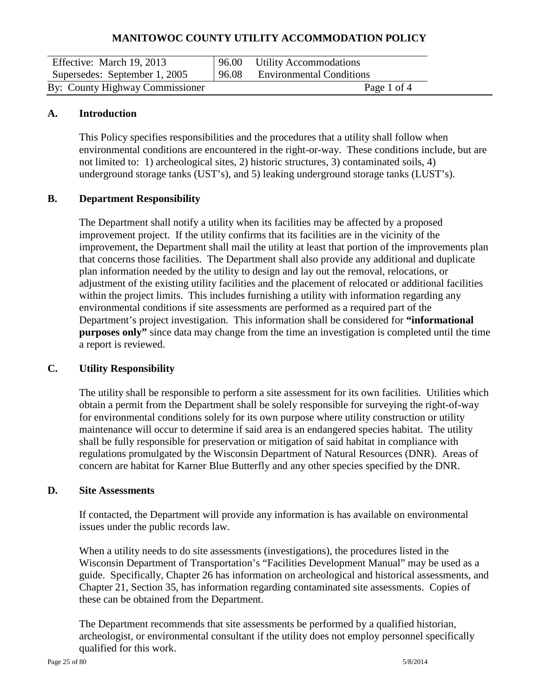| Effective: March 19, 2013       | 96.00 Utility Accommodations   |  |
|---------------------------------|--------------------------------|--|
| Supersedes: September 1, 2005   | 96.08 Environmental Conditions |  |
| By: County Highway Commissioner | Page 1 of 4                    |  |

### **A. Introduction**

This Policy specifies responsibilities and the procedures that a utility shall follow when environmental conditions are encountered in the right-or-way. These conditions include, but are not limited to: 1) archeological sites, 2) historic structures, 3) contaminated soils, 4) underground storage tanks (UST's), and 5) leaking underground storage tanks (LUST's).

### **B. Department Responsibility**

The Department shall notify a utility when its facilities may be affected by a proposed improvement project. If the utility confirms that its facilities are in the vicinity of the improvement, the Department shall mail the utility at least that portion of the improvements plan that concerns those facilities. The Department shall also provide any additional and duplicate plan information needed by the utility to design and lay out the removal, relocations, or adjustment of the existing utility facilities and the placement of relocated or additional facilities within the project limits. This includes furnishing a utility with information regarding any environmental conditions if site assessments are performed as a required part of the Department's project investigation. This information shall be considered for **"informational purposes only"** since data may change from the time an investigation is completed until the time a report is reviewed.

### **C. Utility Responsibility**

The utility shall be responsible to perform a site assessment for its own facilities. Utilities which obtain a permit from the Department shall be solely responsible for surveying the right-of-way for environmental conditions solely for its own purpose where utility construction or utility maintenance will occur to determine if said area is an endangered species habitat. The utility shall be fully responsible for preservation or mitigation of said habitat in compliance with regulations promulgated by the Wisconsin Department of Natural Resources (DNR). Areas of concern are habitat for Karner Blue Butterfly and any other species specified by the DNR.

#### **D. Site Assessments**

If contacted, the Department will provide any information is has available on environmental issues under the public records law.

When a utility needs to do site assessments (investigations), the procedures listed in the Wisconsin Department of Transportation's "Facilities Development Manual" may be used as a guide. Specifically, Chapter 26 has information on archeological and historical assessments, and Chapter 21, Section 35, has information regarding contaminated site assessments. Copies of these can be obtained from the Department.

The Department recommends that site assessments be performed by a qualified historian, archeologist, or environmental consultant if the utility does not employ personnel specifically qualified for this work.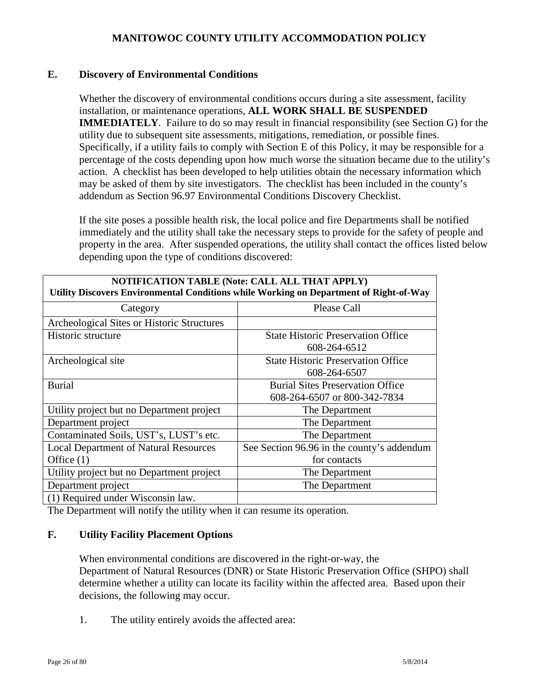### **E. Discovery of Environmental Conditions**

Whether the discovery of environmental conditions occurs during a site assessment, facility installation, or maintenance operations, **ALL WORK SHALL BE SUSPENDED IMMEDIATELY**. Failure to do so may result in financial responsibility (see Section G) for the utility due to subsequent site assessments, mitigations, remediation, or possible fines. Specifically, if a utility fails to comply with Section E of this Policy, it may be responsible for a percentage of the costs depending upon how much worse the situation became due to the utility's action. A checklist has been developed to help utilities obtain the necessary information which may be asked of them by site investigators. The checklist has been included in the county's addendum as Section 96.97 Environmental Conditions Discovery Checklist.

If the site poses a possible health risk, the local police and fire Departments shall be notified immediately and the utility shall take the necessary steps to provide for the safety of people and property in the area. After suspended operations, the utility shall contact the offices listed below depending upon the type of conditions discovered:

| NOTIFICATION TABLE (Note: CALL ALL THAT APPLY)<br>Utility Discovers Environmental Conditions while Working on Department of Right-of-Way |                                            |  |  |
|------------------------------------------------------------------------------------------------------------------------------------------|--------------------------------------------|--|--|
| Category                                                                                                                                 | <b>Please Call</b>                         |  |  |
| Archeological Sites or Historic Structures                                                                                               |                                            |  |  |
| Historic structure                                                                                                                       | <b>State Historic Preservation Office</b>  |  |  |
|                                                                                                                                          | 608-264-6512                               |  |  |
| Archeological site                                                                                                                       | <b>State Historic Preservation Office</b>  |  |  |
|                                                                                                                                          | 608-264-6507                               |  |  |
| <b>Burial</b>                                                                                                                            | <b>Burial Sites Preservation Office</b>    |  |  |
|                                                                                                                                          | 608-264-6507 or 800-342-7834               |  |  |
| Utility project but no Department project                                                                                                | The Department                             |  |  |
| Department project                                                                                                                       | The Department                             |  |  |
| Contaminated Soils, UST's, LUST's etc.                                                                                                   | The Department                             |  |  |
| <b>Local Department of Natural Resources</b>                                                                                             | See Section 96.96 in the county's addendum |  |  |
| Office $(1)$                                                                                                                             | for contacts                               |  |  |
| Utility project but no Department project                                                                                                | The Department                             |  |  |
| Department project                                                                                                                       | The Department                             |  |  |
| (1) Required under Wisconsin law.                                                                                                        |                                            |  |  |

The Department will notify the utility when it can resume its operation.

#### **F. Utility Facility Placement Options**

 When environmental conditions are discovered in the right-or-way, the Department of Natural Resources (DNR) or State Historic Preservation Office (SHPO) shall determine whether a utility can locate its facility within the affected area. Based upon their decisions, the following may occur.

1. The utility entirely avoids the affected area: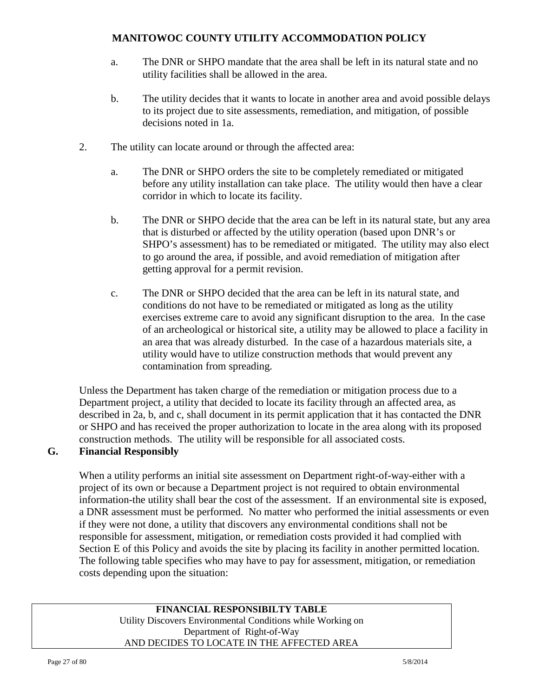- a. The DNR or SHPO mandate that the area shall be left in its natural state and no utility facilities shall be allowed in the area.
- b. The utility decides that it wants to locate in another area and avoid possible delays to its project due to site assessments, remediation, and mitigation, of possible decisions noted in 1a.
- 2. The utility can locate around or through the affected area:
	- a. The DNR or SHPO orders the site to be completely remediated or mitigated before any utility installation can take place. The utility would then have a clear corridor in which to locate its facility.
	- b. The DNR or SHPO decide that the area can be left in its natural state, but any area that is disturbed or affected by the utility operation (based upon DNR's or SHPO's assessment) has to be remediated or mitigated. The utility may also elect to go around the area, if possible, and avoid remediation of mitigation after getting approval for a permit revision.
	- c. The DNR or SHPO decided that the area can be left in its natural state, and conditions do not have to be remediated or mitigated as long as the utility exercises extreme care to avoid any significant disruption to the area. In the case of an archeological or historical site, a utility may be allowed to place a facility in an area that was already disturbed. In the case of a hazardous materials site, a utility would have to utilize construction methods that would prevent any contamination from spreading.

Unless the Department has taken charge of the remediation or mitigation process due to a Department project, a utility that decided to locate its facility through an affected area, as described in 2a, b, and c, shall document in its permit application that it has contacted the DNR or SHPO and has received the proper authorization to locate in the area along with its proposed construction methods. The utility will be responsible for all associated costs.

# **G. Financial Responsibly**

When a utility performs an initial site assessment on Department right-of-way-either with a project of its own or because a Department project is not required to obtain environmental information-the utility shall bear the cost of the assessment. If an environmental site is exposed, a DNR assessment must be performed. No matter who performed the initial assessments or even if they were not done, a utility that discovers any environmental conditions shall not be responsible for assessment, mitigation, or remediation costs provided it had complied with Section E of this Policy and avoids the site by placing its facility in another permitted location. The following table specifies who may have to pay for assessment, mitigation, or remediation costs depending upon the situation:

### **FINANCIAL RESPONSIBILTY TABLE** Utility Discovers Environmental Conditions while Working on Department of Right-of-Way AND DECIDES TO LOCATE IN THE AFFECTED AREA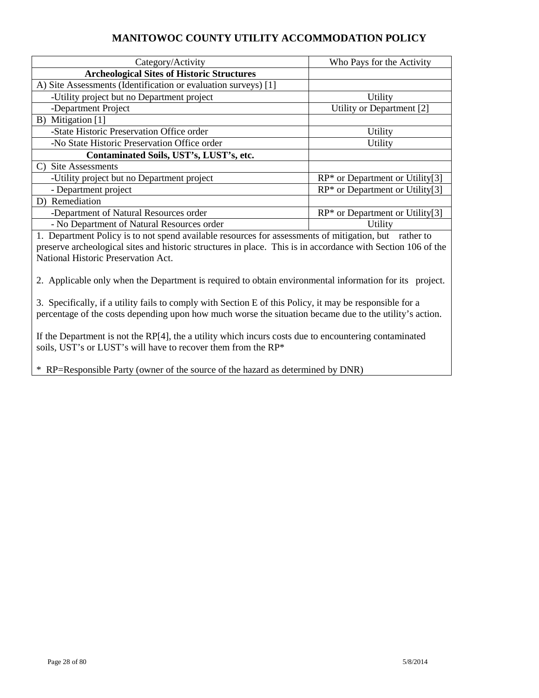| Category/Activity                                                                | Who Pays for the Activity                      |  |  |
|----------------------------------------------------------------------------------|------------------------------------------------|--|--|
| <b>Archeological Sites of Historic Structures</b>                                |                                                |  |  |
| A) Site Assessments (Identification or evaluation surveys) [1]                   |                                                |  |  |
| -Utility project but no Department project                                       | Utility                                        |  |  |
| -Department Project                                                              | Utility or Department [2]                      |  |  |
| B) Mitigation [1]                                                                |                                                |  |  |
| -State Historic Preservation Office order                                        | Utility                                        |  |  |
| -No State Historic Preservation Office order<br>Utility                          |                                                |  |  |
| Contaminated Soils, UST's, LUST's, etc.                                          |                                                |  |  |
| C) Site Assessments                                                              |                                                |  |  |
| $RP^*$ or Department or Utility[3]<br>-Utility project but no Department project |                                                |  |  |
| $RP^*$ or Department or Utility <sup>[3]</sup><br>- Department project           |                                                |  |  |
| D) Remediation                                                                   |                                                |  |  |
| -Department of Natural Resources order                                           | $RP^*$ or Department or Utility <sup>[3]</sup> |  |  |
| - No Department of Natural Resources order                                       | Utility                                        |  |  |

1. Department Policy is to not spend available resources for assessments of mitigation, but rather to preserve archeological sites and historic structures in place. This is in accordance with Section 106 of the National Historic Preservation Act.

2. Applicable only when the Department is required to obtain environmental information for its project.

3. Specifically, if a utility fails to comply with Section E of this Policy, it may be responsible for a percentage of the costs depending upon how much worse the situation became due to the utility's action.

If the Department is not the RP[4], the a utility which incurs costs due to encountering contaminated soils, UST's or LUST's will have to recover them from the RP\*

\* RP=Responsible Party (owner of the source of the hazard as determined by DNR)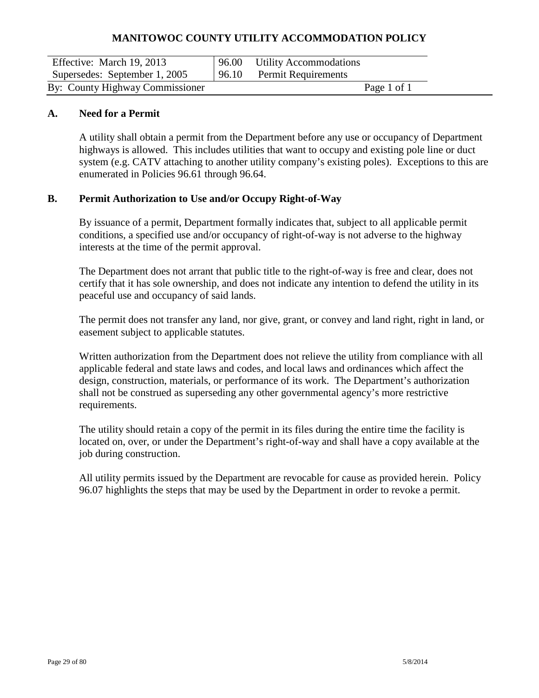| Effective: March 19, 2013       | 96.00 Utility Accommodations      |  |
|---------------------------------|-----------------------------------|--|
| Supersedes: September 1, 2005   | $\vert 96.10$ Permit Requirements |  |
| By: County Highway Commissioner | Page 1 of 1                       |  |

#### **A. Need for a Permit**

A utility shall obtain a permit from the Department before any use or occupancy of Department highways is allowed. This includes utilities that want to occupy and existing pole line or duct system (e.g. CATV attaching to another utility company's existing poles). Exceptions to this are enumerated in Policies 96.61 through 96.64.

#### **B. Permit Authorization to Use and/or Occupy Right-of-Way**

By issuance of a permit, Department formally indicates that, subject to all applicable permit conditions, a specified use and/or occupancy of right-of-way is not adverse to the highway interests at the time of the permit approval.

The Department does not arrant that public title to the right-of-way is free and clear, does not certify that it has sole ownership, and does not indicate any intention to defend the utility in its peaceful use and occupancy of said lands.

The permit does not transfer any land, nor give, grant, or convey and land right, right in land, or easement subject to applicable statutes.

Written authorization from the Department does not relieve the utility from compliance with all applicable federal and state laws and codes, and local laws and ordinances which affect the design, construction, materials, or performance of its work. The Department's authorization shall not be construed as superseding any other governmental agency's more restrictive requirements.

The utility should retain a copy of the permit in its files during the entire time the facility is located on, over, or under the Department's right-of-way and shall have a copy available at the job during construction.

All utility permits issued by the Department are revocable for cause as provided herein. Policy 96.07 highlights the steps that may be used by the Department in order to revoke a permit.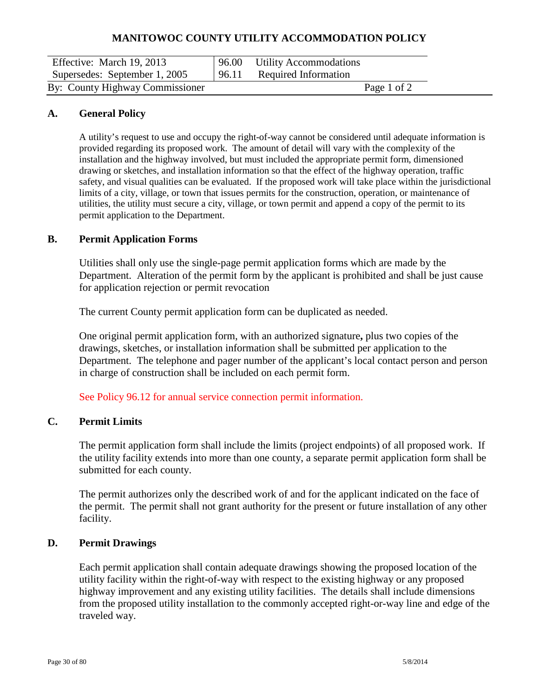| Effective: March 19, 2013       | 96.00 | <b>Utility Accommodations</b> |
|---------------------------------|-------|-------------------------------|
| Supersedes: September 1, 2005   | 96.11 | Required Information          |
| By: County Highway Commissioner |       | Page 1 of 2                   |

#### **A. General Policy**

A utility's request to use and occupy the right-of-way cannot be considered until adequate information is provided regarding its proposed work. The amount of detail will vary with the complexity of the installation and the highway involved, but must included the appropriate permit form, dimensioned drawing or sketches, and installation information so that the effect of the highway operation, traffic safety, and visual qualities can be evaluated. If the proposed work will take place within the jurisdictional limits of a city, village, or town that issues permits for the construction, operation, or maintenance of utilities, the utility must secure a city, village, or town permit and append a copy of the permit to its permit application to the Department.

#### **B. Permit Application Forms**

Utilities shall only use the single-page permit application forms which are made by the Department. Alteration of the permit form by the applicant is prohibited and shall be just cause for application rejection or permit revocation

The current County permit application form can be duplicated as needed.

One original permit application form, with an authorized signature**,** plus two copies of the drawings, sketches, or installation information shall be submitted per application to the Department. The telephone and pager number of the applicant's local contact person and person in charge of construction shall be included on each permit form.

See Policy 96.12 for annual service connection permit information.

#### **C. Permit Limits**

The permit application form shall include the limits (project endpoints) of all proposed work. If the utility facility extends into more than one county, a separate permit application form shall be submitted for each county.

The permit authorizes only the described work of and for the applicant indicated on the face of the permit. The permit shall not grant authority for the present or future installation of any other facility.

#### **D. Permit Drawings**

Each permit application shall contain adequate drawings showing the proposed location of the utility facility within the right-of-way with respect to the existing highway or any proposed highway improvement and any existing utility facilities. The details shall include dimensions from the proposed utility installation to the commonly accepted right-or-way line and edge of the traveled way.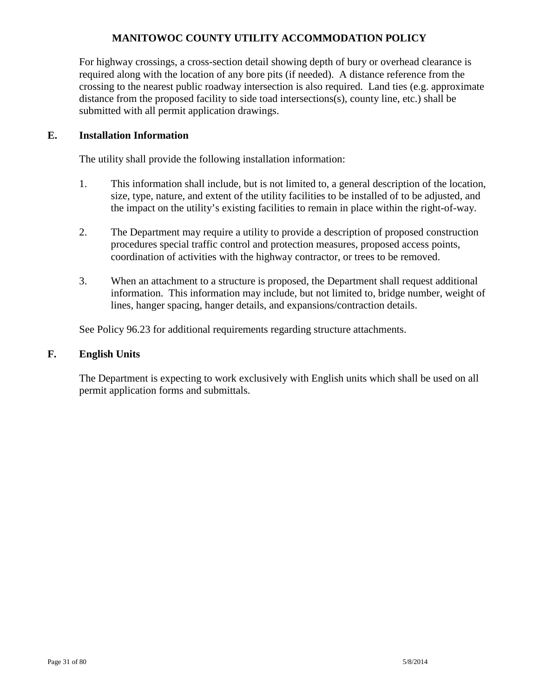For highway crossings, a cross-section detail showing depth of bury or overhead clearance is required along with the location of any bore pits (if needed). A distance reference from the crossing to the nearest public roadway intersection is also required. Land ties (e.g. approximate distance from the proposed facility to side toad intersections(s), county line, etc.) shall be submitted with all permit application drawings.

### **E. Installation Information**

The utility shall provide the following installation information:

- 1. This information shall include, but is not limited to, a general description of the location, size, type, nature, and extent of the utility facilities to be installed of to be adjusted, and the impact on the utility's existing facilities to remain in place within the right-of-way.
- 2. The Department may require a utility to provide a description of proposed construction procedures special traffic control and protection measures, proposed access points, coordination of activities with the highway contractor, or trees to be removed.
- 3. When an attachment to a structure is proposed, the Department shall request additional information. This information may include, but not limited to, bridge number, weight of lines, hanger spacing, hanger details, and expansions/contraction details.

See Policy 96.23 for additional requirements regarding structure attachments.

### **F. English Units**

The Department is expecting to work exclusively with English units which shall be used on all permit application forms and submittals.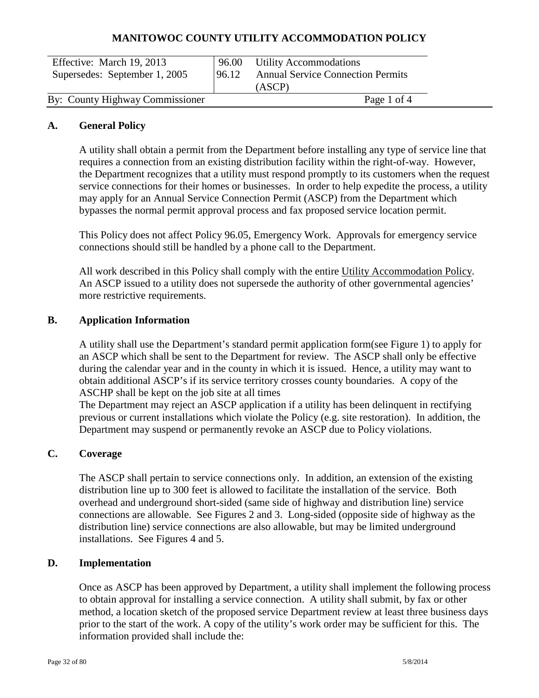| Effective: March 19, 2013<br>Supersedes: September 1, 2005 | 96.00<br>196.12 | <b>Utility Accommodations</b><br><b>Annual Service Connection Permits</b><br>(ASCP) |  |
|------------------------------------------------------------|-----------------|-------------------------------------------------------------------------------------|--|
| By: County Highway Commissioner                            |                 | Page 1 of 4                                                                         |  |

#### **A. General Policy**

A utility shall obtain a permit from the Department before installing any type of service line that requires a connection from an existing distribution facility within the right-of-way. However, the Department recognizes that a utility must respond promptly to its customers when the request service connections for their homes or businesses. In order to help expedite the process, a utility may apply for an Annual Service Connection Permit (ASCP) from the Department which bypasses the normal permit approval process and fax proposed service location permit.

This Policy does not affect Policy 96.05, Emergency Work. Approvals for emergency service connections should still be handled by a phone call to the Department.

All work described in this Policy shall comply with the entire Utility Accommodation Policy. An ASCP issued to a utility does not supersede the authority of other governmental agencies' more restrictive requirements.

#### **B. Application Information**

A utility shall use the Department's standard permit application form(see Figure 1) to apply for an ASCP which shall be sent to the Department for review. The ASCP shall only be effective during the calendar year and in the county in which it is issued. Hence, a utility may want to obtain additional ASCP's if its service territory crosses county boundaries. A copy of the ASCHP shall be kept on the job site at all times

The Department may reject an ASCP application if a utility has been delinquent in rectifying previous or current installations which violate the Policy (e.g. site restoration). In addition, the Department may suspend or permanently revoke an ASCP due to Policy violations.

#### **C. Coverage**

The ASCP shall pertain to service connections only. In addition, an extension of the existing distribution line up to 300 feet is allowed to facilitate the installation of the service. Both overhead and underground short-sided (same side of highway and distribution line) service connections are allowable. See Figures 2 and 3. Long-sided (opposite side of highway as the distribution line) service connections are also allowable, but may be limited underground installations. See Figures 4 and 5.

#### **D. Implementation**

Once as ASCP has been approved by Department, a utility shall implement the following process to obtain approval for installing a service connection. A utility shall submit, by fax or other method, a location sketch of the proposed service Department review at least three business days prior to the start of the work. A copy of the utility's work order may be sufficient for this. The information provided shall include the: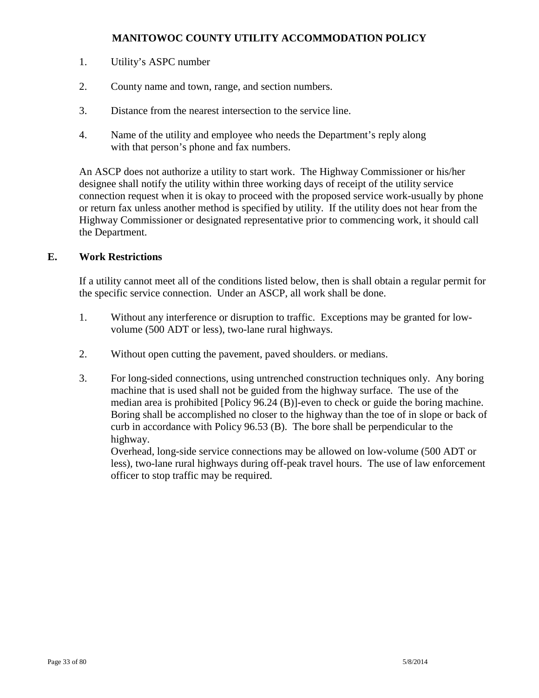- 1. Utility's ASPC number
- 2. County name and town, range, and section numbers.
- 3. Distance from the nearest intersection to the service line.
- 4. Name of the utility and employee who needs the Department's reply along with that person's phone and fax numbers.

An ASCP does not authorize a utility to start work. The Highway Commissioner or his/her designee shall notify the utility within three working days of receipt of the utility service connection request when it is okay to proceed with the proposed service work-usually by phone or return fax unless another method is specified by utility. If the utility does not hear from the Highway Commissioner or designated representative prior to commencing work, it should call the Department.

### **E. Work Restrictions**

If a utility cannot meet all of the conditions listed below, then is shall obtain a regular permit for the specific service connection. Under an ASCP, all work shall be done.

- 1. Without any interference or disruption to traffic. Exceptions may be granted for lowvolume (500 ADT or less), two-lane rural highways.
- 2. Without open cutting the pavement, paved shoulders. or medians.
- 3. For long-sided connections, using untrenched construction techniques only. Any boring machine that is used shall not be guided from the highway surface. The use of the median area is prohibited [Policy 96.24 (B)]-even to check or guide the boring machine. Boring shall be accomplished no closer to the highway than the toe of in slope or back of curb in accordance with Policy 96.53 (B). The bore shall be perpendicular to the highway.

Overhead, long-side service connections may be allowed on low-volume (500 ADT or less), two-lane rural highways during off-peak travel hours. The use of law enforcement officer to stop traffic may be required.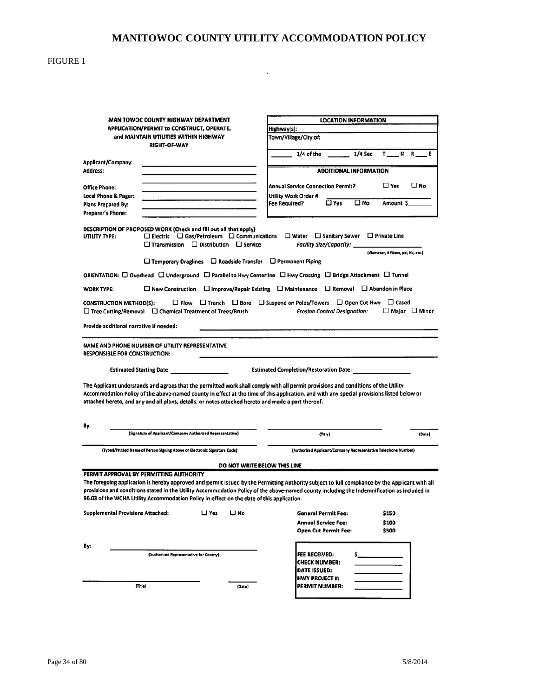$\mathcal{L}(\mathcal{A})$  .

#### FIGURE 1

|                                          | MANITOWOC COUNTY HIGHWAY DEPARTMENT                                                                                                                                                                                                                                                                                                                                                                                                    |                              |                                                                                                                                 | <b>LOCATION INFORMATION</b>   |                                                               |              |
|------------------------------------------|----------------------------------------------------------------------------------------------------------------------------------------------------------------------------------------------------------------------------------------------------------------------------------------------------------------------------------------------------------------------------------------------------------------------------------------|------------------------------|---------------------------------------------------------------------------------------------------------------------------------|-------------------------------|---------------------------------------------------------------|--------------|
|                                          | APPLICATION/PERMIT to CONSTRUCT, OPERATE,                                                                                                                                                                                                                                                                                                                                                                                              |                              | Highway(s):                                                                                                                     |                               |                                                               |              |
|                                          | and MAINTAIN UTILITIES WITHIN HIGHWAY<br>RIGHT-OF-WAY                                                                                                                                                                                                                                                                                                                                                                                  |                              | Town/Village/City of:                                                                                                           |                               |                                                               |              |
|                                          |                                                                                                                                                                                                                                                                                                                                                                                                                                        |                              | $1/4$ of the                                                                                                                    | 1/4 Sec                       | T NR E                                                        |              |
| Applicant/Company:                       |                                                                                                                                                                                                                                                                                                                                                                                                                                        |                              |                                                                                                                                 |                               |                                                               |              |
| Address:                                 |                                                                                                                                                                                                                                                                                                                                                                                                                                        |                              |                                                                                                                                 | <b>ADDITIONAL INFORMATION</b> |                                                               |              |
| <b>Office Phone:</b>                     |                                                                                                                                                                                                                                                                                                                                                                                                                                        |                              | <b>Annual Service Connection Permit?</b>                                                                                        |                               | $\square$ Yes                                                 | $\square$ No |
| Local Phone & Pager:                     |                                                                                                                                                                                                                                                                                                                                                                                                                                        |                              | Utility Work Order #                                                                                                            |                               |                                                               |              |
| Plans Prepared By:                       | the contract of the contract of the contract of                                                                                                                                                                                                                                                                                                                                                                                        |                              | □ Yes<br><b>Fee Required?</b>                                                                                                   | □ No                          | Amount \$                                                     |              |
| Preparer's Phone:                        |                                                                                                                                                                                                                                                                                                                                                                                                                                        |                              |                                                                                                                                 |                               |                                                               |              |
|                                          |                                                                                                                                                                                                                                                                                                                                                                                                                                        |                              |                                                                                                                                 |                               |                                                               |              |
| UTILITY TYPE:                            | DESCRIPTION OF PROPOSED WORK (Check and fill out all that apply)<br>$\square$ Electric $\square$ Gas/Petroleum $\square$ Communications<br>$\Box$ Transmission $\Box$ Distribution $\Box$ Service                                                                                                                                                                                                                                      |                              | $\Box$ Water $\Box$ Sanitary Sewer<br>Facility Size/Capacity: __                                                                |                               | $\square$ Private Line<br>(diameter, # fibers, psi, Kv, etc.) |              |
|                                          | $\Box$ Temporary Draglines $\Box$ Roadside Transfer $\Box$ Permanent Piping                                                                                                                                                                                                                                                                                                                                                            |                              |                                                                                                                                 |                               |                                                               |              |
|                                          | ORIENTATION: Q Overhead Q Underground Q Parallel to Hwy Centerline Q Hwy Crossing Q Bridge Attachment Q Tunnel                                                                                                                                                                                                                                                                                                                         |                              |                                                                                                                                 |                               |                                                               |              |
| <b>WORK TYPE:</b>                        | □ New Construction □ Improve/Repair Existing □ Maintenance □ Removal □ Abandon in Place                                                                                                                                                                                                                                                                                                                                                |                              |                                                                                                                                 |                               |                                                               |              |
| <b>CONSTRUCTION METHOD(S):</b>           | $\Box$ Tree Cutting/Removal $\Box$ Chemical Treatment of Trees/Brush                                                                                                                                                                                                                                                                                                                                                                   |                              | $\Box$ Plow $\Box$ Trench $\Box$ Bore $\Box$ Suspend on Poles/Towers $\Box$ Open Cut Hwy<br><b>Erosion Control Designation:</b> |                               | $\Box$ Cased<br>□ Major □ Minor                               |              |
| Provide additional narrative if needed:  |                                                                                                                                                                                                                                                                                                                                                                                                                                        |                              |                                                                                                                                 |                               |                                                               |              |
| <b>RESPONSIBLE FOR CONSTRUCTION:</b>     | NAME AND PHONE NUMBER OF UTILITY REPRESENTATIVE<br><b>Estimated Starting Date:</b>                                                                                                                                                                                                                                                                                                                                                     |                              | <b>Estimated Completion/Restoration Date:</b>                                                                                   |                               |                                                               |              |
|                                          | The Applicant understands and agrees that the permitted work shall comply with all permit provisions and conditions of the Utility<br>Accommodation Policy of the above-named county in effect at the time of this application, and with any special provisions listed below or<br>attached hereto, and any and all plans, details, or notes attached hereto and made a part thereof.                                                  |                              |                                                                                                                                 |                               |                                                               |              |
| By:                                      | (Signature of Applicant/Company Authorized Representative)                                                                                                                                                                                                                                                                                                                                                                             |                              |                                                                                                                                 |                               |                                                               |              |
|                                          |                                                                                                                                                                                                                                                                                                                                                                                                                                        |                              | (Title)                                                                                                                         |                               |                                                               | (Date)       |
|                                          | (Typed/Printed Name of Person Signing Above or Electronic Signature Code)                                                                                                                                                                                                                                                                                                                                                              |                              | (Authorized Applicant/Company Representative Telephone Number)                                                                  |                               |                                                               |              |
|                                          |                                                                                                                                                                                                                                                                                                                                                                                                                                        | DO NOT WRITE BELOW THIS LINE |                                                                                                                                 |                               |                                                               |              |
|                                          | PERMIT APPROVAL BY PERMITTING AUTHORITY<br>The foregoing application is hereby approved and permit issued by the Permitting Authority subject to full compliance by the Applicant with all<br>provisions and conditions stated in the Utility Accommodation Policy of the above-named county including the Indemnification as included in<br>96.03 of the WCHA Utility Accommodation Policy in effect on the date of this application. |                              |                                                                                                                                 |                               |                                                               |              |
| <b>Supplemental Provisions Attached:</b> | $\sqcup$ Yes                                                                                                                                                                                                                                                                                                                                                                                                                           | ⊔ No                         | General Permit Fee:                                                                                                             |                               | \$150                                                         |              |
|                                          |                                                                                                                                                                                                                                                                                                                                                                                                                                        |                              | <b>Annual Service Fee:</b>                                                                                                      |                               | \$100                                                         |              |
|                                          |                                                                                                                                                                                                                                                                                                                                                                                                                                        |                              | Open Cut Permit Fee:                                                                                                            |                               | \$500                                                         |              |
| By:                                      |                                                                                                                                                                                                                                                                                                                                                                                                                                        |                              |                                                                                                                                 |                               |                                                               |              |
|                                          | (Authorized Representative for County)                                                                                                                                                                                                                                                                                                                                                                                                 |                              | FEE RECEIVED:                                                                                                                   |                               |                                                               |              |
|                                          |                                                                                                                                                                                                                                                                                                                                                                                                                                        |                              | <b>CHECK NUMBER:</b>                                                                                                            |                               |                                                               |              |
|                                          |                                                                                                                                                                                                                                                                                                                                                                                                                                        |                              | DATE ISSUED:                                                                                                                    |                               |                                                               |              |
|                                          |                                                                                                                                                                                                                                                                                                                                                                                                                                        |                              | <b>HWY PROJECT #:</b>                                                                                                           |                               |                                                               |              |
|                                          | $(\mathsf{Title})$                                                                                                                                                                                                                                                                                                                                                                                                                     | (Date)                       | PERMIT NUMBER:                                                                                                                  |                               |                                                               |              |
|                                          |                                                                                                                                                                                                                                                                                                                                                                                                                                        |                              |                                                                                                                                 |                               |                                                               |              |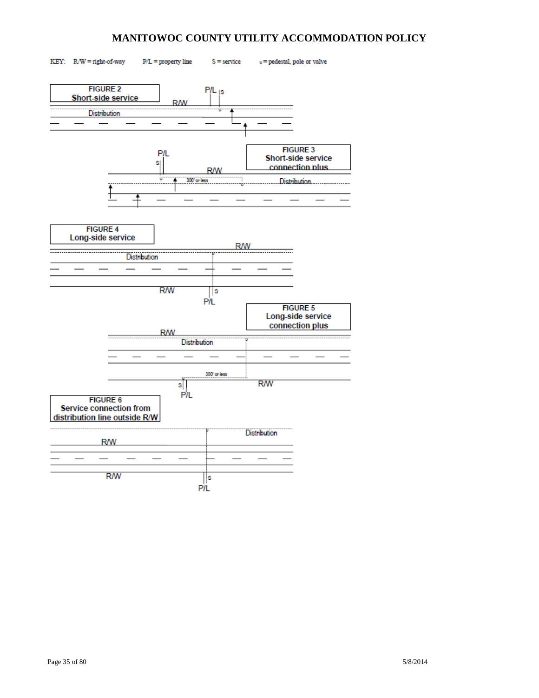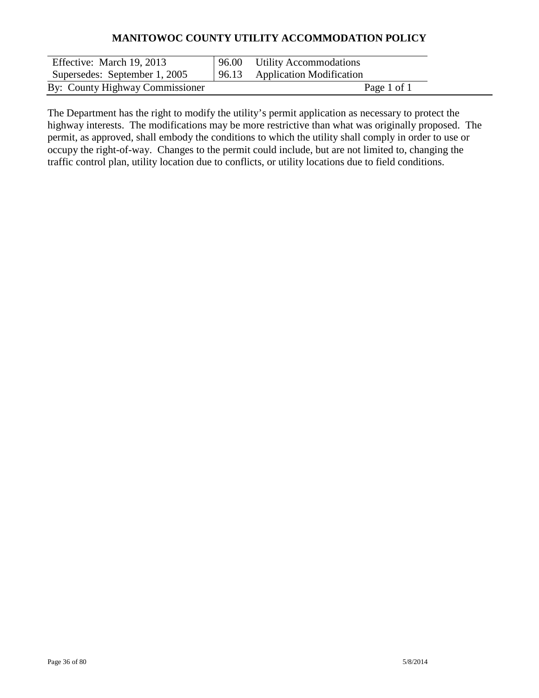| Effective: March 19, 2013       | 96.00 Utility Accommodations   |
|---------------------------------|--------------------------------|
| Supersedes: September 1, 2005   | 96.13 Application Modification |
| By: County Highway Commissioner | Page 1 of 1                    |

The Department has the right to modify the utility's permit application as necessary to protect the highway interests. The modifications may be more restrictive than what was originally proposed. The permit, as approved, shall embody the conditions to which the utility shall comply in order to use or occupy the right-of-way. Changes to the permit could include, but are not limited to, changing the traffic control plan, utility location due to conflicts, or utility locations due to field conditions.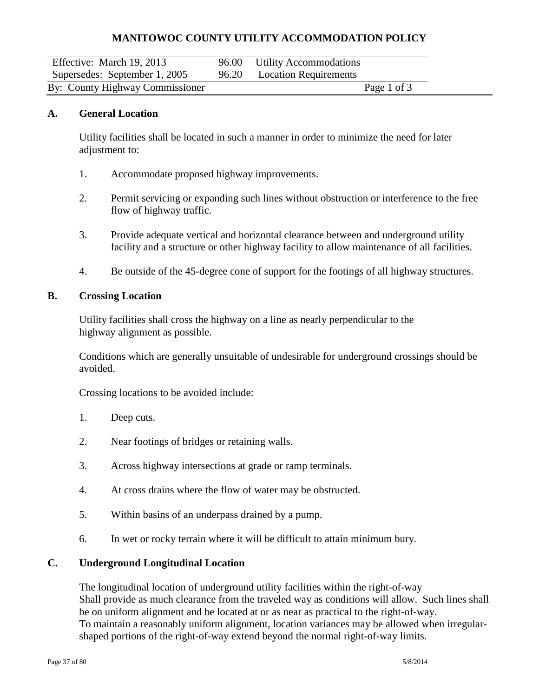| Effective: March 19, 2013       | 96.00 Utility Accommodations |             |  |
|---------------------------------|------------------------------|-------------|--|
| Supersedes: September 1, 2005   | 96.20 Location Requirements  |             |  |
| By: County Highway Commissioner |                              | Page 1 of 3 |  |

#### **A. General Location**

Utility facilities shall be located in such a manner in order to minimize the need for later adjustment to:

- 1. Accommodate proposed highway improvements.
- 2. Permit servicing or expanding such lines without obstruction or interference to the free flow of highway traffic.
- 3. Provide adequate vertical and horizontal clearance between and underground utility facility and a structure or other highway facility to allow maintenance of all facilities.
- 4. Be outside of the 45-degree cone of support for the footings of all highway structures.

#### **B. Crossing Location**

Utility facilities shall cross the highway on a line as nearly perpendicular to the highway alignment as possible.

Conditions which are generally unsuitable of undesirable for underground crossings should be avoided.

Crossing locations to be avoided include:

- 1. Deep cuts.
- 2. Near footings of bridges or retaining walls.
- 3. Across highway intersections at grade or ramp terminals.
- 4. At cross drains where the flow of water may be obstructed.
- 5. Within basins of an underpass drained by a pump.
- 6. In wet or rocky terrain where it will be difficult to attain minimum bury.

#### **C. Underground Longitudinal Location**

The longitudinal location of underground utility facilities within the right-of-way Shall provide as much clearance from the traveled way as conditions will allow. Such lines shall be on uniform alignment and be located at or as near as practical to the right-of-way. To maintain a reasonably uniform alignment, location variances may be allowed when irregularshaped portions of the right-of-way extend beyond the normal right-of-way limits.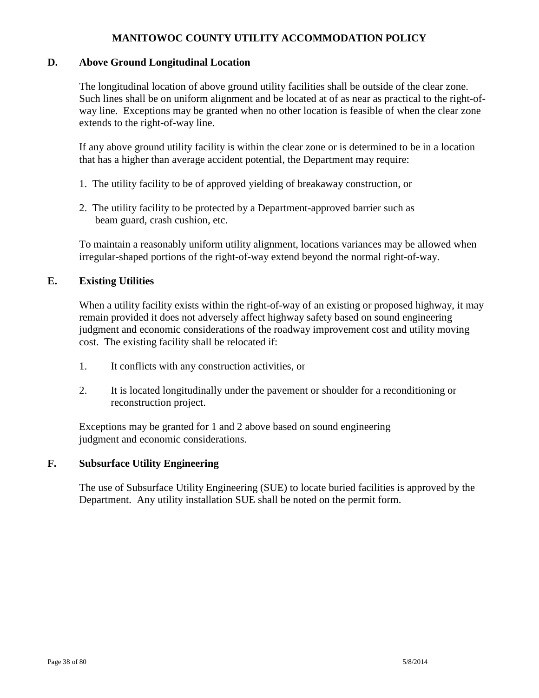#### **D. Above Ground Longitudinal Location**

The longitudinal location of above ground utility facilities shall be outside of the clear zone. Such lines shall be on uniform alignment and be located at of as near as practical to the right-ofway line. Exceptions may be granted when no other location is feasible of when the clear zone extends to the right-of-way line.

If any above ground utility facility is within the clear zone or is determined to be in a location that has a higher than average accident potential, the Department may require:

- 1. The utility facility to be of approved yielding of breakaway construction, or
- 2. The utility facility to be protected by a Department-approved barrier such as beam guard, crash cushion, etc.

To maintain a reasonably uniform utility alignment, locations variances may be allowed when irregular-shaped portions of the right-of-way extend beyond the normal right-of-way.

#### **E. Existing Utilities**

When a utility facility exists within the right-of-way of an existing or proposed highway, it may remain provided it does not adversely affect highway safety based on sound engineering judgment and economic considerations of the roadway improvement cost and utility moving cost. The existing facility shall be relocated if:

- 1. It conflicts with any construction activities, or
- 2. It is located longitudinally under the pavement or shoulder for a reconditioning or reconstruction project.

Exceptions may be granted for 1 and 2 above based on sound engineering judgment and economic considerations.

#### **F. Subsurface Utility Engineering**

The use of Subsurface Utility Engineering (SUE) to locate buried facilities is approved by the Department. Any utility installation SUE shall be noted on the permit form.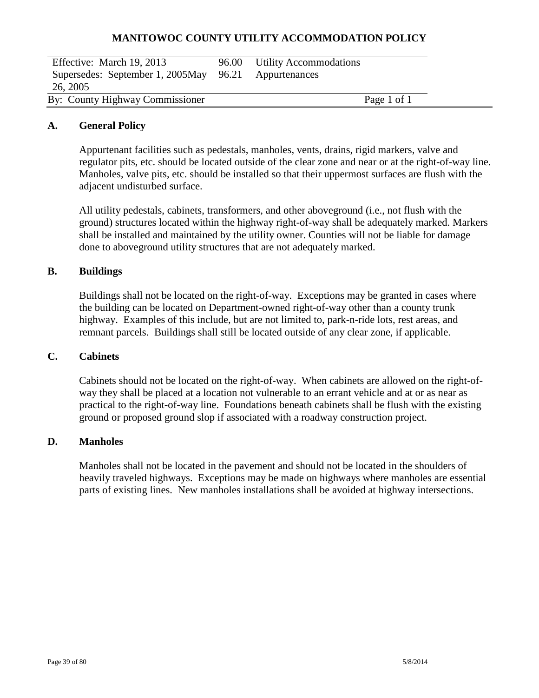| Effective: March 19, 2013                              | 96.00 Utility Accommodations |  |
|--------------------------------------------------------|------------------------------|--|
| Supersedes: September 1, 2005May   96.21 Appurtenances |                              |  |
| 26, 2005                                               |                              |  |
| By: County Highway Commissioner                        | Page 1 of 1                  |  |

#### **A. General Policy**

Appurtenant facilities such as pedestals, manholes, vents, drains, rigid markers, valve and regulator pits, etc. should be located outside of the clear zone and near or at the right-of-way line. Manholes, valve pits, etc. should be installed so that their uppermost surfaces are flush with the adjacent undisturbed surface.

All utility pedestals, cabinets, transformers, and other aboveground (i.e., not flush with the ground) structures located within the highway right-of-way shall be adequately marked. Markers shall be installed and maintained by the utility owner. Counties will not be liable for damage done to aboveground utility structures that are not adequately marked.

#### **B. Buildings**

Buildings shall not be located on the right-of-way. Exceptions may be granted in cases where the building can be located on Department-owned right-of-way other than a county trunk highway. Examples of this include, but are not limited to, park-n-ride lots, rest areas, and remnant parcels. Buildings shall still be located outside of any clear zone, if applicable.

#### **C. Cabinets**

Cabinets should not be located on the right-of-way. When cabinets are allowed on the right-ofway they shall be placed at a location not vulnerable to an errant vehicle and at or as near as practical to the right-of-way line. Foundations beneath cabinets shall be flush with the existing ground or proposed ground slop if associated with a roadway construction project.

#### **D. Manholes**

Manholes shall not be located in the pavement and should not be located in the shoulders of heavily traveled highways. Exceptions may be made on highways where manholes are essential parts of existing lines. New manholes installations shall be avoided at highway intersections.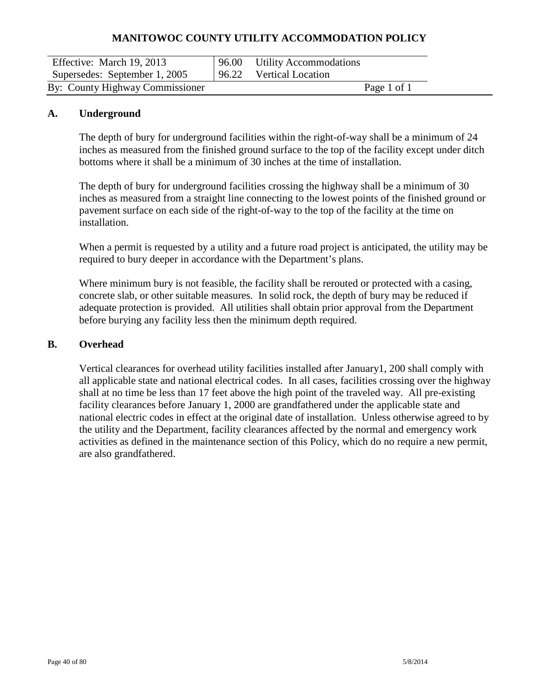| Effective: March 19, 2013       | 96.00 | <b>Utility Accommodations</b> |             |  |
|---------------------------------|-------|-------------------------------|-------------|--|
| Supersedes: September 1, 2005   |       | 96.22 Vertical Location       |             |  |
| By: County Highway Commissioner |       |                               | Page 1 of 1 |  |

#### **A. Underground**

The depth of bury for underground facilities within the right-of-way shall be a minimum of 24 inches as measured from the finished ground surface to the top of the facility except under ditch bottoms where it shall be a minimum of 30 inches at the time of installation.

The depth of bury for underground facilities crossing the highway shall be a minimum of 30 inches as measured from a straight line connecting to the lowest points of the finished ground or pavement surface on each side of the right-of-way to the top of the facility at the time on installation.

When a permit is requested by a utility and a future road project is anticipated, the utility may be required to bury deeper in accordance with the Department's plans.

Where minimum bury is not feasible, the facility shall be rerouted or protected with a casing, concrete slab, or other suitable measures. In solid rock, the depth of bury may be reduced if adequate protection is provided. All utilities shall obtain prior approval from the Department before burying any facility less then the minimum depth required.

#### **B. Overhead**

Vertical clearances for overhead utility facilities installed after January1, 200 shall comply with all applicable state and national electrical codes. In all cases, facilities crossing over the highway shall at no time be less than 17 feet above the high point of the traveled way. All pre-existing facility clearances before January 1, 2000 are grandfathered under the applicable state and national electric codes in effect at the original date of installation. Unless otherwise agreed to by the utility and the Department, facility clearances affected by the normal and emergency work activities as defined in the maintenance section of this Policy, which do no require a new permit, are also grandfathered.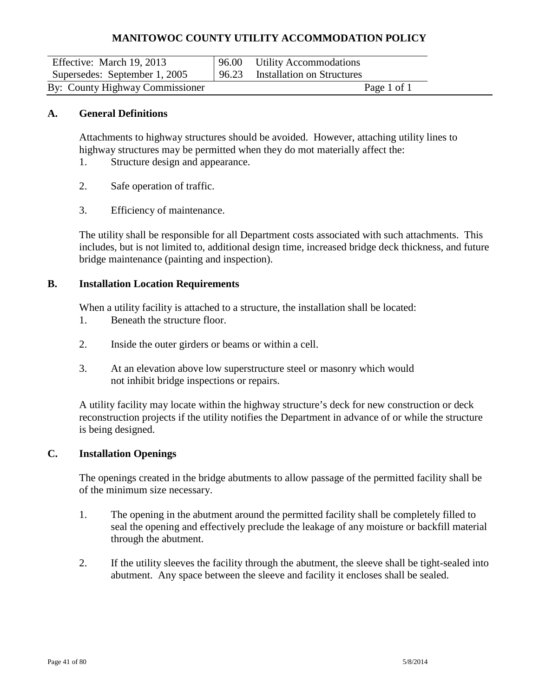| Effective: March 19, 2013       | 96.00 Utility Accommodations     |  |
|---------------------------------|----------------------------------|--|
| Supersedes: September 1, 2005   | 96.23 Installation on Structures |  |
| By: County Highway Commissioner | Page 1 of 1                      |  |

#### **A. General Definitions**

Attachments to highway structures should be avoided. However, attaching utility lines to highway structures may be permitted when they do mot materially affect the:

- 1. Structure design and appearance.
- 2. Safe operation of traffic.
- 3. Efficiency of maintenance.

The utility shall be responsible for all Department costs associated with such attachments. This includes, but is not limited to, additional design time, increased bridge deck thickness, and future bridge maintenance (painting and inspection).

#### **B. Installation Location Requirements**

When a utility facility is attached to a structure, the installation shall be located:

- 1. Beneath the structure floor.
- 2. Inside the outer girders or beams or within a cell.
- 3. At an elevation above low superstructure steel or masonry which would not inhibit bridge inspections or repairs.

A utility facility may locate within the highway structure's deck for new construction or deck reconstruction projects if the utility notifies the Department in advance of or while the structure is being designed.

#### **C. Installation Openings**

The openings created in the bridge abutments to allow passage of the permitted facility shall be of the minimum size necessary.

- 1. The opening in the abutment around the permitted facility shall be completely filled to seal the opening and effectively preclude the leakage of any moisture or backfill material through the abutment.
- 2. If the utility sleeves the facility through the abutment, the sleeve shall be tight-sealed into abutment. Any space between the sleeve and facility it encloses shall be sealed.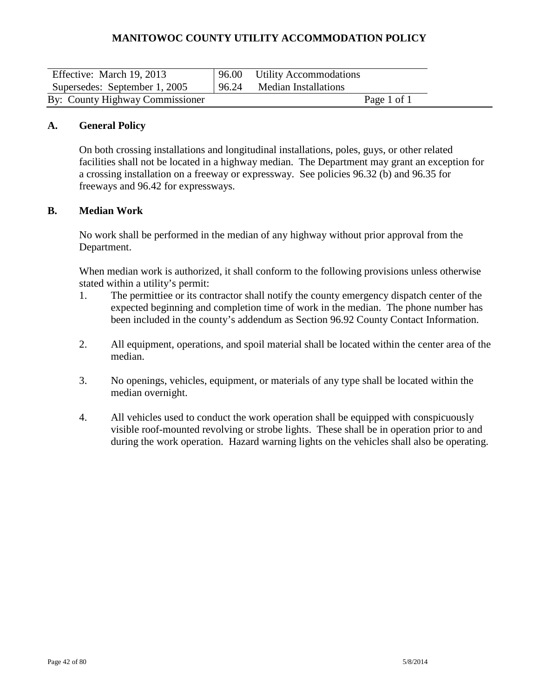| Effective: March 19, 2013       | 96.00 Utility Accommodations |
|---------------------------------|------------------------------|
| Supersedes: September 1, 2005   | 96.24 Median Installations   |
| By: County Highway Commissioner | Page 1 of 1                  |

#### **A. General Policy**

On both crossing installations and longitudinal installations, poles, guys, or other related facilities shall not be located in a highway median. The Department may grant an exception for a crossing installation on a freeway or expressway. See policies 96.32 (b) and 96.35 for freeways and 96.42 for expressways.

## **B. Median Work**

No work shall be performed in the median of any highway without prior approval from the Department.

When median work is authorized, it shall conform to the following provisions unless otherwise stated within a utility's permit:

- 1. The permittiee or its contractor shall notify the county emergency dispatch center of the expected beginning and completion time of work in the median. The phone number has been included in the county's addendum as Section 96.92 County Contact Information.
- 2. All equipment, operations, and spoil material shall be located within the center area of the median.
- 3. No openings, vehicles, equipment, or materials of any type shall be located within the median overnight.
- 4. All vehicles used to conduct the work operation shall be equipped with conspicuously visible roof-mounted revolving or strobe lights. These shall be in operation prior to and during the work operation. Hazard warning lights on the vehicles shall also be operating.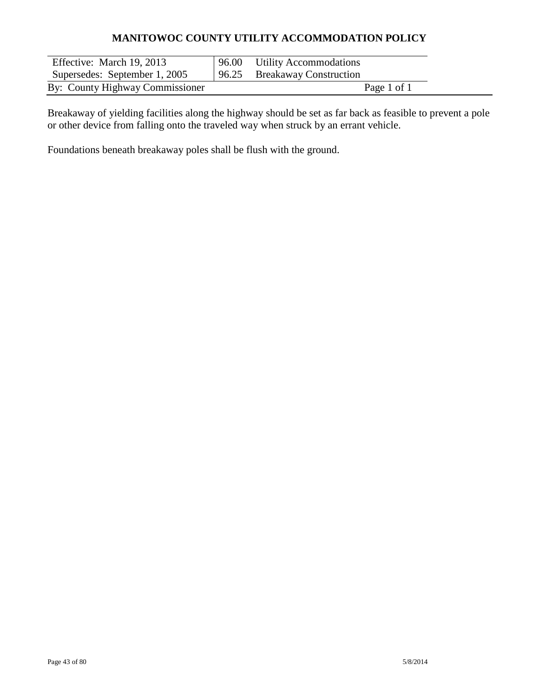| Effective: March 19, 2013       | 96.00 Utility Accommodations |
|---------------------------------|------------------------------|
| Supersedes: September 1, 2005   | 96.25 Breakaway Construction |
| By: County Highway Commissioner | Page 1 of 1                  |

Breakaway of yielding facilities along the highway should be set as far back as feasible to prevent a pole or other device from falling onto the traveled way when struck by an errant vehicle.

Foundations beneath breakaway poles shall be flush with the ground.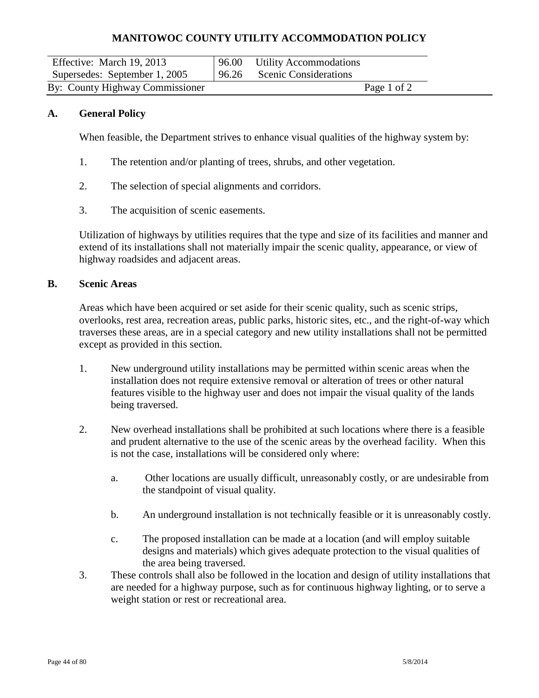| Effective: March 19, 2013       | 96.00 Utility Accommodations |  |
|---------------------------------|------------------------------|--|
| Supersedes: September 1, 2005   | 96.26 Scenic Considerations  |  |
| By: County Highway Commissioner | Page 1 of 2                  |  |

#### **A. General Policy**

When feasible, the Department strives to enhance visual qualities of the highway system by:

- 1. The retention and/or planting of trees, shrubs, and other vegetation.
- 2. The selection of special alignments and corridors.
- 3. The acquisition of scenic easements.

Utilization of highways by utilities requires that the type and size of its facilities and manner and extend of its installations shall not materially impair the scenic quality, appearance, or view of highway roadsides and adjacent areas.

#### **B. Scenic Areas**

Areas which have been acquired or set aside for their scenic quality, such as scenic strips, overlooks, rest area, recreation areas, public parks, historic sites, etc., and the right-of-way which traverses these areas, are in a special category and new utility installations shall not be permitted except as provided in this section.

- 1. New underground utility installations may be permitted within scenic areas when the installation does not require extensive removal or alteration of trees or other natural features visible to the highway user and does not impair the visual quality of the lands being traversed.
- 2. New overhead installations shall be prohibited at such locations where there is a feasible and prudent alternative to the use of the scenic areas by the overhead facility. When this is not the case, installations will be considered only where:
	- a. Other locations are usually difficult, unreasonably costly, or are undesirable from the standpoint of visual quality.
	- b. An underground installation is not technically feasible or it is unreasonably costly.
	- c. The proposed installation can be made at a location (and will employ suitable designs and materials) which gives adequate protection to the visual qualities of the area being traversed.
- 3. These controls shall also be followed in the location and design of utility installations that are needed for a highway purpose, such as for continuous highway lighting, or to serve a weight station or rest or recreational area.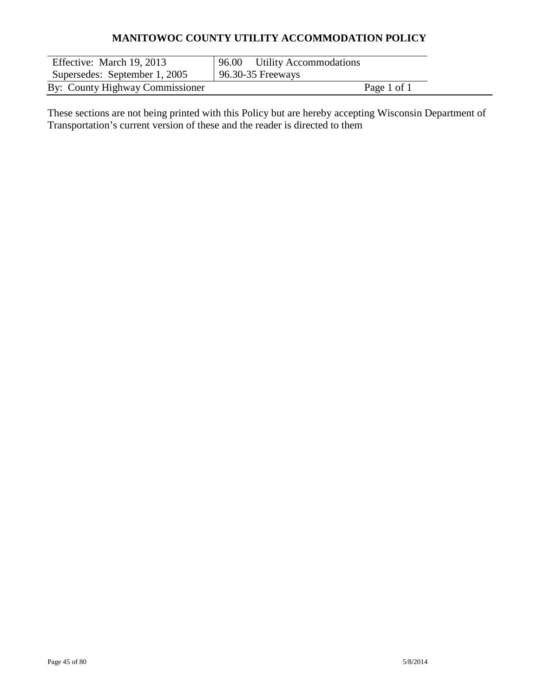| Effective: March 19, 2013       | 96.00 Utility Accommodations |
|---------------------------------|------------------------------|
| Supersedes: September 1, 2005   | 96.30-35 Freeways            |
| By: County Highway Commissioner | Page 1 of 1                  |

These sections are not being printed with this Policy but are hereby accepting Wisconsin Department of Transportation's current version of these and the reader is directed to them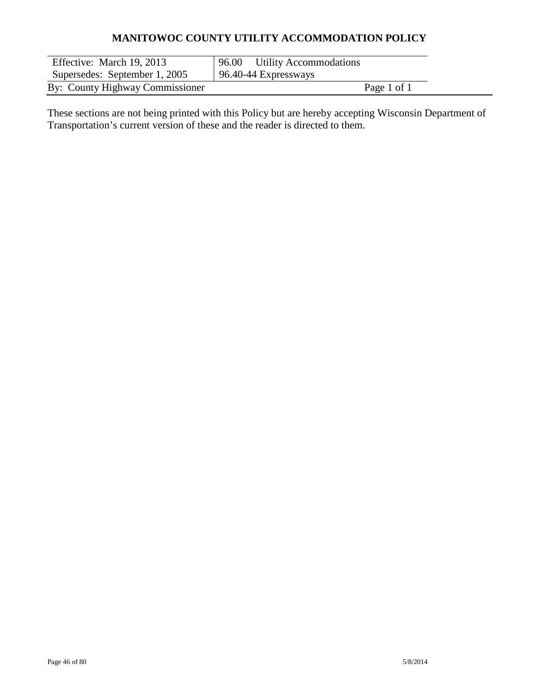| Effective: March 19, 2013       | 96.00 Utility Accommodations |
|---------------------------------|------------------------------|
| Supersedes: September 1, 2005   | 96.40-44 Expressways         |
| By: County Highway Commissioner | Page 1 of 1                  |

These sections are not being printed with this Policy but are hereby accepting Wisconsin Department of Transportation's current version of these and the reader is directed to them.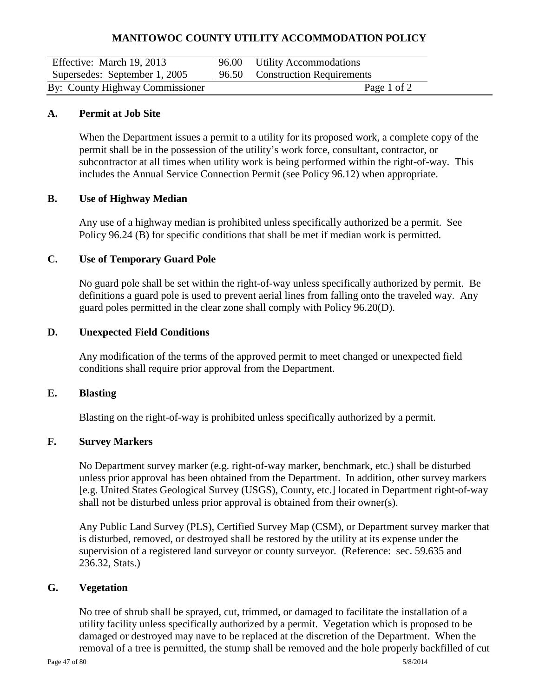| Effective: March 19, 2013       | 96.00 | <b>Utility Accommodations</b>   |
|---------------------------------|-------|---------------------------------|
| Supersedes: September 1, 2005   |       | 96.50 Construction Requirements |
| By: County Highway Commissioner |       | Page 1 of 2                     |

#### **A. Permit at Job Site**

When the Department issues a permit to a utility for its proposed work, a complete copy of the permit shall be in the possession of the utility's work force, consultant, contractor, or subcontractor at all times when utility work is being performed within the right-of-way. This includes the Annual Service Connection Permit (see Policy 96.12) when appropriate.

#### **B. Use of Highway Median**

Any use of a highway median is prohibited unless specifically authorized be a permit. See Policy 96.24 (B) for specific conditions that shall be met if median work is permitted.

#### **C. Use of Temporary Guard Pole**

No guard pole shall be set within the right-of-way unless specifically authorized by permit. Be definitions a guard pole is used to prevent aerial lines from falling onto the traveled way. Any guard poles permitted in the clear zone shall comply with Policy 96.20(D).

#### **D. Unexpected Field Conditions**

Any modification of the terms of the approved permit to meet changed or unexpected field conditions shall require prior approval from the Department.

#### **E. Blasting**

Blasting on the right-of-way is prohibited unless specifically authorized by a permit.

## **F. Survey Markers**

No Department survey marker (e.g. right-of-way marker, benchmark, etc.) shall be disturbed unless prior approval has been obtained from the Department. In addition, other survey markers [e.g. United States Geological Survey (USGS), County, etc.] located in Department right-of-way shall not be disturbed unless prior approval is obtained from their owner(s).

Any Public Land Survey (PLS), Certified Survey Map (CSM), or Department survey marker that is disturbed, removed, or destroyed shall be restored by the utility at its expense under the supervision of a registered land surveyor or county surveyor. (Reference: sec. 59.635 and 236.32, Stats.)

#### **G. Vegetation**

No tree of shrub shall be sprayed, cut, trimmed, or damaged to facilitate the installation of a utility facility unless specifically authorized by a permit. Vegetation which is proposed to be damaged or destroyed may nave to be replaced at the discretion of the Department. When the removal of a tree is permitted, the stump shall be removed and the hole properly backfilled of cut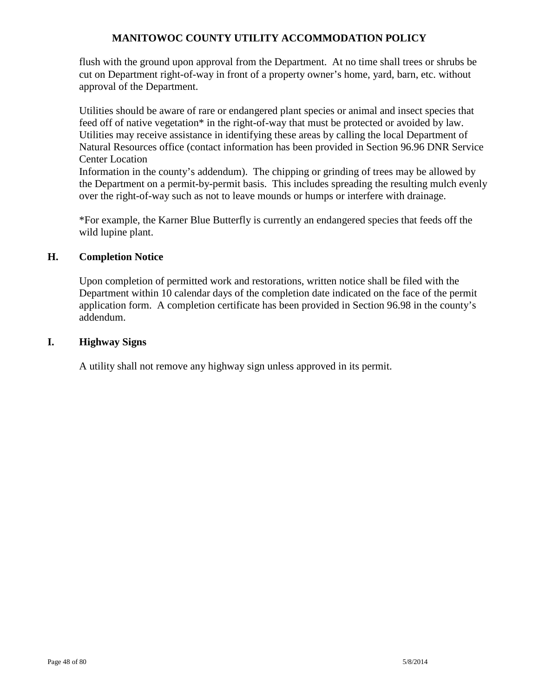flush with the ground upon approval from the Department. At no time shall trees or shrubs be cut on Department right-of-way in front of a property owner's home, yard, barn, etc. without approval of the Department.

Utilities should be aware of rare or endangered plant species or animal and insect species that feed off of native vegetation\* in the right-of-way that must be protected or avoided by law. Utilities may receive assistance in identifying these areas by calling the local Department of Natural Resources office (contact information has been provided in Section 96.96 DNR Service Center Location

Information in the county's addendum). The chipping or grinding of trees may be allowed by the Department on a permit-by-permit basis. This includes spreading the resulting mulch evenly over the right-of-way such as not to leave mounds or humps or interfere with drainage.

\*For example, the Karner Blue Butterfly is currently an endangered species that feeds off the wild lupine plant.

## **H. Completion Notice**

Upon completion of permitted work and restorations, written notice shall be filed with the Department within 10 calendar days of the completion date indicated on the face of the permit application form. A completion certificate has been provided in Section 96.98 in the county's addendum.

## **I. Highway Signs**

A utility shall not remove any highway sign unless approved in its permit.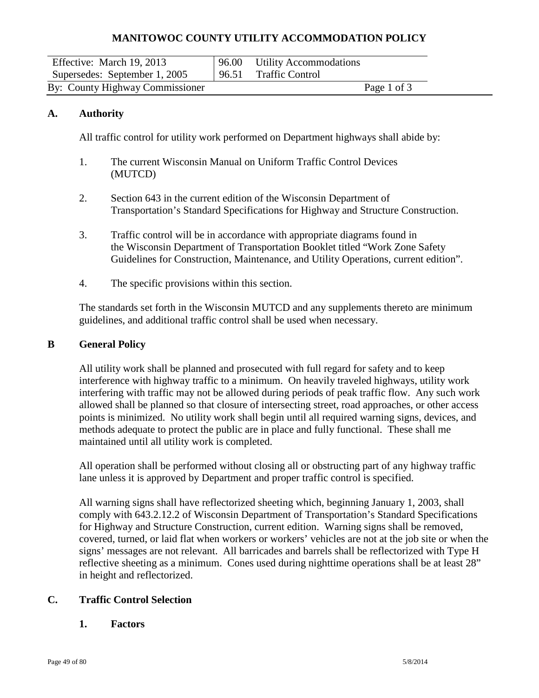| Effective: March 19, 2013       | 96.00 Utility Accommodations |             |  |
|---------------------------------|------------------------------|-------------|--|
| Supersedes: September 1, 2005   | 96.51 Traffic Control        |             |  |
| By: County Highway Commissioner |                              | Page 1 of 3 |  |

#### **A. Authority**

All traffic control for utility work performed on Department highways shall abide by:

- 1. The current Wisconsin Manual on Uniform Traffic Control Devices (MUTCD)
- 2. Section 643 in the current edition of the Wisconsin Department of Transportation's Standard Specifications for Highway and Structure Construction.
- 3. Traffic control will be in accordance with appropriate diagrams found in the Wisconsin Department of Transportation Booklet titled "Work Zone Safety Guidelines for Construction, Maintenance, and Utility Operations, current edition".
- 4. The specific provisions within this section.

The standards set forth in the Wisconsin MUTCD and any supplements thereto are minimum guidelines, and additional traffic control shall be used when necessary.

#### **B General Policy**

All utility work shall be planned and prosecuted with full regard for safety and to keep interference with highway traffic to a minimum. On heavily traveled highways, utility work interfering with traffic may not be allowed during periods of peak traffic flow. Any such work allowed shall be planned so that closure of intersecting street, road approaches, or other access points is minimized. No utility work shall begin until all required warning signs, devices, and methods adequate to protect the public are in place and fully functional. These shall me maintained until all utility work is completed.

All operation shall be performed without closing all or obstructing part of any highway traffic lane unless it is approved by Department and proper traffic control is specified.

All warning signs shall have reflectorized sheeting which, beginning January 1, 2003, shall comply with 643.2.12.2 of Wisconsin Department of Transportation's Standard Specifications for Highway and Structure Construction, current edition. Warning signs shall be removed, covered, turned, or laid flat when workers or workers' vehicles are not at the job site or when the signs' messages are not relevant. All barricades and barrels shall be reflectorized with Type H reflective sheeting as a minimum. Cones used during nighttime operations shall be at least 28" in height and reflectorized.

#### **C. Traffic Control Selection**

**1. Factors**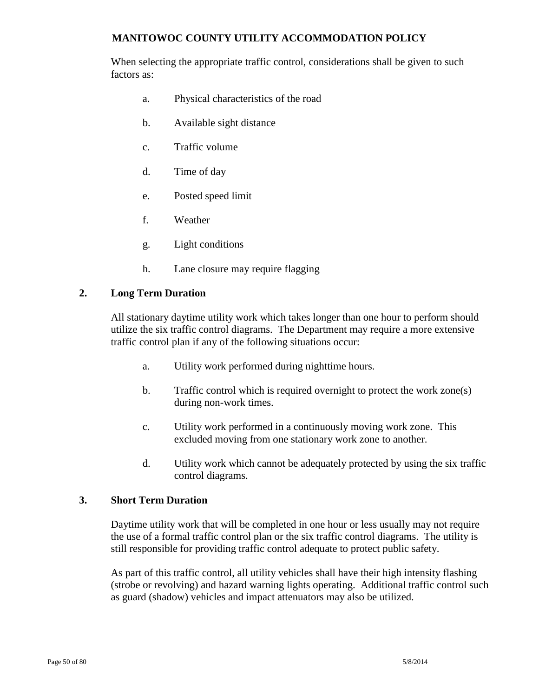When selecting the appropriate traffic control, considerations shall be given to such factors as:

- a. Physical characteristics of the road
- b. Available sight distance
- c. Traffic volume
- d. Time of day
- e. Posted speed limit
- f. Weather
- g. Light conditions
- h. Lane closure may require flagging

#### **2. Long Term Duration**

All stationary daytime utility work which takes longer than one hour to perform should utilize the six traffic control diagrams. The Department may require a more extensive traffic control plan if any of the following situations occur:

- a. Utility work performed during nighttime hours.
- b. Traffic control which is required overnight to protect the work zone(s) during non-work times.
- c. Utility work performed in a continuously moving work zone. This excluded moving from one stationary work zone to another.
- d. Utility work which cannot be adequately protected by using the six traffic control diagrams.

#### **3. Short Term Duration**

Daytime utility work that will be completed in one hour or less usually may not require the use of a formal traffic control plan or the six traffic control diagrams. The utility is still responsible for providing traffic control adequate to protect public safety.

As part of this traffic control, all utility vehicles shall have their high intensity flashing (strobe or revolving) and hazard warning lights operating. Additional traffic control such as guard (shadow) vehicles and impact attenuators may also be utilized.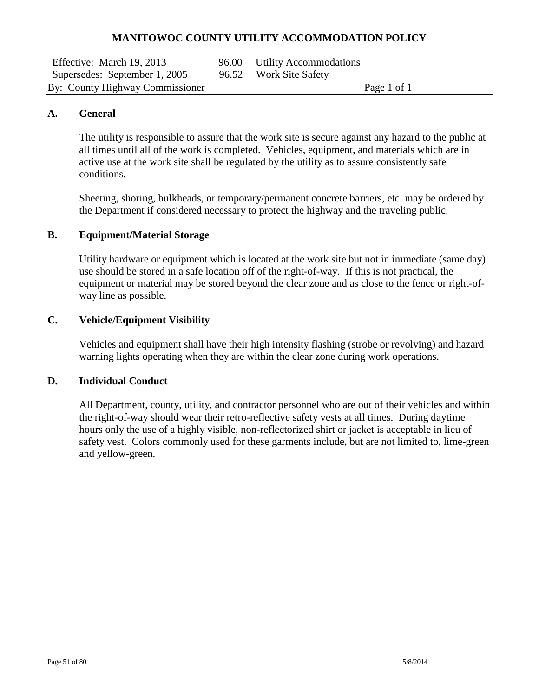| Effective: March 19, 2013       | 96.00 Utility Accommodations |             |  |
|---------------------------------|------------------------------|-------------|--|
| Supersedes: September 1, 2005   | 96.52 Work Site Safety       |             |  |
| By: County Highway Commissioner |                              | Page 1 of 1 |  |

#### **A. General**

The utility is responsible to assure that the work site is secure against any hazard to the public at all times until all of the work is completed. Vehicles, equipment, and materials which are in active use at the work site shall be regulated by the utility as to assure consistently safe conditions.

Sheeting, shoring, bulkheads, or temporary/permanent concrete barriers, etc. may be ordered by the Department if considered necessary to protect the highway and the traveling public.

#### **B. Equipment/Material Storage**

Utility hardware or equipment which is located at the work site but not in immediate (same day) use should be stored in a safe location off of the right-of-way. If this is not practical, the equipment or material may be stored beyond the clear zone and as close to the fence or right-ofway line as possible.

## **C. Vehicle/Equipment Visibility**

Vehicles and equipment shall have their high intensity flashing (strobe or revolving) and hazard warning lights operating when they are within the clear zone during work operations.

#### **D. Individual Conduct**

All Department, county, utility, and contractor personnel who are out of their vehicles and within the right-of-way should wear their retro-reflective safety vests at all times. During daytime hours only the use of a highly visible, non-reflectorized shirt or jacket is acceptable in lieu of safety vest. Colors commonly used for these garments include, but are not limited to, lime-green and yellow-green.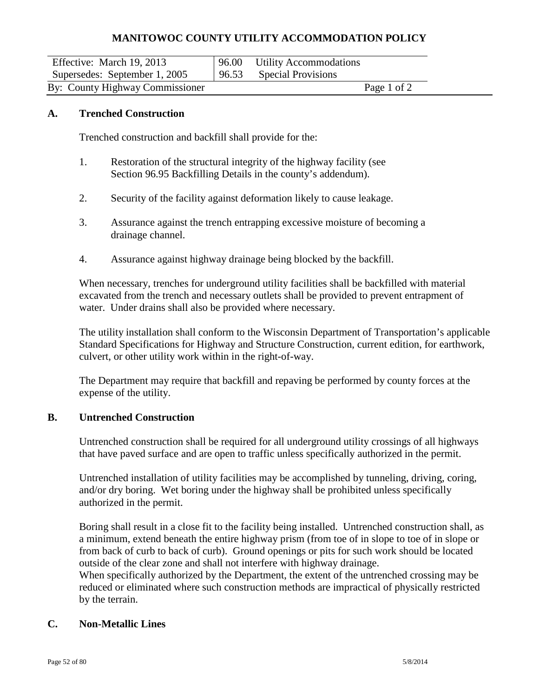| Effective: March 19, 2013       | 96.00 Utility Accommodations |             |  |
|---------------------------------|------------------------------|-------------|--|
| Supersedes: September 1, 2005   | 96.53 Special Provisions     |             |  |
| By: County Highway Commissioner |                              | Page 1 of 2 |  |

#### **A. Trenched Construction**

Trenched construction and backfill shall provide for the:

- 1. Restoration of the structural integrity of the highway facility (see Section 96.95 Backfilling Details in the county's addendum).
- 2. Security of the facility against deformation likely to cause leakage.
- 3. Assurance against the trench entrapping excessive moisture of becoming a drainage channel.
- 4. Assurance against highway drainage being blocked by the backfill.

When necessary, trenches for underground utility facilities shall be backfilled with material excavated from the trench and necessary outlets shall be provided to prevent entrapment of water. Under drains shall also be provided where necessary.

The utility installation shall conform to the Wisconsin Department of Transportation's applicable Standard Specifications for Highway and Structure Construction, current edition, for earthwork, culvert, or other utility work within in the right-of-way.

The Department may require that backfill and repaving be performed by county forces at the expense of the utility.

#### **B. Untrenched Construction**

Untrenched construction shall be required for all underground utility crossings of all highways that have paved surface and are open to traffic unless specifically authorized in the permit.

Untrenched installation of utility facilities may be accomplished by tunneling, driving, coring, and/or dry boring. Wet boring under the highway shall be prohibited unless specifically authorized in the permit.

Boring shall result in a close fit to the facility being installed. Untrenched construction shall, as a minimum, extend beneath the entire highway prism (from toe of in slope to toe of in slope or from back of curb to back of curb). Ground openings or pits for such work should be located outside of the clear zone and shall not interfere with highway drainage.

When specifically authorized by the Department, the extent of the untrenched crossing may be reduced or eliminated where such construction methods are impractical of physically restricted by the terrain.

## **C. Non-Metallic Lines**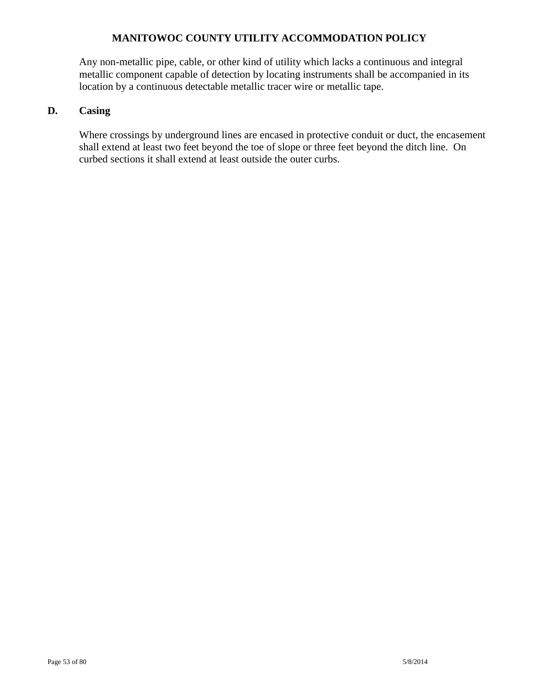Any non-metallic pipe, cable, or other kind of utility which lacks a continuous and integral metallic component capable of detection by locating instruments shall be accompanied in its location by a continuous detectable metallic tracer wire or metallic tape.

## **D. Casing**

Where crossings by underground lines are encased in protective conduit or duct, the encasement shall extend at least two feet beyond the toe of slope or three feet beyond the ditch line. On curbed sections it shall extend at least outside the outer curbs.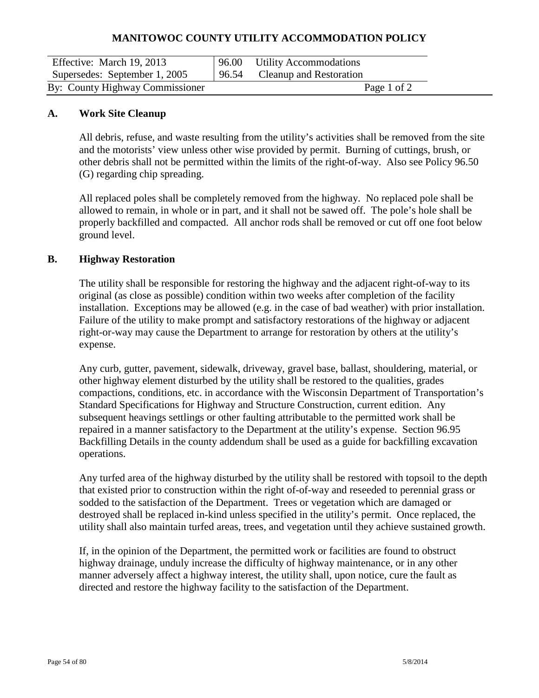| Effective: March 19, 2013       | 96.00 | <b>Utility Accommodations</b> |  |
|---------------------------------|-------|-------------------------------|--|
| Supersedes: September 1, 2005   | 96.54 | Cleanup and Restoration       |  |
| By: County Highway Commissioner |       | Page 1 of 2                   |  |

#### **A. Work Site Cleanup**

All debris, refuse, and waste resulting from the utility's activities shall be removed from the site and the motorists' view unless other wise provided by permit. Burning of cuttings, brush, or other debris shall not be permitted within the limits of the right-of-way. Also see Policy 96.50 (G) regarding chip spreading.

All replaced poles shall be completely removed from the highway. No replaced pole shall be allowed to remain, in whole or in part, and it shall not be sawed off. The pole's hole shall be properly backfilled and compacted. All anchor rods shall be removed or cut off one foot below ground level.

#### **B. Highway Restoration**

The utility shall be responsible for restoring the highway and the adjacent right-of-way to its original (as close as possible) condition within two weeks after completion of the facility installation. Exceptions may be allowed (e.g. in the case of bad weather) with prior installation. Failure of the utility to make prompt and satisfactory restorations of the highway or adjacent right-or-way may cause the Department to arrange for restoration by others at the utility's expense.

Any curb, gutter, pavement, sidewalk, driveway, gravel base, ballast, shouldering, material, or other highway element disturbed by the utility shall be restored to the qualities, grades compactions, conditions, etc. in accordance with the Wisconsin Department of Transportation's Standard Specifications for Highway and Structure Construction, current edition. Any subsequent heavings settlings or other faulting attributable to the permitted work shall be repaired in a manner satisfactory to the Department at the utility's expense. Section 96.95 Backfilling Details in the county addendum shall be used as a guide for backfilling excavation operations.

Any turfed area of the highway disturbed by the utility shall be restored with topsoil to the depth that existed prior to construction within the right of-of-way and reseeded to perennial grass or sodded to the satisfaction of the Department. Trees or vegetation which are damaged or destroyed shall be replaced in-kind unless specified in the utility's permit. Once replaced, the utility shall also maintain turfed areas, trees, and vegetation until they achieve sustained growth.

If, in the opinion of the Department, the permitted work or facilities are found to obstruct highway drainage, unduly increase the difficulty of highway maintenance, or in any other manner adversely affect a highway interest, the utility shall, upon notice, cure the fault as directed and restore the highway facility to the satisfaction of the Department.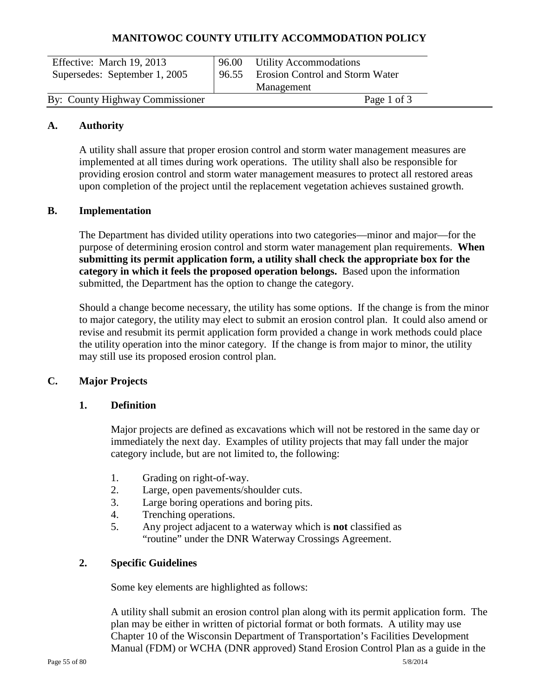| Effective: March 19, 2013<br>Supersedes: September 1, 2005 | 96.55 | 96.00 Utility Accommodations<br>Erosion Control and Storm Water<br>Management |  |
|------------------------------------------------------------|-------|-------------------------------------------------------------------------------|--|
| By: County Highway Commissioner                            |       | Page 1 of 3                                                                   |  |

#### **A. Authority**

A utility shall assure that proper erosion control and storm water management measures are implemented at all times during work operations. The utility shall also be responsible for providing erosion control and storm water management measures to protect all restored areas upon completion of the project until the replacement vegetation achieves sustained growth.

#### **B. Implementation**

The Department has divided utility operations into two categories—minor and major—for the purpose of determining erosion control and storm water management plan requirements. **When submitting its permit application form, a utility shall check the appropriate box for the category in which it feels the proposed operation belongs.** Based upon the information submitted, the Department has the option to change the category.

Should a change become necessary, the utility has some options. If the change is from the minor to major category, the utility may elect to submit an erosion control plan. It could also amend or revise and resubmit its permit application form provided a change in work methods could place the utility operation into the minor category. If the change is from major to minor, the utility may still use its proposed erosion control plan.

#### **C. Major Projects**

#### **1. Definition**

Major projects are defined as excavations which will not be restored in the same day or immediately the next day. Examples of utility projects that may fall under the major category include, but are not limited to, the following:

- 1. Grading on right-of-way.
- 2. Large, open pavements/shoulder cuts.
- 3. Large boring operations and boring pits.
- 4. Trenching operations.
- 5. Any project adjacent to a waterway which is **not** classified as "routine" under the DNR Waterway Crossings Agreement.

#### **2. Specific Guidelines**

Some key elements are highlighted as follows:

A utility shall submit an erosion control plan along with its permit application form. The plan may be either in written of pictorial format or both formats. A utility may use Chapter 10 of the Wisconsin Department of Transportation's Facilities Development Manual (FDM) or WCHA (DNR approved) Stand Erosion Control Plan as a guide in the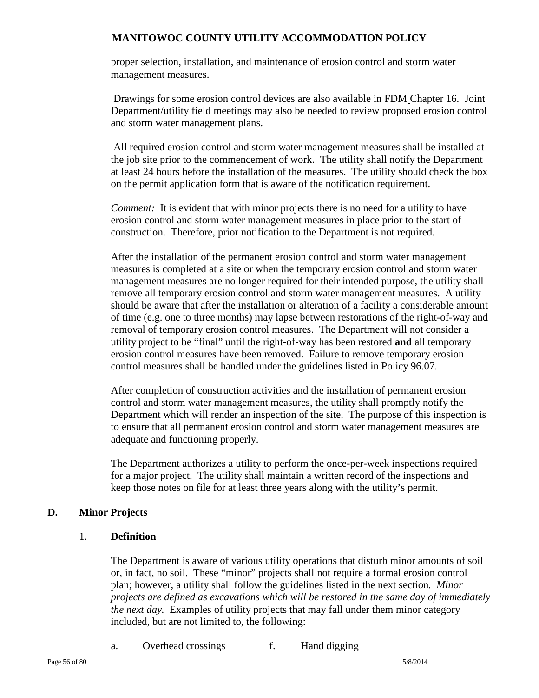proper selection, installation, and maintenance of erosion control and storm water management measures.

Drawings for some erosion control devices are also available in FDM Chapter 16. Joint Department/utility field meetings may also be needed to review proposed erosion control and storm water management plans.

All required erosion control and storm water management measures shall be installed at the job site prior to the commencement of work. The utility shall notify the Department at least 24 hours before the installation of the measures.The utility should check the box on the permit application form that is aware of the notification requirement.

*Comment:* It is evident that with minor projects there is no need for a utility to have erosion control and storm water management measures in place prior to the start of construction. Therefore, prior notification to the Department is not required.

After the installation of the permanent erosion control and storm water management measures is completed at a site or when the temporary erosion control and storm water management measures are no longer required for their intended purpose, the utility shall remove all temporary erosion control and storm water management measures.A utility should be aware that after the installation or alteration of a facility a considerable amount of time (e.g. one to three months) may lapse between restorations of the right-of-way and removal of temporary erosion control measures. The Department will not consider a utility project to be "final" until the right-of-way has been restored **and** all temporary erosion control measures have been removed. Failure to remove temporary erosion control measures shall be handled under the guidelines listed in Policy 96.07.

After completion of construction activities and the installation of permanent erosion control and storm water management measures, the utility shall promptly notify the Department which will render an inspection of the site. The purpose of this inspection is to ensure that all permanent erosion control and storm water management measures are adequate and functioning properly.

The Department authorizes a utility to perform the once-per-week inspections required for a major project. The utility shall maintain a written record of the inspections and keep those notes on file for at least three years along with the utility's permit.

## **D. Minor Projects**

## 1. **Definition**

The Department is aware of various utility operations that disturb minor amounts of soil or, in fact, no soil. These "minor" projects shall not require a formal erosion control plan; however, a utility shall follow the guidelines listed in the next section*. Minor projects are defined as excavations which will be restored in the same day of immediately the next day.* Examples of utility projects that may fall under them minor category included, but are not limited to, the following:

a. Overhead crossings f. Hand digging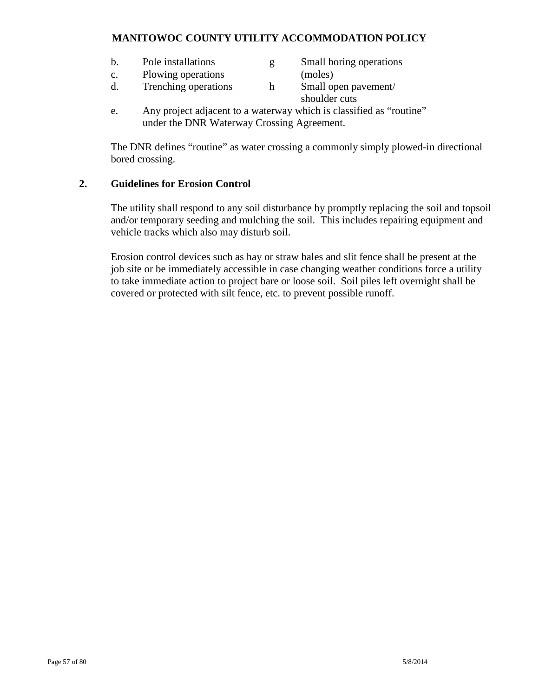- b. Pole installations g Small boring operations
	-
- c. Plowing operations (moles)
- d. Trenching operations h Small open pavement/ shoulder cuts
- e. Any project adjacent to a waterway which is classified as "routine" under the DNR Waterway Crossing Agreement.

The DNR defines "routine" as water crossing a commonly simply plowed-in directional bored crossing.

## **2. Guidelines for Erosion Control**

The utility shall respond to any soil disturbance by promptly replacing the soil and topsoil and/or temporary seeding and mulching the soil. This includes repairing equipment and vehicle tracks which also may disturb soil.

Erosion control devices such as hay or straw bales and slit fence shall be present at the job site or be immediately accessible in case changing weather conditions force a utility to take immediate action to project bare or loose soil. Soil piles left overnight shall be covered or protected with silt fence, etc. to prevent possible runoff.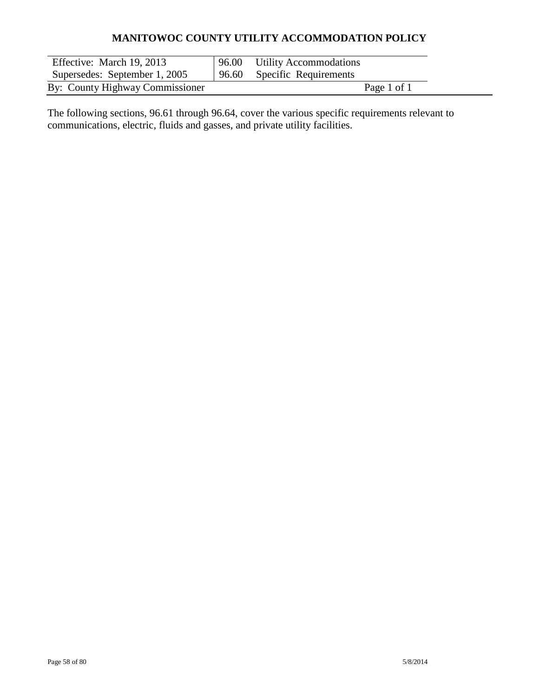| Effective: March 19, 2013       | 96.00 Utility Accommodations |
|---------------------------------|------------------------------|
| Supersedes: September 1, 2005   | 96.60 Specific Requirements  |
| By: County Highway Commissioner | Page 1 of 1                  |

The following sections, 96.61 through 96.64, cover the various specific requirements relevant to communications, electric, fluids and gasses, and private utility facilities.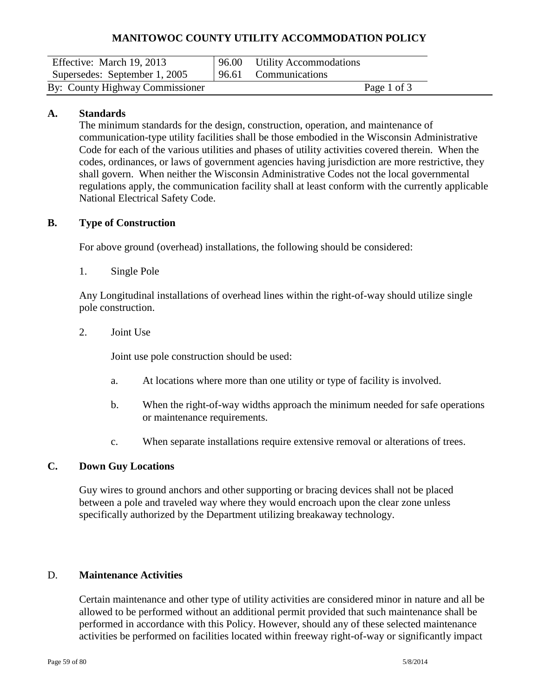| Effective: March 19, 2013       | 96.00 Utility Accommodations |  |
|---------------------------------|------------------------------|--|
| Supersedes: September 1, 2005   | 96.61 Communications         |  |
| By: County Highway Commissioner | Page 1 of 3                  |  |

## **A. Standards**

The minimum standards for the design, construction, operation, and maintenance of communication-type utility facilities shall be those embodied in the Wisconsin Administrative Code for each of the various utilities and phases of utility activities covered therein. When the codes, ordinances, or laws of government agencies having jurisdiction are more restrictive, they shall govern. When neither the Wisconsin Administrative Codes not the local governmental regulations apply, the communication facility shall at least conform with the currently applicable National Electrical Safety Code.

#### **B. Type of Construction**

For above ground (overhead) installations, the following should be considered:

1. Single Pole

Any Longitudinal installations of overhead lines within the right-of-way should utilize single pole construction.

2. Joint Use

Joint use pole construction should be used:

- a. At locations where more than one utility or type of facility is involved.
- b. When the right-of-way widths approach the minimum needed for safe operations or maintenance requirements.
- c. When separate installations require extensive removal or alterations of trees.

## **C. Down Guy Locations**

Guy wires to ground anchors and other supporting or bracing devices shall not be placed between a pole and traveled way where they would encroach upon the clear zone unless specifically authorized by the Department utilizing breakaway technology.

#### D. **Maintenance Activities**

Certain maintenance and other type of utility activities are considered minor in nature and all be allowed to be performed without an additional permit provided that such maintenance shall be performed in accordance with this Policy. However, should any of these selected maintenance activities be performed on facilities located within freeway right-of-way or significantly impact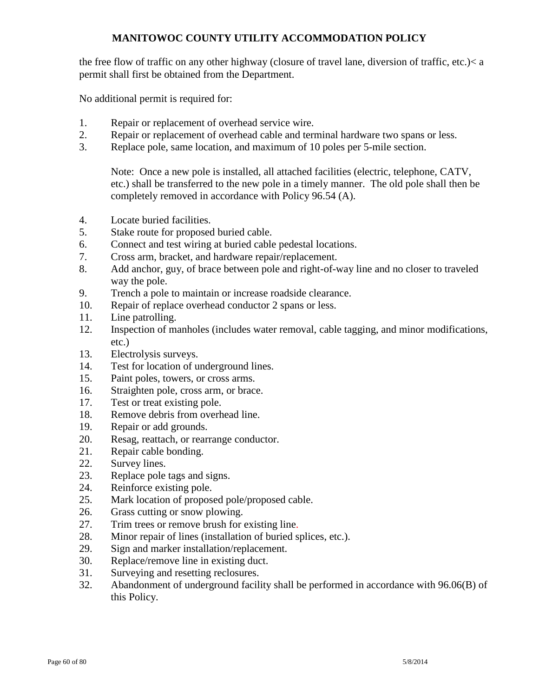the free flow of traffic on any other highway (closure of travel lane, diversion of traffic, etc.)< a permit shall first be obtained from the Department.

No additional permit is required for:

- 1. Repair or replacement of overhead service wire.
- 2. Repair or replacement of overhead cable and terminal hardware two spans or less.
- 3. Replace pole, same location, and maximum of 10 poles per 5-mile section.

Note: Once a new pole is installed, all attached facilities (electric, telephone, CATV, etc.) shall be transferred to the new pole in a timely manner. The old pole shall then be completely removed in accordance with Policy 96.54 (A).

- 4. Locate buried facilities.
- 5. Stake route for proposed buried cable.
- 6. Connect and test wiring at buried cable pedestal locations.
- 7. Cross arm, bracket, and hardware repair/replacement.
- 8. Add anchor, guy, of brace between pole and right-of-way line and no closer to traveled way the pole.
- 9. Trench a pole to maintain or increase roadside clearance.
- 10. Repair of replace overhead conductor 2 spans or less.
- 11. Line patrolling.
- 12. Inspection of manholes (includes water removal, cable tagging, and minor modifications, etc.)
- 13. Electrolysis surveys.
- 14. Test for location of underground lines.
- 15. Paint poles, towers, or cross arms.
- 16. Straighten pole, cross arm, or brace.
- 17. Test or treat existing pole.
- 18. Remove debris from overhead line.
- 19. Repair or add grounds.
- 20. Resag, reattach, or rearrange conductor.
- 21. Repair cable bonding.
- 22. Survey lines.
- 23. Replace pole tags and signs.
- 24. Reinforce existing pole.
- 25. Mark location of proposed pole/proposed cable.
- 26. Grass cutting or snow plowing.
- 27. Trim trees or remove brush for existing line.
- 28. Minor repair of lines (installation of buried splices, etc.).
- 29. Sign and marker installation/replacement.
- 30. Replace/remove line in existing duct.
- 31. Surveying and resetting reclosures.
- 32. Abandonment of underground facility shall be performed in accordance with 96.06(B) of this Policy.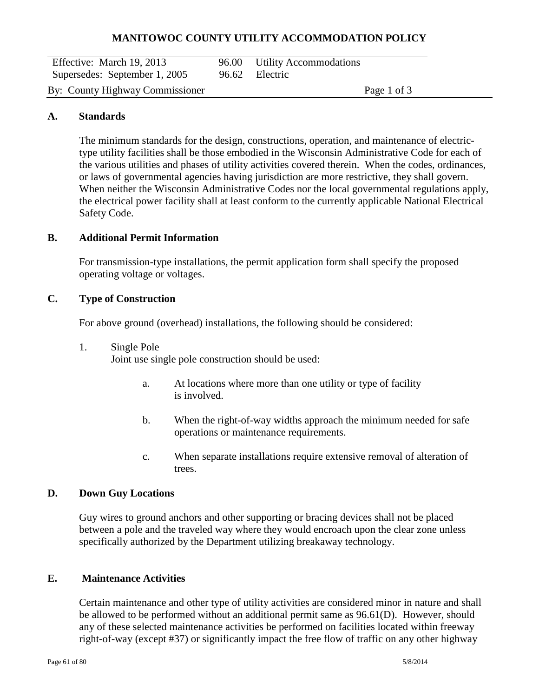| Effective: March 19, 2013<br>Supersedes: September 1, 2005 | 96.00 Utility Accommodations<br>96.62 Electric |             |
|------------------------------------------------------------|------------------------------------------------|-------------|
| By: County Highway Commissioner                            |                                                | Page 1 of 3 |

#### **A. Standards**

The minimum standards for the design, constructions, operation, and maintenance of electrictype utility facilities shall be those embodied in the Wisconsin Administrative Code for each of the various utilities and phases of utility activities covered therein. When the codes, ordinances, or laws of governmental agencies having jurisdiction are more restrictive, they shall govern. When neither the Wisconsin Administrative Codes nor the local governmental regulations apply, the electrical power facility shall at least conform to the currently applicable National Electrical Safety Code.

#### **B. Additional Permit Information**

For transmission-type installations, the permit application form shall specify the proposed operating voltage or voltages.

#### **C. Type of Construction**

For above ground (overhead) installations, the following should be considered:

1. Single Pole

Joint use single pole construction should be used:

- a. At locations where more than one utility or type of facility is involved.
- b. When the right-of-way widths approach the minimum needed for safe operations or maintenance requirements.
- c. When separate installations require extensive removal of alteration of trees.

#### **D. Down Guy Locations**

Guy wires to ground anchors and other supporting or bracing devices shall not be placed between a pole and the traveled way where they would encroach upon the clear zone unless specifically authorized by the Department utilizing breakaway technology.

#### **E. Maintenance Activities**

Certain maintenance and other type of utility activities are considered minor in nature and shall be allowed to be performed without an additional permit same as 96.61(D). However, should any of these selected maintenance activities be performed on facilities located within freeway right-of-way (except #37) or significantly impact the free flow of traffic on any other highway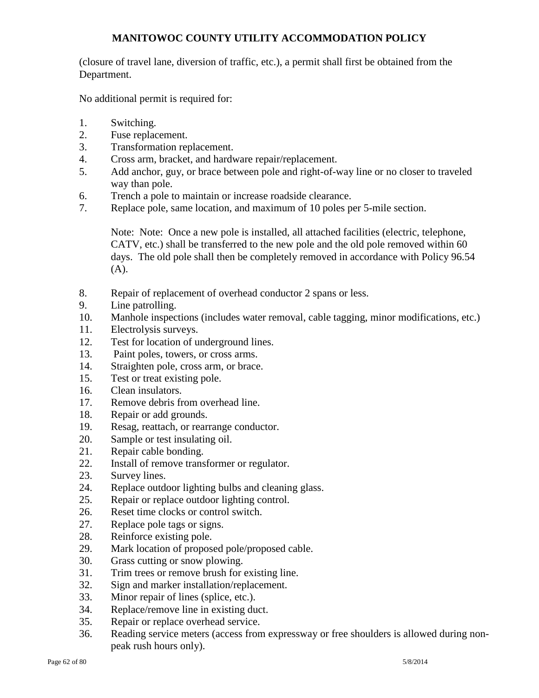(closure of travel lane, diversion of traffic, etc.), a permit shall first be obtained from the Department.

No additional permit is required for:

- 1. Switching.
- 2. Fuse replacement.
- 3. Transformation replacement.
- 4. Cross arm, bracket, and hardware repair/replacement.
- 5. Add anchor, guy, or brace between pole and right-of-way line or no closer to traveled way than pole.
- 6. Trench a pole to maintain or increase roadside clearance.
- 7. Replace pole, same location, and maximum of 10 poles per 5-mile section.

Note: Note: Once a new pole is installed, all attached facilities (electric, telephone, CATV, etc.) shall be transferred to the new pole and the old pole removed within 60 days. The old pole shall then be completely removed in accordance with Policy 96.54 (A).

- 8. Repair of replacement of overhead conductor 2 spans or less.
- 9. Line patrolling.
- 10. Manhole inspections (includes water removal, cable tagging, minor modifications, etc.)
- 11. Electrolysis surveys.
- 12. Test for location of underground lines.
- 13. Paint poles, towers, or cross arms.
- 14. Straighten pole, cross arm, or brace.
- 15. Test or treat existing pole.
- 16. Clean insulators.
- 17. Remove debris from overhead line.
- 18. Repair or add grounds.
- 19. Resag, reattach, or rearrange conductor.
- 20. Sample or test insulating oil.
- 21. Repair cable bonding.
- 22. Install of remove transformer or regulator.
- 23. Survey lines.
- 24. Replace outdoor lighting bulbs and cleaning glass.
- 25. Repair or replace outdoor lighting control.
- 26. Reset time clocks or control switch.
- 27. Replace pole tags or signs.
- 28. Reinforce existing pole.
- 29. Mark location of proposed pole/proposed cable.
- 30. Grass cutting or snow plowing.
- 31. Trim trees or remove brush for existing line.
- 32. Sign and marker installation/replacement.
- 33. Minor repair of lines (splice, etc.).
- 34. Replace/remove line in existing duct.
- 35. Repair or replace overhead service.
- 36. Reading service meters (access from expressway or free shoulders is allowed during nonpeak rush hours only).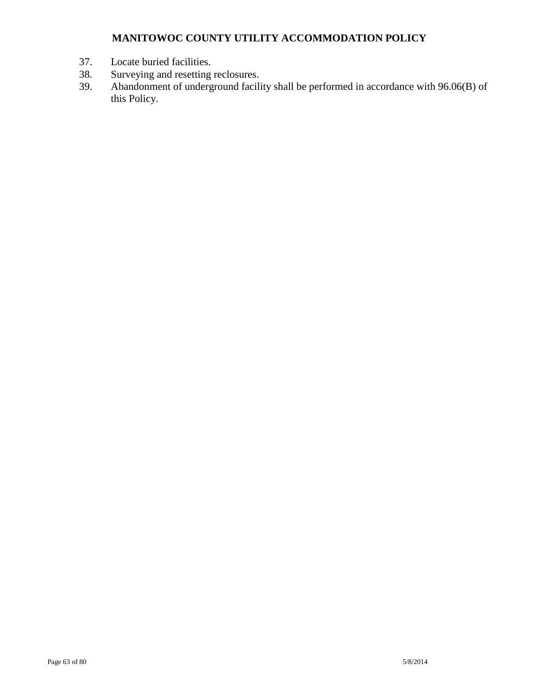- 37. Locate buried facilities.<br>38. Surveying and resetting
- 38. Surveying and resetting reclosures.<br>39. Abandonment of underground facili
- 39. Abandonment of underground facility shall be performed in accordance with 96.06(B) of this Policy.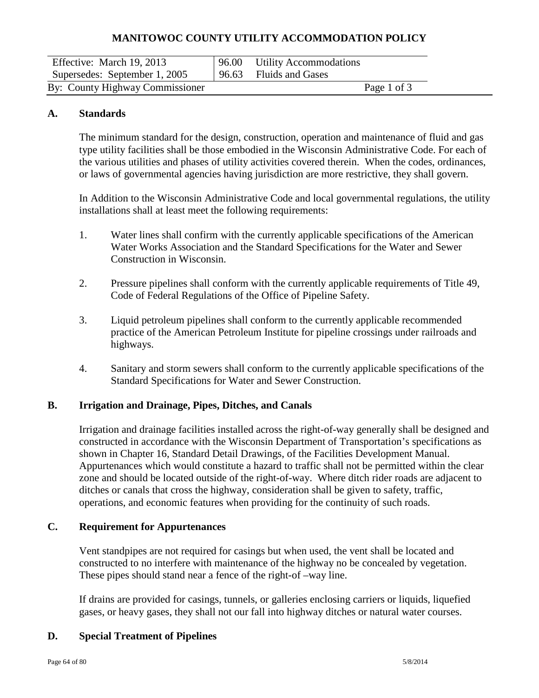| Effective: March 19, 2013       |       | 96.00 Utility Accommodations |             |  |
|---------------------------------|-------|------------------------------|-------------|--|
| Supersedes: September 1, 2005   | 96.63 | <b>Fluids and Gases</b>      |             |  |
| By: County Highway Commissioner |       |                              | Page 1 of 3 |  |

#### **A. Standards**

The minimum standard for the design, construction, operation and maintenance of fluid and gas type utility facilities shall be those embodied in the Wisconsin Administrative Code. For each of the various utilities and phases of utility activities covered therein. When the codes, ordinances, or laws of governmental agencies having jurisdiction are more restrictive, they shall govern.

In Addition to the Wisconsin Administrative Code and local governmental regulations, the utility installations shall at least meet the following requirements:

- 1. Water lines shall confirm with the currently applicable specifications of the American Water Works Association and the Standard Specifications for the Water and Sewer Construction in Wisconsin.
- 2. Pressure pipelines shall conform with the currently applicable requirements of Title 49, Code of Federal Regulations of the Office of Pipeline Safety.
- 3. Liquid petroleum pipelines shall conform to the currently applicable recommended practice of the American Petroleum Institute for pipeline crossings under railroads and highways.
- 4. Sanitary and storm sewers shall conform to the currently applicable specifications of the Standard Specifications for Water and Sewer Construction.

#### **B. Irrigation and Drainage, Pipes, Ditches, and Canals**

Irrigation and drainage facilities installed across the right-of-way generally shall be designed and constructed in accordance with the Wisconsin Department of Transportation's specifications as shown in Chapter 16, Standard Detail Drawings, of the Facilities Development Manual. Appurtenances which would constitute a hazard to traffic shall not be permitted within the clear zone and should be located outside of the right-of-way. Where ditch rider roads are adjacent to ditches or canals that cross the highway, consideration shall be given to safety, traffic, operations, and economic features when providing for the continuity of such roads.

#### **C. Requirement for Appurtenances**

Vent standpipes are not required for casings but when used, the vent shall be located and constructed to no interfere with maintenance of the highway no be concealed by vegetation. These pipes should stand near a fence of the right-of –way line.

If drains are provided for casings, tunnels, or galleries enclosing carriers or liquids, liquefied gases, or heavy gases, they shall not our fall into highway ditches or natural water courses.

#### **D. Special Treatment of Pipelines**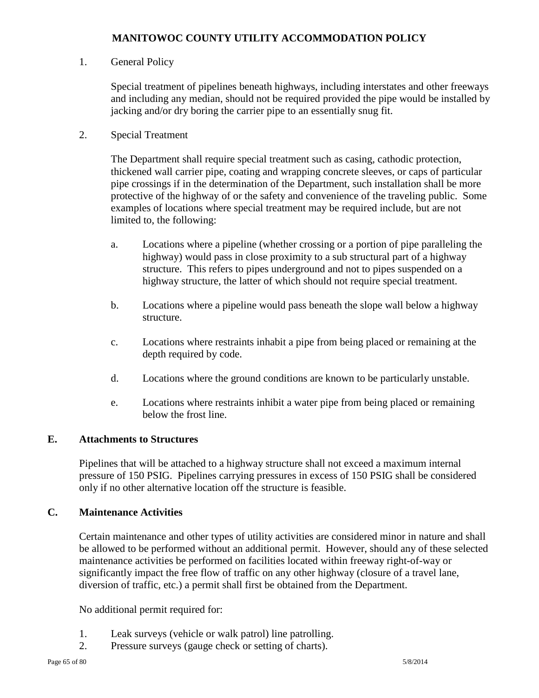## 1. General Policy

Special treatment of pipelines beneath highways, including interstates and other freeways and including any median, should not be required provided the pipe would be installed by jacking and/or dry boring the carrier pipe to an essentially snug fit.

## 2. Special Treatment

The Department shall require special treatment such as casing, cathodic protection, thickened wall carrier pipe, coating and wrapping concrete sleeves, or caps of particular pipe crossings if in the determination of the Department, such installation shall be more protective of the highway of or the safety and convenience of the traveling public. Some examples of locations where special treatment may be required include, but are not limited to, the following:

- a. Locations where a pipeline (whether crossing or a portion of pipe paralleling the highway) would pass in close proximity to a sub structural part of a highway structure. This refers to pipes underground and not to pipes suspended on a highway structure, the latter of which should not require special treatment.
- b. Locations where a pipeline would pass beneath the slope wall below a highway structure.
- c. Locations where restraints inhabit a pipe from being placed or remaining at the depth required by code.
- d. Locations where the ground conditions are known to be particularly unstable.
- e. Locations where restraints inhibit a water pipe from being placed or remaining below the frost line.

## **E. Attachments to Structures**

Pipelines that will be attached to a highway structure shall not exceed a maximum internal pressure of 150 PSIG. Pipelines carrying pressures in excess of 150 PSIG shall be considered only if no other alternative location off the structure is feasible.

#### **C. Maintenance Activities**

Certain maintenance and other types of utility activities are considered minor in nature and shall be allowed to be performed without an additional permit. However, should any of these selected maintenance activities be performed on facilities located within freeway right-of-way or significantly impact the free flow of traffic on any other highway (closure of a travel lane, diversion of traffic, etc.) a permit shall first be obtained from the Department.

No additional permit required for:

- 1. Leak surveys (vehicle or walk patrol) line patrolling.
- 2. Pressure surveys (gauge check or setting of charts).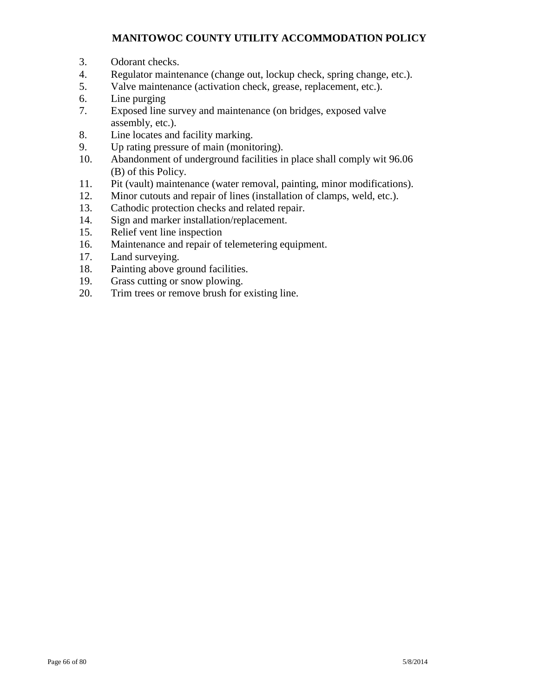- 3. Odorant checks.
- 4. Regulator maintenance (change out, lockup check, spring change, etc.).
- 5. Valve maintenance (activation check, grease, replacement, etc.).
- 6. Line purging
- 7. Exposed line survey and maintenance (on bridges, exposed valve assembly, etc.).
- 8. Line locates and facility marking.
- 9. Up rating pressure of main (monitoring).
- 10. Abandonment of underground facilities in place shall comply wit 96.06 (B) of this Policy.
- 11. Pit (vault) maintenance (water removal, painting, minor modifications).
- 12. Minor cutouts and repair of lines (installation of clamps, weld, etc.).
- 13. Cathodic protection checks and related repair.
- 14. Sign and marker installation/replacement.
- 15. Relief vent line inspection
- 16. Maintenance and repair of telemetering equipment.
- 17. Land surveying.
- 18. Painting above ground facilities.
- 19. Grass cutting or snow plowing.
- 20. Trim trees or remove brush for existing line.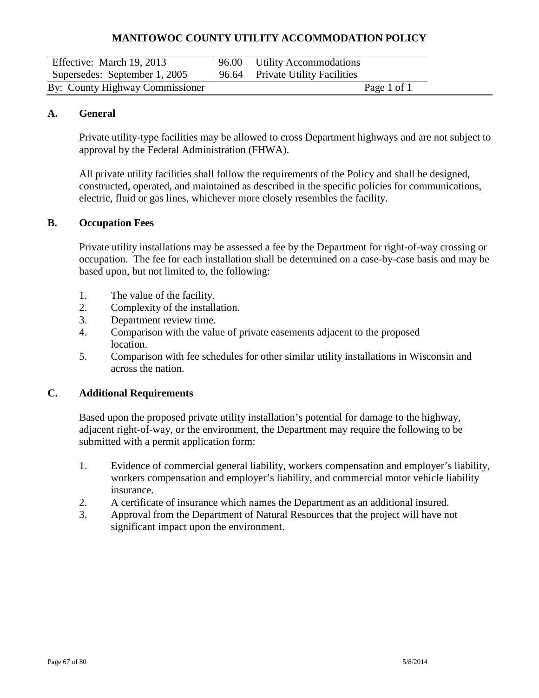| Effective: March 19, 2013       | 96.00 Utility Accommodations     |  |
|---------------------------------|----------------------------------|--|
| Supersedes: September 1, 2005   | 96.64 Private Utility Facilities |  |
| By: County Highway Commissioner | Page 1 of 1                      |  |

#### **A. General**

Private utility-type facilities may be allowed to cross Department highways and are not subject to approval by the Federal Administration (FHWA).

All private utility facilities shall follow the requirements of the Policy and shall be designed, constructed, operated, and maintained as described in the specific policies for communications, electric, fluid or gas lines, whichever more closely resembles the facility.

## **B. Occupation Fees**

Private utility installations may be assessed a fee by the Department for right-of-way crossing or occupation. The fee for each installation shall be determined on a case-by-case basis and may be based upon, but not limited to, the following:

- 1. The value of the facility.
- 2. Complexity of the installation.
- 3. Department review time.
- 4. Comparison with the value of private easements adjacent to the proposed location.
- 5. Comparison with fee schedules for other similar utility installations in Wisconsin and across the nation.

#### **C. Additional Requirements**

Based upon the proposed private utility installation's potential for damage to the highway, adjacent right-of-way, or the environment, the Department may require the following to be submitted with a permit application form:

- 1. Evidence of commercial general liability, workers compensation and employer's liability, workers compensation and employer's liability, and commercial motor vehicle liability insurance.
- 2. A certificate of insurance which names the Department as an additional insured.
- 3. Approval from the Department of Natural Resources that the project will have not significant impact upon the environment.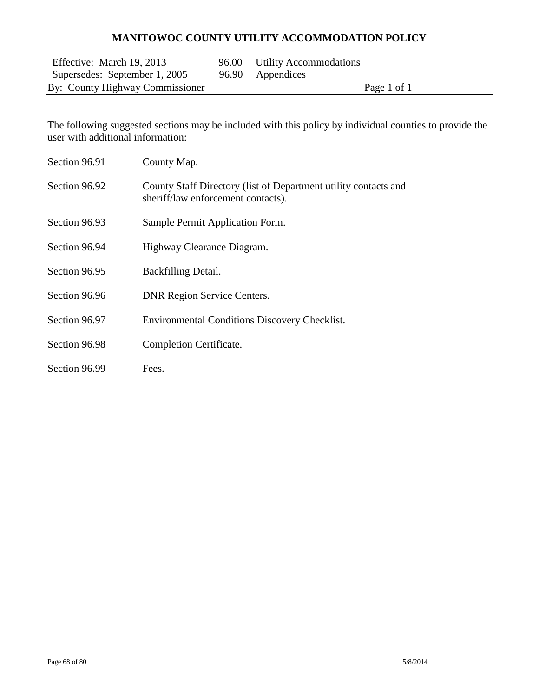| Effective: March 19, 2013       | 96.00 Utility Accommodations |  |
|---------------------------------|------------------------------|--|
| Supersedes: September 1, 2005   | 96.90 Appendices             |  |
| By: County Highway Commissioner | Page 1 of 1                  |  |

The following suggested sections may be included with this policy by individual counties to provide the user with additional information:

| Section 96.91 | County Map.                                                                                           |
|---------------|-------------------------------------------------------------------------------------------------------|
| Section 96.92 | County Staff Directory (list of Department utility contacts and<br>sheriff/law enforcement contacts). |
| Section 96.93 | Sample Permit Application Form.                                                                       |
| Section 96.94 | Highway Clearance Diagram.                                                                            |
| Section 96.95 | Backfilling Detail.                                                                                   |
| Section 96.96 | <b>DNR Region Service Centers.</b>                                                                    |
| Section 96.97 | <b>Environmental Conditions Discovery Checklist.</b>                                                  |
| Section 96.98 | Completion Certificate.                                                                               |
| Section 96.99 | Fees.                                                                                                 |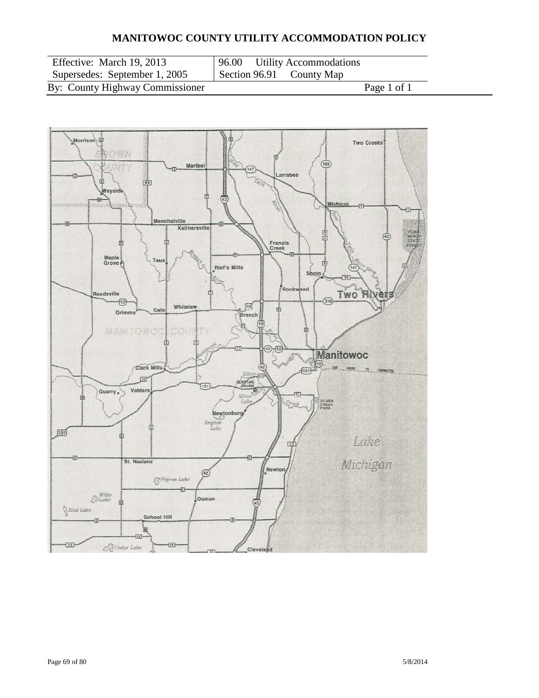| Effective: March 19, 2013       | 96             |
|---------------------------------|----------------|
| Supersedes: September 1, 2005   | S <sub>6</sub> |
| By: County Highway Commissioner |                |

6.00 Utility Accommodations<br>
ection 96.91 County Map County Map

Page  $1$  of 1

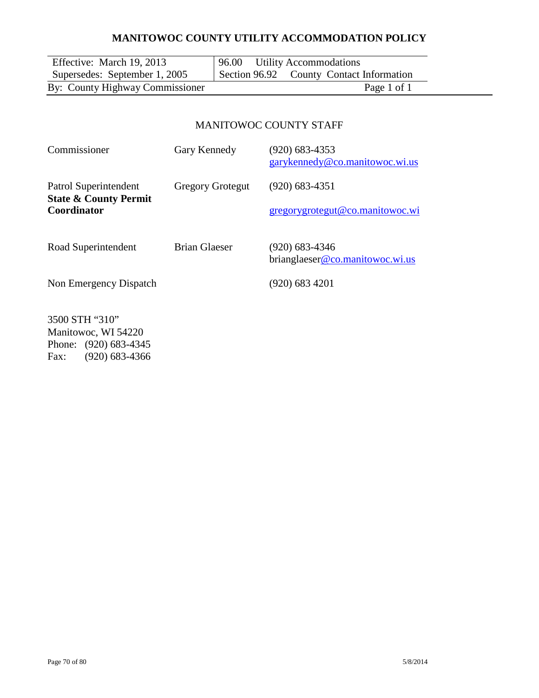| Effective: March 19, 2013       | 96.00 Utility Accommodations             |
|---------------------------------|------------------------------------------|
| Supersedes: September 1, 2005   | Section 96.92 County Contact Information |
| By: County Highway Commissioner | Page 1 of 1                              |
|                                 |                                          |
|                                 |                                          |
|                                 | MANITOWOC COUNTY STAFF                   |
|                                 |                                          |

# Commissioner Gary Kennedy (920) 683-4353 [garykennedy@co.manitowoc.wi.us](mailto:garykennedy@co.manitowoc.wi.us) Patrol Superintendent Gregory Grotegut (920) 683-4351 **State & County Permit** [gregorygrotegut@co.manitowoc.wi](mailto:gregorygrotegut@co.manitowoc.wi) Road Superintendent Brian Glaeser (920) 683-4346 brianglaese[r@co.manitowoc.wi.us](mailto:@co.manitowoc.wi.us) Non Emergency Dispatch (920) 683 4201 3500 STH "310"

Manitowoc, WI 54220 Phone: (920) 683-4345 Fax: (920) 683-4366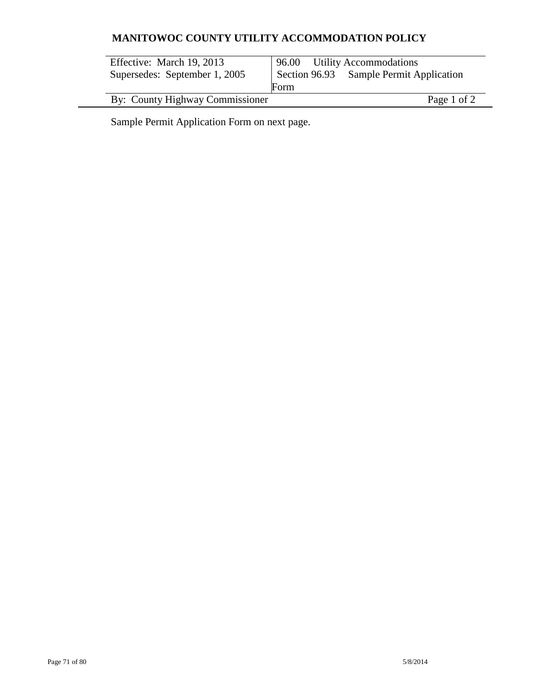| Effective: March 19, 2013<br>Supersedes: September 1, 2005 | 96.00 Utility Accommodations<br>Section 96.93 Sample Permit Application<br>Form |
|------------------------------------------------------------|---------------------------------------------------------------------------------|
| By: County Highway Commissioner                            | Page 1 of 2                                                                     |

Sample Permit Application Form on next page.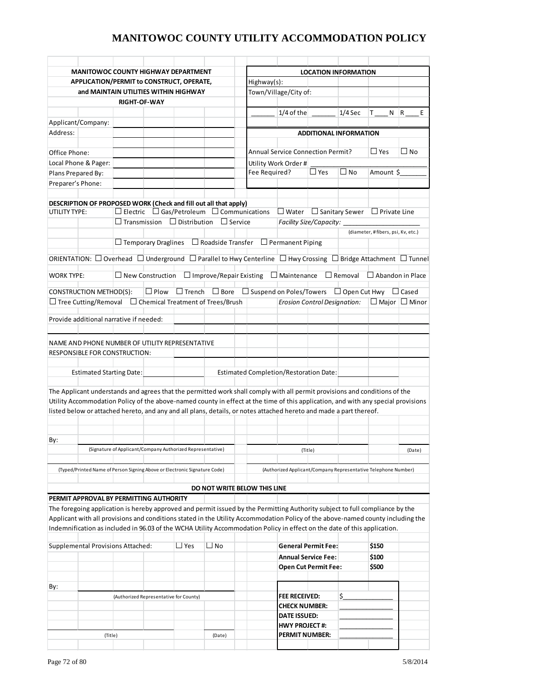| <b>MANITOWOC COUNTY HIGHWAY DEPARTMENT</b><br>APPLICATION/PERMIT to CONSTRUCT, OPERATE, |                                                                                                                                              |                                          |                                | <b>LOCATION INFORMATION</b><br>Highway(s):         |                                                                |                                     |                           |                                    |                           |  |
|-----------------------------------------------------------------------------------------|----------------------------------------------------------------------------------------------------------------------------------------------|------------------------------------------|--------------------------------|----------------------------------------------------|----------------------------------------------------------------|-------------------------------------|---------------------------|------------------------------------|---------------------------|--|
|                                                                                         | and MAINTAIN UTILITIES WITHIN HIGHWAY                                                                                                        |                                          |                                |                                                    | Town/Village/City of:                                          |                                     |                           |                                    |                           |  |
|                                                                                         | <b>RIGHT-OF-WAY</b>                                                                                                                          |                                          |                                |                                                    |                                                                |                                     |                           |                                    |                           |  |
|                                                                                         |                                                                                                                                              |                                          |                                |                                                    | $1/4$ of the                                                   |                                     | $1/4$ Sec                 | T.<br>N                            | R<br>E                    |  |
| Applicant/Company:                                                                      |                                                                                                                                              |                                          |                                |                                                    |                                                                |                                     |                           |                                    |                           |  |
| Address:                                                                                |                                                                                                                                              |                                          |                                |                                                    |                                                                | <b>ADDITIONAL INFORMATION</b>       |                           |                                    |                           |  |
|                                                                                         |                                                                                                                                              |                                          |                                |                                                    |                                                                |                                     |                           |                                    |                           |  |
| Office Phone:                                                                           |                                                                                                                                              |                                          |                                |                                                    | <b>Annual Service Connection Permit?</b>                       |                                     |                           | $\Box$ Yes                         | $\square$ No              |  |
|                                                                                         | Local Phone & Pager:                                                                                                                         |                                          |                                |                                                    | Utility Work Order #                                           |                                     |                           |                                    |                           |  |
| Plans Prepared By:                                                                      |                                                                                                                                              |                                          |                                | Fee Required?                                      |                                                                | $\square$ Yes                       | $\square$ No<br>Amount \$ |                                    |                           |  |
| Preparer's Phone:                                                                       |                                                                                                                                              |                                          |                                |                                                    |                                                                |                                     |                           |                                    |                           |  |
|                                                                                         |                                                                                                                                              |                                          |                                |                                                    |                                                                |                                     |                           |                                    |                           |  |
|                                                                                         | DESCRIPTION OF PROPOSED WORK (Check and fill out all that apply)                                                                             |                                          |                                |                                                    |                                                                |                                     |                           |                                    |                           |  |
| UTILITY TYPE:                                                                           | $\Box$ Electric $\Box$ Gas/Petroleum $\Box$ Communications                                                                                   |                                          |                                |                                                    | $\Box$ Water $\Box$ Sanitary Sewer                             |                                     |                           | $\Box$ Private Line                |                           |  |
|                                                                                         | $\Box$ Transmission $\Box$ Distribution $\Box$ Service                                                                                       |                                          |                                |                                                    | Facility Size/Capacity:                                        |                                     |                           |                                    |                           |  |
|                                                                                         |                                                                                                                                              |                                          |                                |                                                    |                                                                |                                     |                           | (diameter, #fibers, psi, Kv, etc.) |                           |  |
|                                                                                         | $\Box$ Temporary Draglines $\Box$ Roadside Transfer $\Box$ Permanent Piping                                                                  |                                          |                                |                                                    |                                                                |                                     |                           |                                    |                           |  |
|                                                                                         |                                                                                                                                              |                                          |                                |                                                    |                                                                |                                     |                           |                                    |                           |  |
|                                                                                         | ORIENTATION: $\Box$ Overhead $\Box$ Underground $\Box$ Parallel to Hwy Centerline $\Box$ Hwy Crossing $\Box$ Bridge Attachment $\Box$ Tunnel |                                          |                                |                                                    |                                                                |                                     |                           |                                    |                           |  |
|                                                                                         |                                                                                                                                              |                                          |                                |                                                    |                                                                |                                     |                           |                                    |                           |  |
| <b>WORK TYPE:</b>                                                                       | $\Box$ New Construction                                                                                                                      |                                          | $\Box$ Improve/Repair Existing |                                                    | $\Box$ Maintenance                                             |                                     | $\Box$ Removal            | $\Box$ Abandon in Place            |                           |  |
| CONSTRUCTION METHOD(S):                                                                 | $\Box$ Plow                                                                                                                                  | $\Box$ Trench                            | $\Box$ Bore                    | $\Box$ Suspend on Poles/Towers $\Box$ Open Cut Hwy |                                                                |                                     |                           |                                    | $\Box$ Cased              |  |
| $\Box$ Tree Cutting/Removal                                                             |                                                                                                                                              | $\Box$ Chemical Treatment of Trees/Brush |                                |                                                    |                                                                | <b>Erosion Control Designation:</b> |                           |                                    | $\Box$ Maior $\Box$ Minor |  |
|                                                                                         |                                                                                                                                              |                                          |                                |                                                    |                                                                |                                     |                           |                                    |                           |  |
|                                                                                         | Provide additional narrative if needed:                                                                                                      |                                          |                                |                                                    |                                                                |                                     |                           |                                    |                           |  |
|                                                                                         |                                                                                                                                              |                                          |                                |                                                    |                                                                |                                     |                           |                                    |                           |  |
|                                                                                         | <b>Estimated Starting Date:</b>                                                                                                              |                                          |                                | Estimated Completion/Restoration Date:             |                                                                |                                     |                           |                                    |                           |  |
|                                                                                         | The Applicant understands and agrees that the permitted work shall comply with all permit provisions and conditions of the                   |                                          |                                |                                                    |                                                                |                                     |                           |                                    |                           |  |
|                                                                                         | Utility Accommodation Policy of the above-named county in effect at the time of this application, and with any special provisions            |                                          |                                |                                                    |                                                                |                                     |                           |                                    |                           |  |
|                                                                                         | listed below or attached hereto, and any and all plans, details, or notes attached hereto and made a part thereof.                           |                                          |                                |                                                    |                                                                |                                     |                           |                                    |                           |  |
|                                                                                         |                                                                                                                                              |                                          |                                |                                                    |                                                                |                                     |                           |                                    |                           |  |
|                                                                                         |                                                                                                                                              |                                          |                                |                                                    |                                                                |                                     |                           |                                    |                           |  |
| By:                                                                                     |                                                                                                                                              |                                          |                                |                                                    |                                                                |                                     |                           |                                    |                           |  |
|                                                                                         | (Signature of Applicant/Company Authorized Representative)                                                                                   |                                          |                                |                                                    |                                                                | (Title)                             |                           |                                    | (Date)                    |  |
|                                                                                         |                                                                                                                                              |                                          |                                |                                                    |                                                                |                                     |                           |                                    |                           |  |
|                                                                                         | (Typed/Printed Name of Person Signing Above or Electronic Signature Code)                                                                    |                                          |                                |                                                    | (Authorized Applicant/Company Representative Telephone Number) |                                     |                           |                                    |                           |  |
|                                                                                         |                                                                                                                                              |                                          |                                |                                                    |                                                                |                                     |                           |                                    |                           |  |
|                                                                                         |                                                                                                                                              |                                          |                                | DO NOT WRITE BELOW THIS LINE                       |                                                                |                                     |                           |                                    |                           |  |
|                                                                                         | PERMIT APPROVAL BY PERMITTING AUTHORITY                                                                                                      |                                          |                                |                                                    |                                                                |                                     |                           |                                    |                           |  |
|                                                                                         | The foregoing application is hereby approved and permit issued by the Permitting Authority subject to full compliance by the                 |                                          |                                |                                                    |                                                                |                                     |                           |                                    |                           |  |
|                                                                                         | Applicant with all provisions and conditions stated in the Utility Accommodation Policy of the above-named county including the              |                                          |                                |                                                    |                                                                |                                     |                           |                                    |                           |  |
|                                                                                         | Indemnification as included in 96.03 of the WCHA Utility Accommodation Policy in effect on the date of this application.                     |                                          |                                |                                                    |                                                                |                                     |                           |                                    |                           |  |
|                                                                                         |                                                                                                                                              |                                          |                                |                                                    |                                                                |                                     |                           |                                    |                           |  |
|                                                                                         | <b>Supplemental Provisions Attached:</b>                                                                                                     | $\Box$ Yes                               | $\Box$ No                      |                                                    |                                                                | <b>General Permit Fee:</b>          |                           | \$150                              |                           |  |
|                                                                                         |                                                                                                                                              |                                          |                                |                                                    |                                                                | <b>Annual Service Fee:</b>          |                           | \$100                              |                           |  |
|                                                                                         |                                                                                                                                              |                                          |                                |                                                    |                                                                | <b>Open Cut Permit Fee:</b>         |                           | \$500                              |                           |  |
|                                                                                         |                                                                                                                                              |                                          |                                |                                                    |                                                                |                                     |                           |                                    |                           |  |
| By:                                                                                     |                                                                                                                                              |                                          |                                |                                                    |                                                                |                                     |                           |                                    |                           |  |
|                                                                                         | (Authorized Representative for County)                                                                                                       |                                          |                                |                                                    | <b>FEE RECEIVED:</b>                                           |                                     | \$                        |                                    |                           |  |
|                                                                                         |                                                                                                                                              |                                          |                                |                                                    | <b>CHECK NUMBER:</b>                                           |                                     |                           |                                    |                           |  |
|                                                                                         |                                                                                                                                              |                                          |                                |                                                    | <b>DATE ISSUED:</b>                                            |                                     |                           |                                    |                           |  |
|                                                                                         |                                                                                                                                              |                                          |                                |                                                    | <b>HWY PROJECT#:</b>                                           |                                     |                           |                                    |                           |  |
|                                                                                         | (Title)                                                                                                                                      |                                          | (Date)                         |                                                    | <b>PERMIT NUMBER:</b>                                          |                                     |                           |                                    |                           |  |
|                                                                                         |                                                                                                                                              |                                          |                                |                                                    |                                                                |                                     |                           |                                    |                           |  |
|                                                                                         |                                                                                                                                              |                                          |                                |                                                    |                                                                |                                     |                           |                                    |                           |  |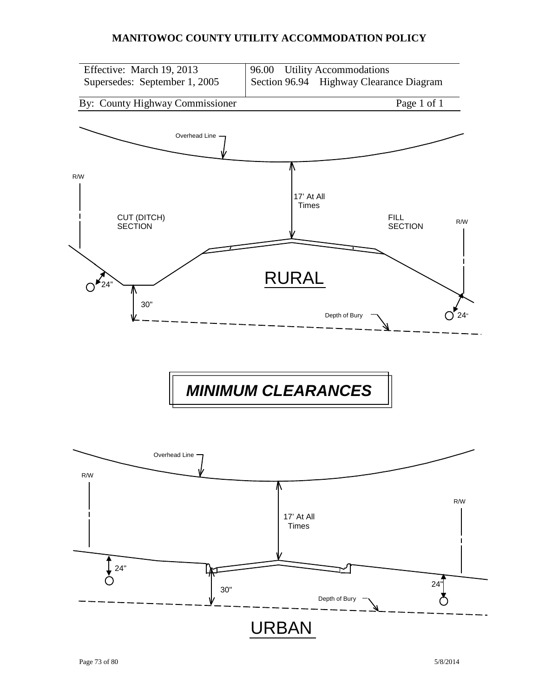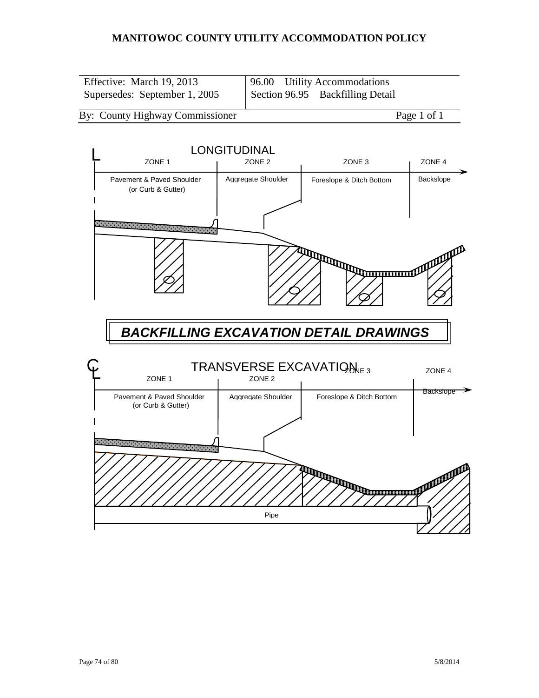| Effective: March 19, 2013     | 96.00 Utility Accommodations     |
|-------------------------------|----------------------------------|
| Supersedes: September 1, 2005 | Section 96.95 Backfilling Detail |

#### By: County Highway Commissioner Page 1 of 1

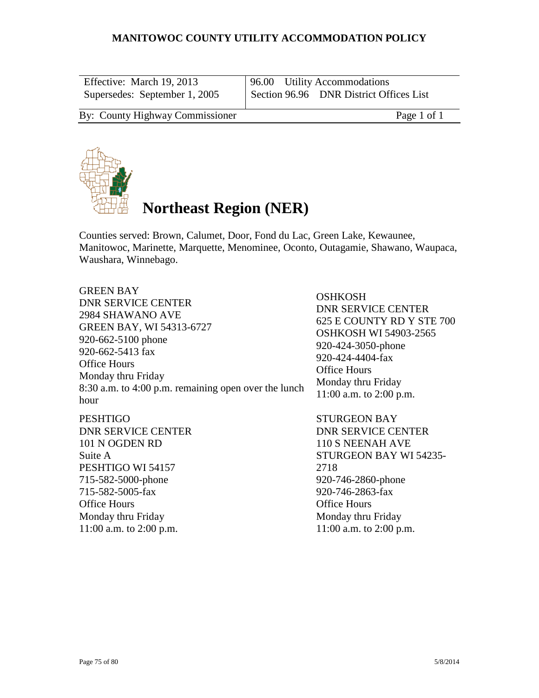| Effective: March 19, 2013       | 96.00 Utility Accommodations            |
|---------------------------------|-----------------------------------------|
| Supersedes: September 1, 2005   | Section 96.96 DNR District Offices List |
| By: County Highway Commissioner | Page 1 of 1                             |



# **Northeast Region (NER)**

Counties served: Brown, Calumet, Door, Fond du Lac, Green Lake, Kewaunee, Manitowoc, Marinette, Marquette, Menominee, Oconto, Outagamie, Shawano, Waupaca, Waushara, Winnebago.

GREEN BAY DNR SERVICE CENTER 2984 SHAWANO AVE GREEN BAY, WI 54313-6727 920-662-5100 phone 920-662-5413 fax Office Hours Monday thru Friday 8:30 a.m. to 4:00 p.m. remaining open over the lunch hour

**PESHTIGO** DNR SERVICE CENTER 101 N OGDEN RD Suite A PESHTIGO WI 54157 715-582-5000-phone 715-582-5005-fax Office Hours Monday thru Friday 11:00 a.m. to 2:00 p.m.

**OSHKOSH** DNR SERVICE CENTER 625 E COUNTY RD Y STE 700 OSHKOSH WI 54903-2565 920-424-3050-phone 920-424-4404-fax Office Hours Monday thru Friday 11:00 a.m. to 2:00 p.m.

STURGEON BAY DNR SERVICE CENTER 110 S NEENAH AVE STURGEON BAY WI 54235- 2718 920-746-2860-phone 920-746-2863-fax Office Hours Monday thru Friday 11:00 a.m. to 2:00 p.m.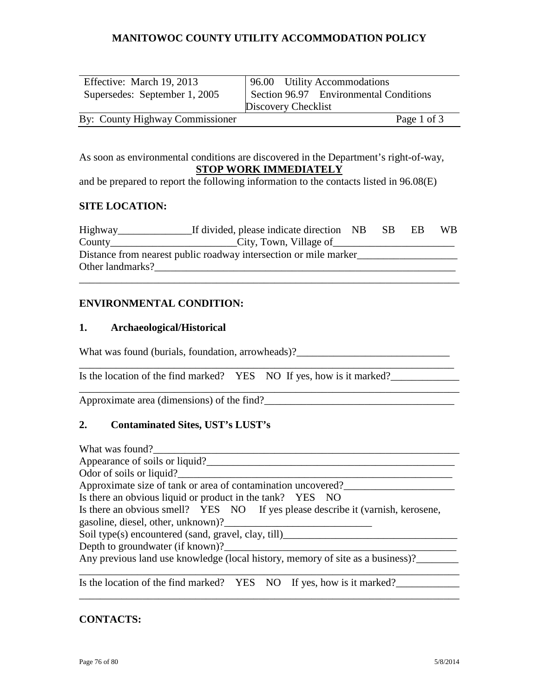| Effective: March 19, 2013       | 96.00 Utility Accommodations           |
|---------------------------------|----------------------------------------|
| Supersedes: September 1, 2005   | Section 96.97 Environmental Conditions |
|                                 | Discovery Checklist                    |
| By: County Highway Commissioner | Page 1 of 3                            |

As soon as environmental conditions are discovered in the Department's right-of-way, **STOP WORK IMMEDIATELY**

and be prepared to report the following information to the contacts listed in 96.08(E)

#### **SITE LOCATION:**

| Highway          | If divided, please indicate direction NB                          | -SB | ЕB | WB. |
|------------------|-------------------------------------------------------------------|-----|----|-----|
| $Country_$       | City, Town, Village of                                            |     |    |     |
|                  | Distance from nearest public roadway intersection or mile marker_ |     |    |     |
| Other landmarks? |                                                                   |     |    |     |

\_\_\_\_\_\_\_\_\_\_\_\_\_\_\_\_\_\_\_\_\_\_\_\_\_\_\_\_\_\_\_\_\_\_\_\_\_\_\_\_\_\_\_\_\_\_\_\_\_\_\_\_\_\_\_\_\_\_\_\_\_\_\_\_\_\_\_\_\_\_\_\_

\_\_\_\_\_\_\_\_\_\_\_\_\_\_\_\_\_\_\_\_\_\_\_\_\_\_\_\_\_\_\_\_\_\_\_\_\_\_\_\_\_\_\_\_\_\_\_\_\_\_\_\_\_\_\_\_\_\_\_\_\_\_\_\_\_\_\_\_\_\_\_

\_\_\_\_\_\_\_\_\_\_\_\_\_\_\_\_\_\_\_\_\_\_\_\_\_\_\_\_\_\_\_\_\_\_\_\_\_\_\_\_\_\_\_\_\_\_\_\_\_\_\_\_\_\_\_\_\_\_\_\_\_\_\_\_\_\_\_\_\_\_\_\_

## **ENVIRONMENTAL CONDITION:**

#### **1. Archaeological/Historical**

What was found (burials, foundation, arrowheads)?

Is the location of the find marked? YES NO If yes, how is it marked?

Approximate area (dimensions) of the find?\_\_\_\_\_\_\_\_\_\_\_\_\_\_\_\_\_\_\_\_\_\_\_\_\_\_\_\_\_\_\_\_\_\_\_\_

#### **2. Contaminated Sites, UST's LUST's**

#### **CONTACTS:**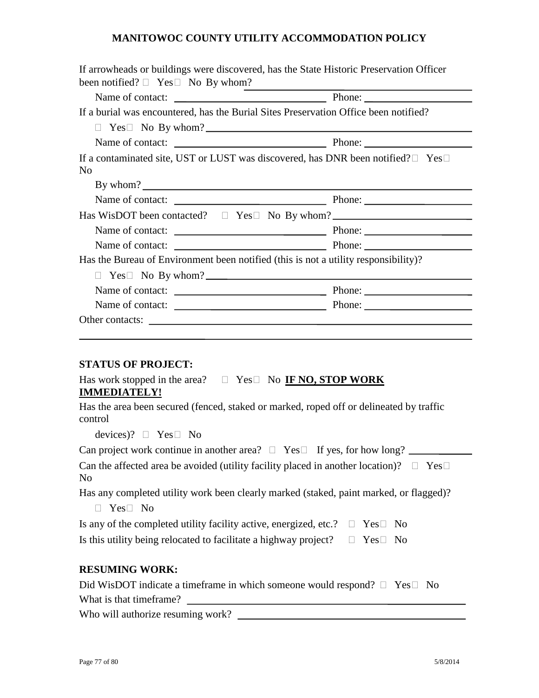|                                                                                                         | If arrowheads or buildings were discovered, has the State Historic Preservation Officer            |
|---------------------------------------------------------------------------------------------------------|----------------------------------------------------------------------------------------------------|
| been notified? $\Box$ Yes $\Box$ No By whom?                                                            | <u> 1980 - Jan Samuel Barbara, martin di</u>                                                       |
|                                                                                                         |                                                                                                    |
| If a burial was encountered, has the Burial Sites Preservation Office been notified?                    |                                                                                                    |
|                                                                                                         | $Yes \Box$ No By whom?                                                                             |
|                                                                                                         |                                                                                                    |
| N <sub>0</sub>                                                                                          | If a contaminated site, UST or LUST was discovered, has DNR been notified? $\square$ Yes $\square$ |
| By whom?                                                                                                |                                                                                                    |
|                                                                                                         |                                                                                                    |
|                                                                                                         | Has WisDOT been contacted? $\square$ Yes $\square$ No By whom?                                     |
|                                                                                                         |                                                                                                    |
|                                                                                                         |                                                                                                    |
| Has the Bureau of Environment been notified (this is not a utility responsibility)?                     |                                                                                                    |
| П                                                                                                       | $Yes \Box$ No By whom?                                                                             |
|                                                                                                         |                                                                                                    |
|                                                                                                         |                                                                                                    |
|                                                                                                         | Other contacts:                                                                                    |
|                                                                                                         |                                                                                                    |
|                                                                                                         |                                                                                                    |
| <b>STATUS OF PROJECT:</b>                                                                               |                                                                                                    |
| Has work stopped in the area? $\square$ Yes $\square$ No <b>IF NO, STOP WORK</b><br><b>IMMEDIATELY!</b> |                                                                                                    |

Has the area been secured (fenced, staked or marked, roped off or delineated by traffic control

devices)?  $\Box$  Yes  $\Box$  No

Can project work continue in another area?  $\Box$  Yes  $\Box$  If yes, for how long?

Can the affected area be avoided (utility facility placed in another location)?  $\Box$  Yes $\Box$ No

Has any completed utility work been clearly marked (staked, paint marked, or flagged)?

| $\Box$ Yes $\Box$ No |  |
|----------------------|--|
|                      |  |

Is any of the completed utility facility active, energized, etc.?  $\Box$  Yes  $\Box$  No

Is this utility being relocated to facilitate a highway project?  $\square$  Yes  $\square$  No

# **RESUMING WORK:**

| Did WisDOT indicate a timeframe in which someone would respond? $\Box$ Yes $\Box$ No |  |
|--------------------------------------------------------------------------------------|--|
| What is that time frame?                                                             |  |
| Who will authorize resuming work?                                                    |  |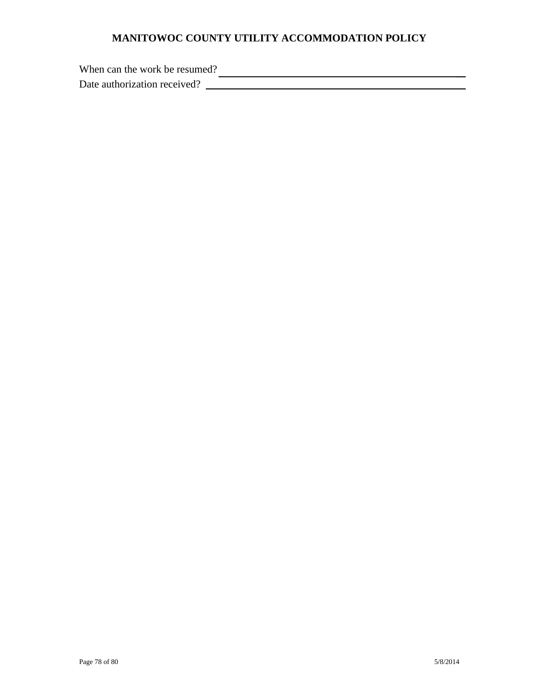When can the work be resumed?

Date authorization received?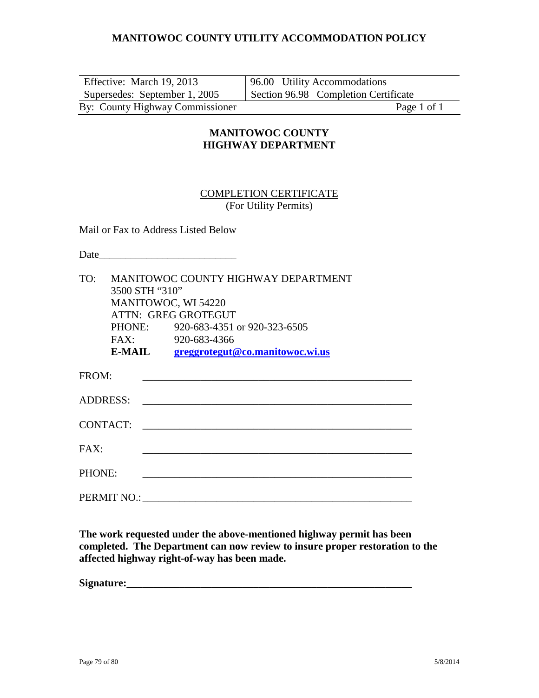| Effective: March 19, 2013       | 96.00 Utility Accommodations         |
|---------------------------------|--------------------------------------|
| Supersedes: September 1, 2005   | Section 96.98 Completion Certificate |
| By: County Highway Commissioner | Page 1 of 1                          |

# **MANITOWOC COUNTY HIGHWAY DEPARTMENT**

#### COMPLETION CERTIFICATE (For Utility Permits)

Mail or Fax to Address Listed Below

Date\_\_\_\_\_\_\_\_\_\_\_\_\_\_\_\_\_\_\_\_\_\_\_\_\_\_

| TO:             | MANITOWOC COUNTY HIGHWAY DEPARTMENT |                                     |  |  |
|-----------------|-------------------------------------|-------------------------------------|--|--|
|                 | 3500 STH "310"                      |                                     |  |  |
|                 | MANITOWOC, WI 54220                 |                                     |  |  |
|                 |                                     | ATTN: GREG GROTEGUT                 |  |  |
|                 |                                     | PHONE: 920-683-4351 or 920-323-6505 |  |  |
|                 | FAX:                                | 920-683-4366                        |  |  |
|                 | <b>E-MAIL</b>                       | greggrotegut@co.manitowoc.wi.us     |  |  |
| FROM:           |                                     |                                     |  |  |
|                 |                                     |                                     |  |  |
| <b>ADDRESS:</b> |                                     |                                     |  |  |
|                 |                                     |                                     |  |  |
| <b>CONTACT:</b> |                                     |                                     |  |  |
| FAX:            |                                     |                                     |  |  |
|                 |                                     |                                     |  |  |
| PHONE:          |                                     |                                     |  |  |
|                 |                                     |                                     |  |  |
|                 |                                     |                                     |  |  |

**The work requested under the above-mentioned highway permit has been completed. The Department can now review to insure proper restoration to the affected highway right-of-way has been made.**

Signature: